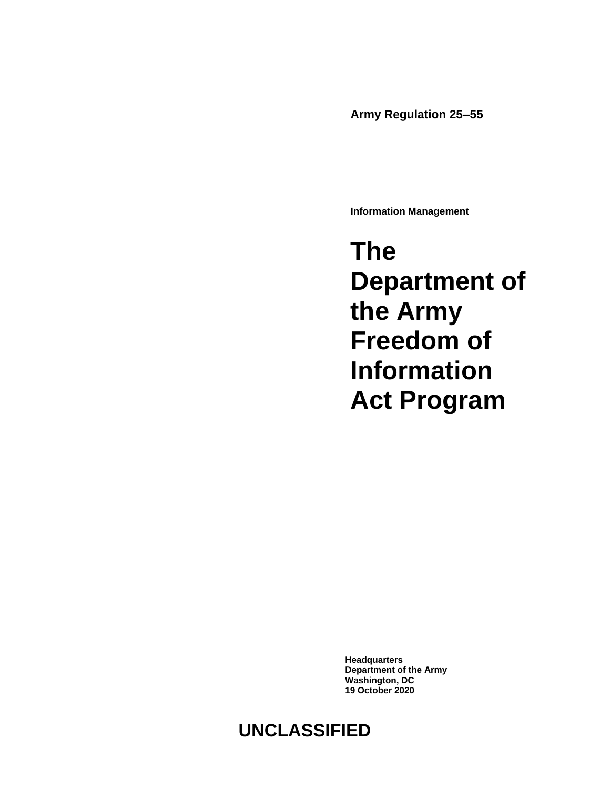**Army Regulation 25–55**

**Information Management**

**The Department of the Army Freedom of Information Act Program**

**Headquarters Department of the Army Washington, DC 19 October 2020**

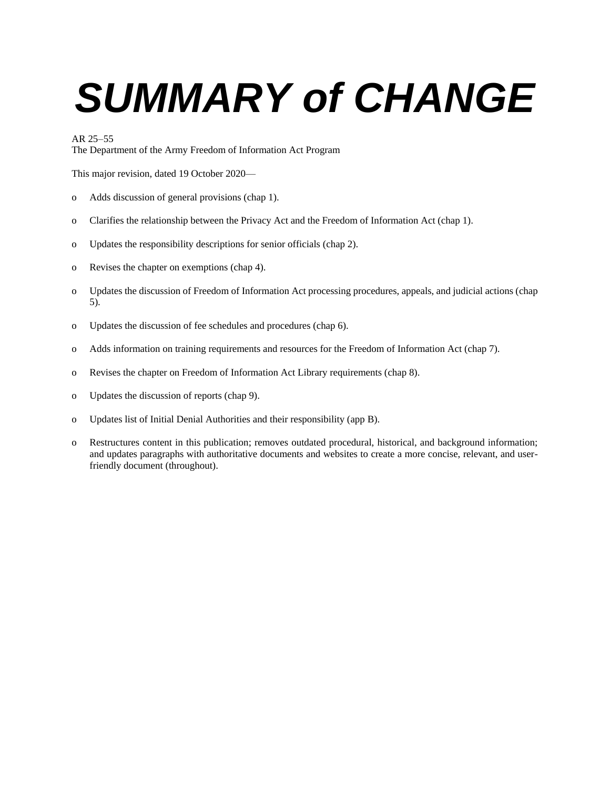# *SUMMARY of CHANGE*

#### AR 25–55

The Department of the Army Freedom of Information Act Program

This major revision, dated 19 October 2020—

- o Adds discussion of general provisions [\(chap 1\)](#page-5-0).
- o Clarifies the relationship between the Privacy Act and the Freedom of Information Act [\(chap 1\)](#page-5-0).
- o Updates the responsibility descriptions for senior officials [\(chap 2\)](#page-9-0).
- o Revises the chapter on exemptions [\(chap 4\)](#page-15-0).
- o Updates the discussion of Freedom of Information Act processing procedures, appeals, and judicial actions [\(chap](#page-17-0)  [5\)](#page-17-0).
- o Updates the discussion of fee schedules and procedures [\(chap 6\)](#page-30-0).
- o Adds information on training requirements and resources for the Freedom of Information Act [\(chap 7\)](#page-31-0).
- o Revises the chapter on Freedom of Information Act Library requirements [\(chap 8\)](#page-32-0).
- o Updates the discussion of reports [\(chap 9\)](#page-33-0).
- o Updates list of Initial Denial Authorities and their responsibility [\(app B\)](#page-41-0).
- o Restructures content in this publication; removes outdated procedural, historical, and background information; and updates paragraphs with authoritative documents and websites to create a more concise, relevant, and userfriendly document (throughout).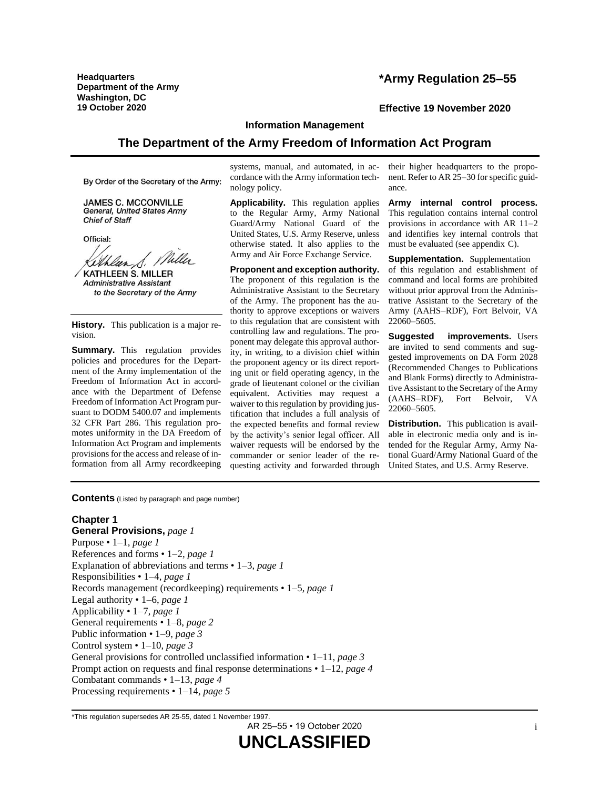**Headquarters Department of the Army Washington, DC**

# **\*Army Regulation 25–55**

#### **19 October 2020 Effective 19 November 2020**

# **Information Management**

# **The Department of the Army Freedom of Information Act Program**

By Order of the Secretary of the Army:

**JAMES C. MCCONVILLE General, United States Army Chief of Staff** 

Official:

Willes *Kelhlun, S. 114*<br>KATHLEEN S. MILLER

**Administrative Assistant** to the Secretary of the Army

**History.** This publication is a major revision.

**Summary.** This regulation provides policies and procedures for the Department of the Army implementation of the Freedom of Information Act in accordance with the Department of Defense Freedom of Information Act Program pursuant to DODM 5400.07 and implements 32 CFR Part 286. This regulation promotes uniformity in the DA Freedom of Information Act Program and implements provisions for the access and release of information from all Army recordkeeping

systems, manual, and automated, in accordance with the Army information technology policy.

**Applicability.** This regulation applies to the Regular Army, Army National Guard/Army National Guard of the United States, U.S. Army Reserve, unless otherwise stated. It also applies to the Army and Air Force Exchange Service.

**Proponent and exception authority.** The proponent of this regulation is the Administrative Assistant to the Secretary of the Army. The proponent has the authority to approve exceptions or waivers to this regulation that are consistent with controlling law and regulations. The proponent may delegate this approval authority, in writing, to a division chief within the proponent agency or its direct reporting unit or field operating agency, in the grade of lieutenant colonel or the civilian equivalent. Activities may request a waiver to this regulation by providing justification that includes a full analysis of the expected benefits and formal review by the activity's senior legal officer. All waiver requests will be endorsed by the commander or senior leader of the requesting activity and forwarded through

their higher headquarters to the proponent. Refer to AR 25–30 for specific guidance.

**Army internal control process.** This regulation contains internal control provisions in accordance with AR 11–2 and identifies key internal controls that must be evaluated (see [appendix](#page-45-0) C).

**Supplementation.** Supplementation of this regulation and establishment of command and local forms are prohibited without prior approval from the Administrative Assistant to the Secretary of the Army (AAHS–RDF), Fort Belvoir, VA 22060–5605.

**Suggested improvements.** Users are invited to send comments and suggested improvements on DA Form 2028 (Recommended Changes to Publications and Blank Forms) directly to Administrative Assistant to the Secretary of the Army (AAHS–RDF), Fort Belvoir, VA 22060–5605.

**Distribution.** This publication is available in electronic media only and is intended for the Regular Army, Army National Guard/Army National Guard of the United States, and U.S. Army Reserve.

**Contents** (Listed by paragraph and page number)

#### **Chapter 1**

**General Provisions,** *page [1](#page-5-0)* Purpose • 1–1, *page [1](#page-5-1)* References and forms • 1–2, *page [1](#page-5-2)* Explanation of abbreviations and terms • 1–3, *page [1](#page-5-3)* Responsibilities • 1–4, *page [1](#page-5-4)* Records management (recordkeeping) requirements • 1–5, *page [1](#page-5-5)* Legal authority • 1–6, *page [1](#page-5-6)* Applicability • 1–7, *page [1](#page-5-7)* General requirements • 1–8, *page [2](#page-6-0)* Public information • 1–9, *page [3](#page-7-0)* Control system • 1–10, *page [3](#page-7-1)* General provisions for controlled unclassified information • 1–11, *page [3](#page-7-2)* Prompt action on requests and final response determinations • 1–12, *page [4](#page-8-0)* Combatant commands • 1–13, *page [4](#page-8-1)* Processing requirements • 1–14, *page [5](#page-9-1)*

AR 25–55 • 19 October 2020

<sup>\*</sup>This regulation supersedes AR 25-55, dated 1 November 1997.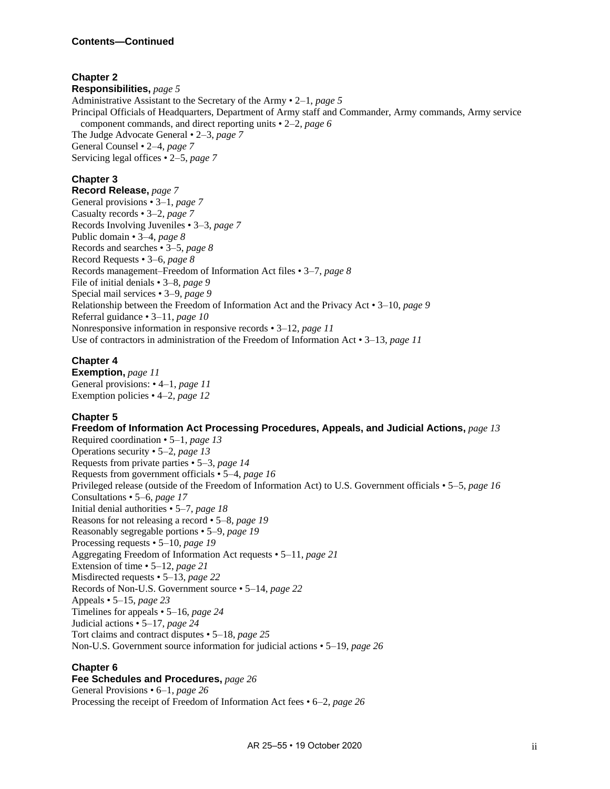# **Chapter 2**

**Responsibilities,** *page [5](#page-9-0)* Administrative Assistant to the Secretary of the Army • 2–1, *page [5](#page-9-2)* Principal Officials of Headquarters, Department of Army staff and Commander, Army commands, Army service component commands, and direct reporting units • 2–2, *page [6](#page-10-0)* The Judge Advocate General • 2–3, *page [7](#page-11-0)* General Counsel • 2–4, *page [7](#page-11-1)* Servicing legal offices • 2–5, *page [7](#page-11-2)*

# **Chapter 3**

**Record Release,** *page [7](#page-11-3)* General provisions • 3–1, *page [7](#page-11-4)* Casualty records • 3–2, *page [7](#page-11-5)* Records Involving Juveniles • 3–3, *page [7](#page-11-6)* Public domain • 3–4, *page [8](#page-12-0)* Records and searches • 3–5, *page [8](#page-12-1)* Record Requests • 3–6, *page [8](#page-12-2)* Records management–Freedom of Information Act files • 3–7, *page [8](#page-12-3)* File of initial denials • 3–8, *page [9](#page-13-0)* Special mail services • 3–9, *page [9](#page-13-1)* Relationship between the Freedom of Information Act and the Privacy Act • 3–10, *page [9](#page-13-2)* Referral guidance • 3–11, *page [10](#page-14-0)* Nonresponsive information in responsive records • 3–12, *page [11](#page-15-1)* Use of contractors in administration of the Freedom of Information Act • 3–13, *page [11](#page-15-2)*

# **Chapter 4**

**Exemption,** *page [11](#page-15-0)* General provisions: • 4–1, *page [11](#page-15-3)* Exemption policies • 4–2, *page [12](#page-16-0)*

# **Chapter 5**

**Freedom of Information Act Processing Procedures, Appeals, and Judicial Actions,** *page [13](#page-17-0)* Required coordination • 5–1, *page [13](#page-17-1)* Operations security • 5–2, *page [13](#page-17-2)* Requests from private parties • 5–3, *page [14](#page-18-0)* Requests from government officials • 5–4, *page [16](#page-20-0)* Privileged release (outside of the Freedom of Information Act) to U.S. Government officials • 5–5, *page [16](#page-20-1)* Consultations • 5–6, *page [17](#page-21-0)* Initial denial authorities • 5–7, *page [18](#page-22-0)* Reasons for not releasing a record • 5–8, *page [19](#page-23-0)* Reasonably segregable portions • 5–9, *page [19](#page-23-1)* Processing requests • 5–10, *page [19](#page-23-2)* Aggregating Freedom of Information Act requests • 5–11, *page [21](#page-25-0)* Extension of time • 5–12, *page [21](#page-25-1)* Misdirected requests • 5–13, *page [22](#page-26-0)* Records of Non-U.S. Government source • 5–14, *page [22](#page-26-1)* Appeals • 5–15, *page [23](#page-27-0)* Timelines for appeals • 5–16, *page [24](#page-28-0)* Judicial actions • 5–17, *page [24](#page-28-1)* Tort claims and contract disputes • 5–18, *page [25](#page-29-0)* Non-U.S. Government source information for judicial actions • 5–19, *page [26](#page-30-1)*

# **Chapter 6**

**Fee Schedules and Procedures,** *page [26](#page-30-0)* General Provisions • 6–1, *page [26](#page-30-2)* Processing the receipt of Freedom of Information Act fees • 6–2, *page [26](#page-30-3)*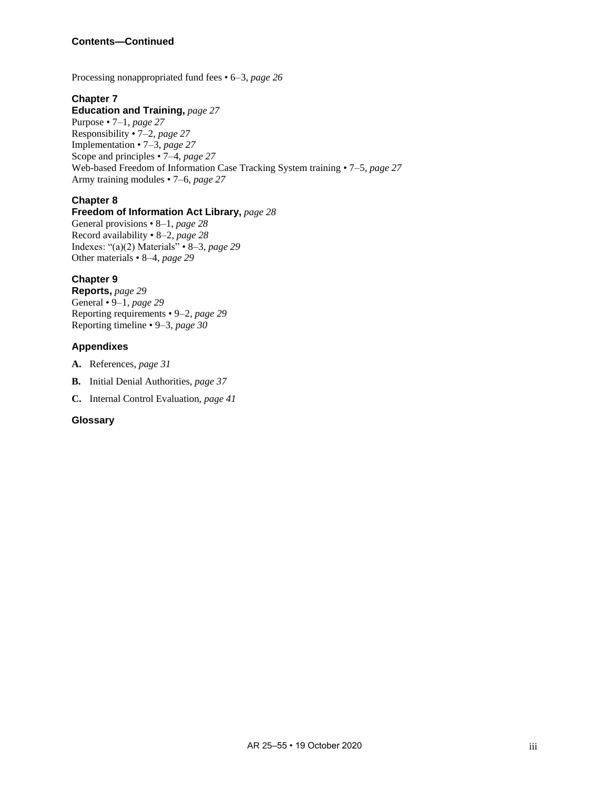Processing nonappropriated fund fees • 6–3, *page [26](#page-30-4)*

# **Chapter 7**

# **Education and Training,** *page [27](#page-31-0)*

Purpose • 7–1, *page [27](#page-31-1)* Responsibility • 7–2, *page [27](#page-31-2)* Implementation • 7–3, *page [27](#page-31-3)* Scope and principles • 7–4, *page [27](#page-31-4)* Web-based Freedom of Information Case Tracking System training • 7–5, *page [27](#page-31-5)* Army training modules • 7–6, *page [27](#page-31-6)*

# **Chapter 8**

# **Freedom of Information Act Library,** *page [28](#page-32-0)*

General provisions • 8–1, *page [28](#page-32-1)* Record availability • 8–2, *page [28](#page-32-2)* Indexes: "(a)(2) Materials" • 8–3, *page [29](#page-33-1)* Other materials • 8–4, *page [29](#page-33-2)*

# **Chapter 9**

**Reports,** *page [29](#page-33-0)* General • 9–1, *page [29](#page-33-3)* Reporting requirements • 9–2, *page [29](#page-33-4)* Reporting timeline • 9–3, *page [30](#page-34-0)*

# **Appendixes**

- **A.** References, *page [31](#page-35-0)*
- **B.** Initial Denial Authorities, *page [37](#page-41-0)*
- **C.** Internal Control Evaluation, *page [41](#page-45-0)*

# **Glossary**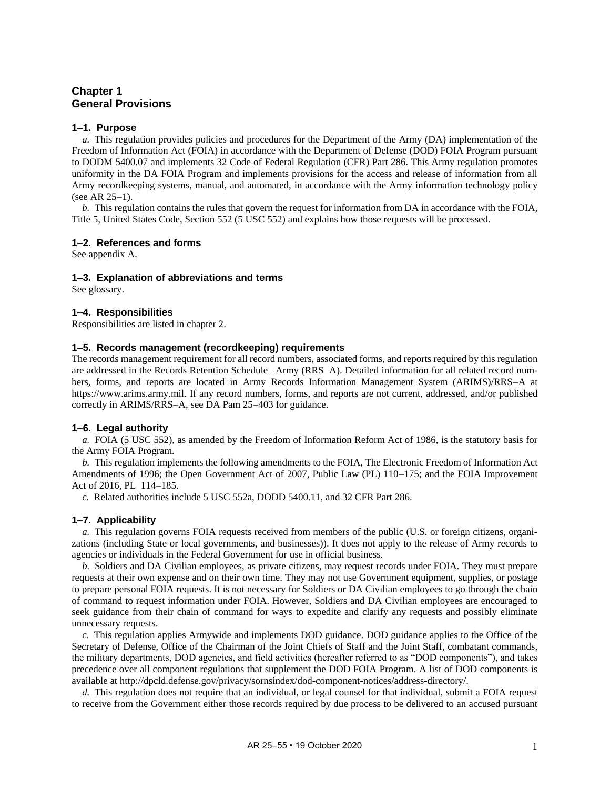# <span id="page-5-0"></span>**Chapter 1 General Provisions**

# <span id="page-5-1"></span>**1–1. Purpose**

<span id="page-5-9"></span>*a.* This regulation provides policies and procedures for the Department of the Army (DA) implementation of the Freedom of Information Act (FOIA) in accordance with the Department of Defense (DOD) FOIA Program pursuant to DODM 5400.07 and implements 32 Code of Federal Regulation (CFR) Part 286. This Army regulation promotes uniformity in the DA FOIA Program and implements provisions for the access and release of information from all Army recordkeeping systems, manual, and automated, in accordance with the Army information technology policy (see AR 25–1).

*b.* This regulation contains the rules that govern the request for information from DA in accordance with the FOIA, Title 5, United States Code, Section 552 (5 USC 552) and explains how those requests will be processed.

#### <span id="page-5-2"></span>**1–2. References and forms**

<span id="page-5-3"></span>See [appendix A.](#page-35-0)

#### **1–3. Explanation of abbreviations and terms**

<span id="page-5-4"></span>See [glossary.](#page-46-0)

#### **1–4. Responsibilities**

<span id="page-5-5"></span>Responsibilities are listed i[n chapter 2.](#page-9-0)

# **1–5. Records management (recordkeeping) requirements**

The records management requirement for all record numbers, associated forms, and reports required by this regulation are addressed in the Records Retention Schedule– Army (RRS–A). Detailed information for all related record numbers, forms, and reports are located in Army Records Information Management System (ARIMS)/RRS–A at [https://www.arims.army.mil.](https://www.arims.army.mil/) If any record numbers, forms, and reports are not current, addressed, and/or published correctly in ARIMS/RRS–A, see DA Pam 25–403 for guidance.

#### <span id="page-5-6"></span>**1–6. Legal authority**

*a.* FOIA (5 USC 552), as amended by the Freedom of Information Reform Act of 1986, is the statutory basis for the Army FOIA Program.

*b.* This regulation implements the following amendments to the FOIA, The Electronic Freedom of Information Act Amendments of 1996; the Open Government Act of 2007, Public Law (PL) 110–175; and the FOIA Improvement Act of 2016, PL 114–185.

*c.* Related authorities include 5 USC 552a, DODD 5400.11, and 32 CFR Part 286.

# <span id="page-5-7"></span>**1–7. Applicability**

*a.* This regulation governs FOIA requests received from members of the public (U.S. or foreign citizens, organizations (including State or local governments, and businesses)). It does not apply to the release of Army records to agencies or individuals in the Federal Government for use in official business.

*b.* Soldiers and DA Civilian employees, as private citizens, may request records under FOIA. They must prepare requests at their own expense and on their own time. They may not use Government equipment, supplies, or postage to prepare personal FOIA requests. It is not necessary for Soldiers or DA Civilian employees to go through the chain of command to request information under FOIA. However, Soldiers and DA Civilian employees are encouraged to seek guidance from their chain of command for ways to expedite and clarify any requests and possibly eliminate unnecessary requests.

*c.* This regulation applies Armywide and implements DOD guidance. DOD guidance applies to the Office of the Secretary of Defense, Office of the Chairman of the Joint Chiefs of Staff and the Joint Staff, combatant commands, the military departments, DOD agencies, and field activities (hereafter referred to as "DOD components"), and takes precedence over all component regulations that supplement the DOD FOIA Program. A list of DOD components is available at [http://dpcld.defense.gov/privacy/sornsindex/dod-component-notices/address-directory/.](http://dpcld.defense.gov/privacy/sornsindex/dod-component-notices/address-directory/)

<span id="page-5-8"></span>*d.* This regulation does not require that an individual, or legal counsel for that individual, submit a FOIA request to receive from the Government either those records required by due process to be delivered to an accused pursuant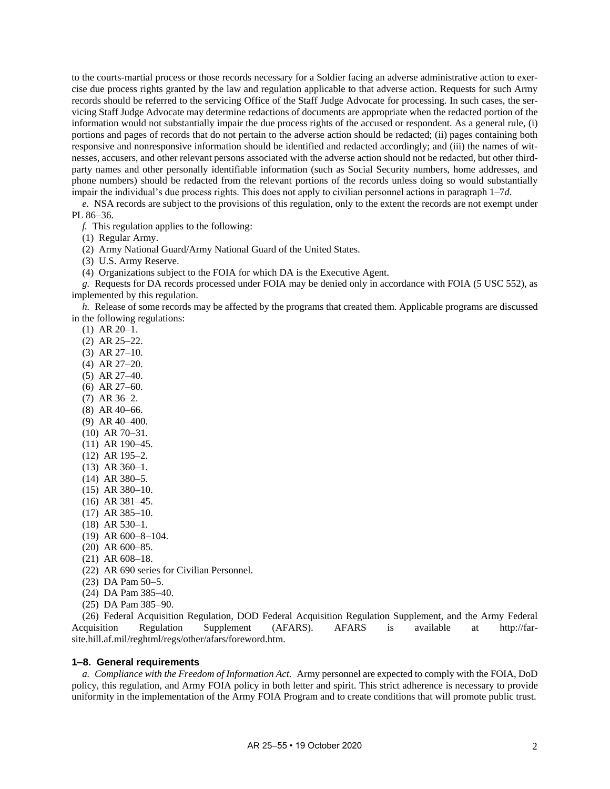to the courts-martial process or those records necessary for a Soldier facing an adverse administrative action to exercise due process rights granted by the law and regulation applicable to that adverse action. Requests for such Army records should be referred to the servicing Office of the Staff Judge Advocate for processing. In such cases, the servicing Staff Judge Advocate may determine redactions of documents are appropriate when the redacted portion of the information would not substantially impair the due process rights of the accused or respondent. As a general rule, (i) portions and pages of records that do not pertain to the adverse action should be redacted; (ii) pages containing both responsive and nonresponsive information should be identified and redacted accordingly; and (iii) the names of witnesses, accusers, and other relevant persons associated with the adverse action should not be redacted, but other thirdparty names and other personally identifiable information (such as Social Security numbers, home addresses, and phone numbers) should be redacted from the relevant portions of the records unless doing so would substantially impair the individual's due process rights. This does not apply to civilian personnel actions in [paragraph](#page-5-8) 1–7*d*.

*e.* NSA records are subject to the provisions of this regulation, only to the extent the records are not exempt under PL 86–36.

*f.* This regulation applies to the following:

(1) Regular Army.

(2) Army National Guard/Army National Guard of the United States.

(3) U.S. Army Reserve.

(4) Organizations subject to the FOIA for which DA is the Executive Agent.

*g.* Requests for DA records processed under FOIA may be denied only in accordance with FOIA (5 USC 552), as implemented by this regulation.

*h.* Release of some records may be affected by the programs that created them. Applicable programs are discussed in the following regulations:

(1) AR 20–1.

<span id="page-6-1"></span>(2) AR 25–22.

(3) AR 27–10.

- <span id="page-6-2"></span>(4) AR 27–20.
- (5) AR 27–40.
- (6) AR 27–60.
- <span id="page-6-3"></span>(7) AR 36–2. (8) AR 40–66.
- <span id="page-6-5"></span><span id="page-6-4"></span>(9) AR 40–400.
- (10) AR 70–31.
- <span id="page-6-6"></span>(11) AR 190–45.
- <span id="page-6-7"></span>(12) AR 195–2.
- (13) AR 360–1.
- <span id="page-6-8"></span>(14) AR 380–5.
- (15) AR 380–10.
- (16) AR 381–45.
- (17) AR 385–10.
- <span id="page-6-9"></span>(18) AR 530–1.
- (19) AR 600–8–104.
- <span id="page-6-10"></span>(20) AR 600–85.
- (21) AR 608–18.
- (22) AR 690 series for Civilian Personnel.
- (23) DA Pam 50–5.
- (24) DA Pam 385–40.
- (25) DA Pam 385–90.

(26) Federal Acquisition Regulation, DOD Federal Acquisition Regulation Supplement, and the Army Federal Acquisition Regulation Supplement (AFARS). AFARS is available at [http://far](http://farsite.hill.af.mil/reghtml/regs/other/afars/foreword.htm)[site.hill.af.mil/reghtml/regs/other/afars/foreword.htm.](http://farsite.hill.af.mil/reghtml/regs/other/afars/foreword.htm)

#### <span id="page-6-0"></span>**1–8. General requirements**

*a. Compliance with the Freedom of Information Act.* Army personnel are expected to comply with the FOIA, DoD policy, this regulation, and Army FOIA policy in both letter and spirit. This strict adherence is necessary to provide uniformity in the implementation of the Army FOIA Program and to create conditions that will promote public trust.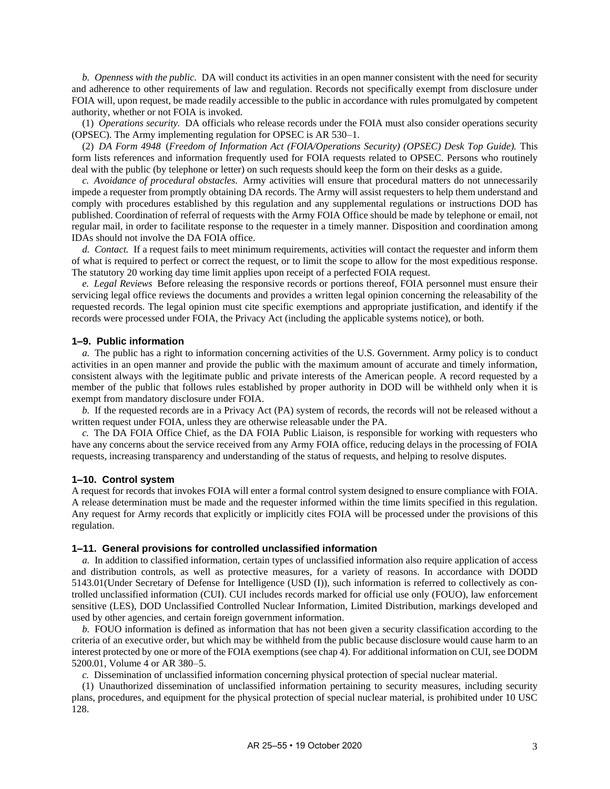*b. Openness with the public.* DA will conduct its activities in an open manner consistent with the need for security and adherence to other requirements of law and regulation. Records not specifically exempt from disclosure under FOIA will, upon request, be made readily accessible to the public in accordance with rules promulgated by competent authority, whether or not FOIA is invoked.

(1) *Operations security.* DA officials who release records under the FOIA must also consider operations security (OPSEC). The Army implementing regulation for OPSEC is AR 530–1.

<span id="page-7-3"></span>(2) *DA Form 4948* (*Freedom of Information Act (FOIA/Operations Security) (OPSEC) Desk Top Guide).* This form lists references and information frequently used for FOIA requests related to OPSEC. Persons who routinely deal with the public (by telephone or letter) on such requests should keep the form on their desks as a guide.

*c. Avoidance of procedural obstacles.* Army activities will ensure that procedural matters do not unnecessarily impede a requester from promptly obtaining DA records. The Army will assist requesters to help them understand and comply with procedures established by this regulation and any supplemental regulations or instructions DOD has published. Coordination of referral of requests with the Army FOIA Office should be made by telephone or email, not regular mail, in order to facilitate response to the requester in a timely manner. Disposition and coordination among IDAs should not involve the DA FOIA office.

*d. Contact.* If a request fails to meet minimum requirements, activities will contact the requester and inform them of what is required to perfect or correct the request, or to limit the scope to allow for the most expeditious response. The statutory 20 working day time limit applies upon receipt of a perfected FOIA request.

*e. Legal Reviews* Before releasing the responsive records or portions thereof, FOIA personnel must ensure their servicing legal office reviews the documents and provides a written legal opinion concerning the releasability of the requested records. The legal opinion must cite specific exemptions and appropriate justification, and identify if the records were processed under FOIA, the Privacy Act (including the applicable systems notice), or both.

#### <span id="page-7-0"></span>**1–9. Public information**

*a.* The public has a right to information concerning activities of the U.S. Government. Army policy is to conduct activities in an open manner and provide the public with the maximum amount of accurate and timely information, consistent always with the legitimate public and private interests of the American people. A record requested by a member of the public that follows rules established by proper authority in DOD will be withheld only when it is exempt from mandatory disclosure under FOIA.

*b.* If the requested records are in a Privacy Act (PA) system of records, the records will not be released without a written request under FOIA, unless they are otherwise releasable under the PA.

*c.* The DA FOIA Office Chief, as the DA FOIA Public Liaison, is responsible for working with requesters who have any concerns about the service received from any Army FOIA office, reducing delays in the processing of FOIA requests, increasing transparency and understanding of the status of requests, and helping to resolve disputes.

#### <span id="page-7-1"></span>**1–10. Control system**

A request for records that invokes FOIA will enter a formal control system designed to ensure compliance with FOIA. A release determination must be made and the requester informed within the time limits specified in this regulation. Any request for Army records that explicitly or implicitly cites FOIA will be processed under the provisions of this regulation.

#### <span id="page-7-2"></span>**1–11. General provisions for controlled unclassified information**

*a.* In addition to classified information, certain types of unclassified information also require application of access and distribution controls, as well as protective measures, for a variety of reasons. In accordance with DODD 5143.01(Under Secretary of Defense for Intelligence (USD (I)), such information is referred to collectively as controlled unclassified information (CUI). CUI includes records marked for official use only (FOUO), law enforcement sensitive (LES), DOD Unclassified Controlled Nuclear Information, Limited Distribution, markings developed and used by other agencies, and certain foreign government information.

*b.* FOUO information is defined as information that has not been given a security classification according to the criteria of an executive order, but which may be withheld from the public because disclosure would cause harm to an interest protected by one or more of the FOIA exemptions (se[e chap](#page-15-0) 4). For additional information on CUI, see DODM 5200.01, Volume 4 or AR 380–5.

*c.* Dissemination of unclassified information concerning physical protection of special nuclear material.

(1) Unauthorized dissemination of unclassified information pertaining to security measures, including security plans, procedures, and equipment for the physical protection of special nuclear material, is prohibited under 10 USC 128.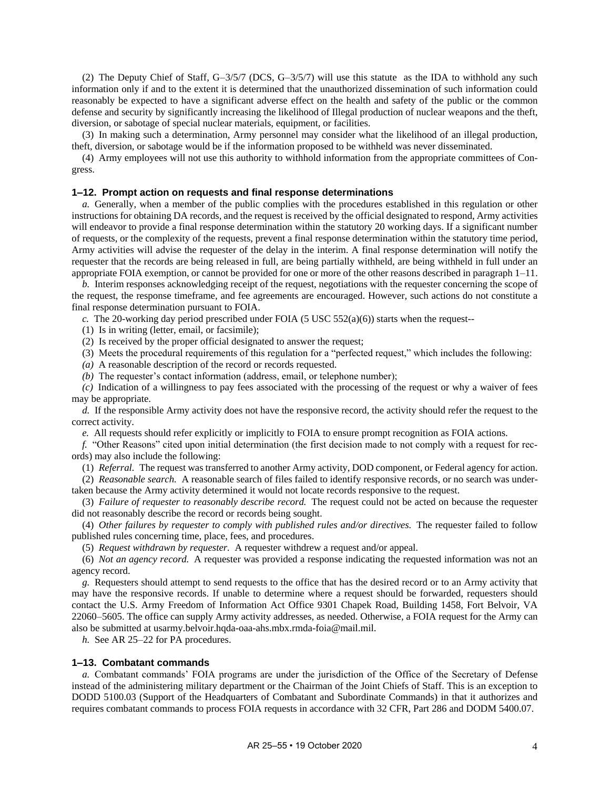(2) The Deputy Chief of Staff, G–3/5/7 (DCS, G–3/5/7) will use this statute as the IDA to withhold any such information only if and to the extent it is determined that the unauthorized dissemination of such information could reasonably be expected to have a significant adverse effect on the health and safety of the public or the common defense and security by significantly increasing the likelihood of Illegal production of nuclear weapons and the theft, diversion, or sabotage of special nuclear materials, equipment, or facilities.

(3) In making such a determination, Army personnel may consider what the likelihood of an illegal production, theft, diversion, or sabotage would be if the information proposed to be withheld was never disseminated.

(4) Army employees will not use this authority to withhold information from the appropriate committees of Congress.

#### <span id="page-8-0"></span>**1–12. Prompt action on requests and final response determinations**

*a.* Generally, when a member of the public complies with the procedures established in this regulation or other instructions for obtaining DA records, and the request is received by the official designated to respond, Army activities will endeavor to provide a final response determination within the statutory 20 working days. If a significant number of requests, or the complexity of the requests, prevent a final response determination within the statutory time period, Army activities will advise the requester of the delay in the interim. A final response determination will notify the requester that the records are being released in full, are being partially withheld, are being withheld in full under an appropriate FOIA exemption, or cannot be provided for one or more of the other reasons described in [paragraph](#page-7-2) 1–11.

*b.* Interim responses acknowledging receipt of the request, negotiations with the requester concerning the scope of the request, the response timeframe, and fee agreements are encouraged. However, such actions do not constitute a final response determination pursuant to FOIA.

*c.* The 20-working day period prescribed under FOIA (5 USC 552(a)(6)) starts when the request--

(1) Is in writing (letter, email, or facsimile);

(2) Is received by the proper official designated to answer the request;

(3) Meets the procedural requirements of this regulation for a "perfected request," which includes the following:

*(a)* A reasonable description of the record or records requested.

*(b)* The requester's contact information (address, email, or telephone number);

*(c)* Indication of a willingness to pay fees associated with the processing of the request or why a waiver of fees may be appropriate.

*d.* If the responsible Army activity does not have the responsive record, the activity should refer the request to the correct activity.

*e.* All requests should refer explicitly or implicitly to FOIA to ensure prompt recognition as FOIA actions.

*f.* "Other Reasons" cited upon initial determination (the first decision made to not comply with a request for records) may also include the following:

(1) *Referral.* The request was transferred to another Army activity, DOD component, or Federal agency for action.

(2) *Reasonable search.* A reasonable search of files failed to identify responsive records, or no search was undertaken because the Army activity determined it would not locate records responsive to the request.

(3) *Failure of requester to reasonably describe record.* The request could not be acted on because the requester did not reasonably describe the record or records being sought.

(4) *Other failures by requester to comply with published rules and/or directives.* The requester failed to follow published rules concerning time, place, fees, and procedures.

(5) *Request withdrawn by requester.* A requester withdrew a request and/or appeal.

(6) *Not an agency record.* A requester was provided a response indicating the requested information was not an agency record.

*g.* Requesters should attempt to send requests to the office that has the desired record or to an Army activity that may have the responsive records. If unable to determine where a request should be forwarded, requesters should contact the U.S. Army Freedom of Information Act Office 9301 Chapek Road, Building 1458, Fort Belvoir, VA 22060–5605. The office can supply Army activity addresses, as needed. Otherwise, a FOIA request for the Army can also be submitted at [usarmy.belvoir.hqda-oaa-ahs.mbx.rmda-foia@mail.mil.](mailto:usarmy.belvoir.hqda-oaa-ahs.mbx.rmda-foia@mail.mil)

*h.* See AR 25–22 for PA procedures.

#### <span id="page-8-1"></span>**1–13. Combatant commands**

*a.* Combatant commands' FOIA programs are under the jurisdiction of the Office of the Secretary of Defense instead of the administering military department or the Chairman of the Joint Chiefs of Staff. This is an exception to DODD 5100.03 (Support of the Headquarters of Combatant and Subordinate Commands) in that it authorizes and requires combatant commands to process FOIA requests in accordance with 32 CFR, Part 286 and DODM 5400.07.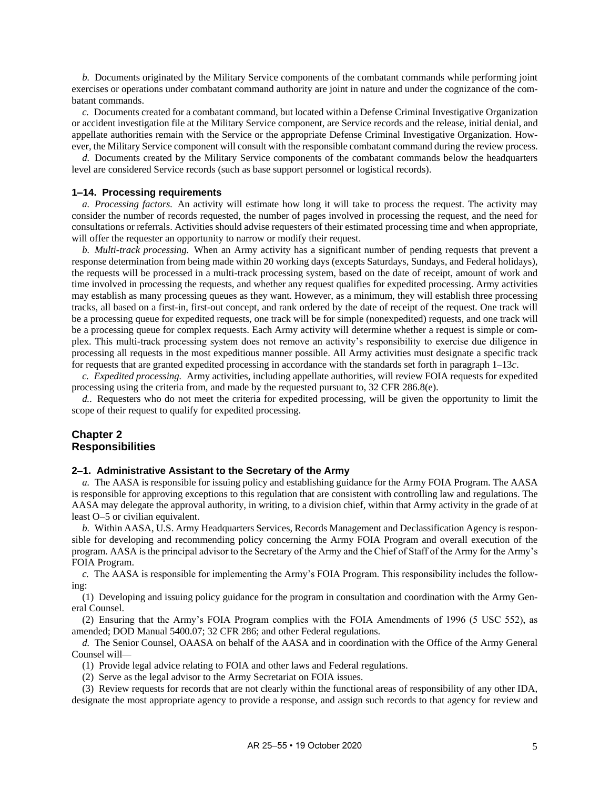*b.* Documents originated by the Military Service components of the combatant commands while performing joint exercises or operations under combatant command authority are joint in nature and under the cognizance of the combatant commands.

<span id="page-9-3"></span>*c.* Documents created for a combatant command, but located within a Defense Criminal Investigative Organization or accident investigation file at the Military Service component, are Service records and the release, initial denial, and appellate authorities remain with the Service or the appropriate Defense Criminal Investigative Organization. However, the Military Service component will consult with the responsible combatant command during the review process.

*d.* Documents created by the Military Service components of the combatant commands below the headquarters level are considered Service records (such as base support personnel or logistical records).

#### <span id="page-9-1"></span>**1–14. Processing requirements**

*a. Processing factors.* An activity will estimate how long it will take to process the request. The activity may consider the number of records requested, the number of pages involved in processing the request, and the need for consultations or referrals. Activities should advise requesters of their estimated processing time and when appropriate, will offer the requester an opportunity to narrow or modify their request.

*b. Multi-track processing.* When an Army activity has a significant number of pending requests that prevent a response determination from being made within 20 working days (excepts Saturdays, Sundays, and Federal holidays), the requests will be processed in a multi-track processing system, based on the date of receipt, amount of work and time involved in processing the requests, and whether any request qualifies for expedited processing. Army activities may establish as many processing queues as they want. However, as a minimum, they will establish three processing tracks, all based on a first-in, first-out concept, and rank ordered by the date of receipt of the request. One track will be a processing queue for expedited requests, one track will be for simple (nonexpedited) requests, and one track will be a processing queue for complex requests. Each Army activity will determine whether a request is simple or complex. This multi-track processing system does not remove an activity's responsibility to exercise due diligence in processing all requests in the most expeditious manner possible. All Army activities must designate a specific track for requests that are granted expedited processing in accordance with the standards set forth i[n paragraph](#page-9-3) 1–13*c*.

*c. Expedited processing.* Army activities, including appellate authorities, will review FOIA requests for expedited processing using the criteria from, and made by the requested pursuant to, 32 CFR 286.8(e).

*d..* Requesters who do not meet the criteria for expedited processing, will be given the opportunity to limit the scope of their request to qualify for expedited processing.

# <span id="page-9-0"></span>**Chapter 2 Responsibilities**

#### <span id="page-9-2"></span>**2–1. Administrative Assistant to the Secretary of the Army**

*a.* The AASA is responsible for issuing policy and establishing guidance for the Army FOIA Program. The AASA is responsible for approving exceptions to this regulation that are consistent with controlling law and regulations. The AASA may delegate the approval authority, in writing, to a division chief, within that Army activity in the grade of at least O–5 or civilian equivalent.

*b.* Within AASA, U.S. Army Headquarters Services, Records Management and Declassification Agency is responsible for developing and recommending policy concerning the Army FOIA Program and overall execution of the program. AASA is the principal advisor to the Secretary of the Army and the Chief of Staff of the Army for the Army's FOIA Program.

*c.* The AASA is responsible for implementing the Army's FOIA Program. This responsibility includes the following:

(1) Developing and issuing policy guidance for the program in consultation and coordination with the Army General Counsel.

(2) Ensuring that the Army's FOIA Program complies with the FOIA Amendments of 1996 (5 USC 552), as amended; DOD Manual 5400.07; 32 CFR 286; and other Federal regulations.

*d.* The Senior Counsel, OAASA on behalf of the AASA and in coordination with the Office of the Army General Counsel will*—*

(1) Provide legal advice relating to FOIA and other laws and Federal regulations.

(2) Serve as the legal advisor to the Army Secretariat on FOIA issues.

(3) Review requests for records that are not clearly within the functional areas of responsibility of any other IDA, designate the most appropriate agency to provide a response, and assign such records to that agency for review and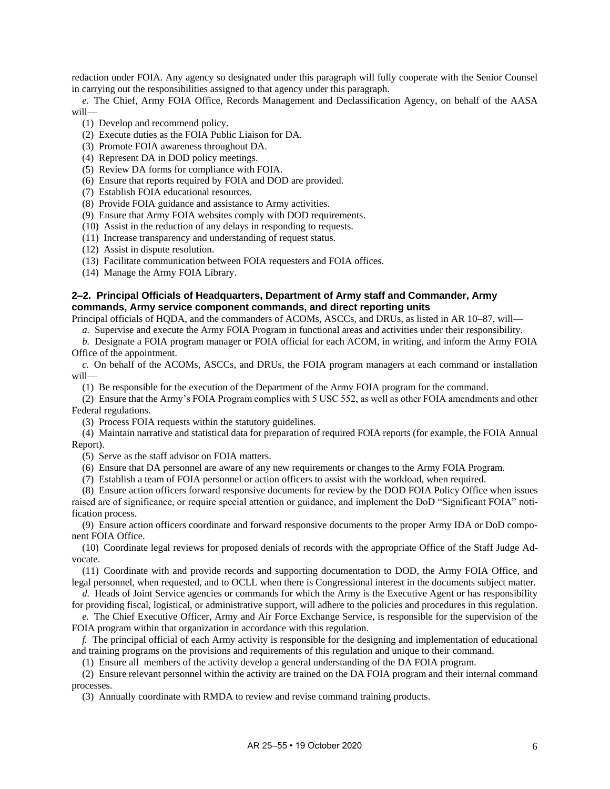redaction under FOIA. Any agency so designated under this paragraph will fully cooperate with the Senior Counsel in carrying out the responsibilities assigned to that agency under this paragraph.

*e.* The Chief, Army FOIA Office, Records Management and Declassification Agency, on behalf of the AASA will—

- (1) Develop and recommend policy.
- (2) Execute duties as the FOIA Public Liaison for DA.
- (3) Promote FOIA awareness throughout DA.
- (4) Represent DA in DOD policy meetings.
- (5) Review DA forms for compliance with FOIA.
- (6) Ensure that reports required by FOIA and DOD are provided.
- (7) Establish FOIA educational resources.
- (8) Provide FOIA guidance and assistance to Army activities.
- (9) Ensure that Army FOIA websites comply with DOD requirements.
- (10) Assist in the reduction of any delays in responding to requests.
- (11) Increase transparency and understanding of request status.
- (12) Assist in dispute resolution.
- (13) Facilitate communication between FOIA requesters and FOIA offices.
- (14) Manage the Army FOIA Library.

# <span id="page-10-0"></span>**2–2. Principal Officials of Headquarters, Department of Army staff and Commander, Army commands, Army service component commands, and direct reporting units**

Principal officials of HQDA, and the commanders of ACOMs, ASCCs, and DRUs, as listed in AR 10–87, will—

*a.* Supervise and execute the Army FOIA Program in functional areas and activities under their responsibility.

*b.* Designate a FOIA program manager or FOIA official for each ACOM, in writing, and inform the Army FOIA Office of the appointment.

*c.* On behalf of the ACOMs, ASCCs, and DRUs, the FOIA program managers at each command or installation will—

(1) Be responsible for the execution of the Department of the Army FOIA program for the command.

(2) Ensure that the Army's FOIA Program complies with 5 USC 552, as well as other FOIA amendments and other Federal regulations.

(3) Process FOIA requests within the statutory guidelines.

(4) Maintain narrative and statistical data for preparation of required FOIA reports (for example, the FOIA Annual Report).

(5) Serve as the staff advisor on FOIA matters.

(6) Ensure that DA personnel are aware of any new requirements or changes to the Army FOIA Program.

(7) Establish a team of FOIA personnel or action officers to assist with the workload, when required.

(8) Ensure action officers forward responsive documents for review by the DOD FOIA Policy Office when issues raised are of significance, or require special attention or guidance, and implement the DoD "Significant FOIA" notification process.

(9) Ensure action officers coordinate and forward responsive documents to the proper Army IDA or DoD component FOIA Office.

(10) Coordinate legal reviews for proposed denials of records with the appropriate Office of the Staff Judge Advocate.

(11) Coordinate with and provide records and supporting documentation to DOD, the Army FOIA Office, and legal personnel, when requested, and to OCLL when there is Congressional interest in the documents subject matter.

*d.* Heads of Joint Service agencies or commands for which the Army is the Executive Agent or has responsibility for providing fiscal, logistical, or administrative support, will adhere to the policies and procedures in this regulation.

*e.* The Chief Executive Officer, Army and Air Force Exchange Service, is responsible for the supervision of the FOIA program within that organization in accordance with this regulation.

*f.* The principal official of each Army activity is responsible for the designing and implementation of educational and training programs on the provisions and requirements of this regulation and unique to their command.

(1) Ensure all members of the activity develop a general understanding of the DA FOIA program.

(2) Ensure relevant personnel within the activity are trained on the DA FOIA program and their internal command processes.

(3) Annually coordinate with RMDA to review and revise command training products.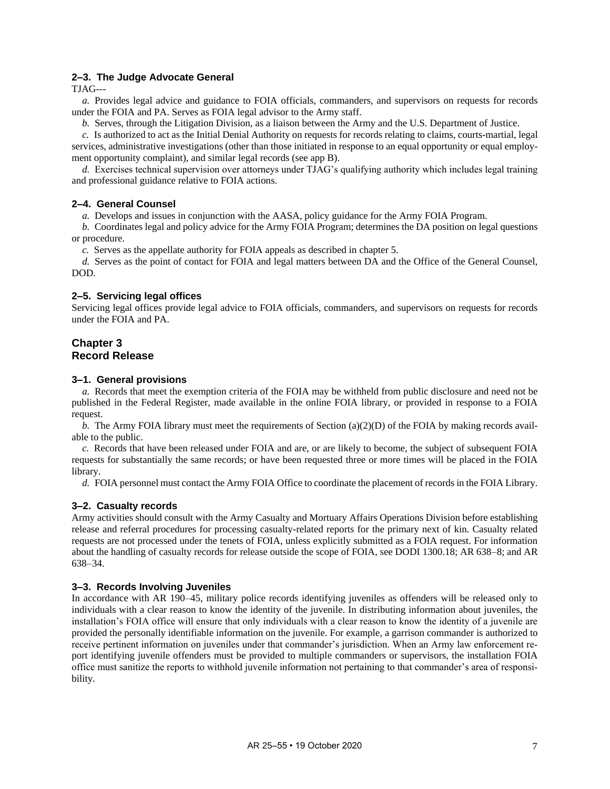# <span id="page-11-0"></span>**2–3. The Judge Advocate General**

TJAG---

*a.* Provides legal advice and guidance to FOIA officials, commanders, and supervisors on requests for records under the FOIA and PA. Serves as FOIA legal advisor to the Army staff.

*b.* Serves, through the Litigation Division, as a liaison between the Army and the U.S. Department of Justice.

*c.* Is authorized to act as the Initial Denial Authority on requests for records relating to claims, courts-martial, legal services, administrative investigations (other than those initiated in response to an equal opportunity or equal employment opportunity complaint), and similar legal records (se[e app](#page-41-0) B).

*d.* Exercises technical supervision over attorneys under TJAG's qualifying authority which includes legal training and professional guidance relative to FOIA actions.

# <span id="page-11-1"></span>**2–4. General Counsel**

*a.* Develops and issues in conjunction with the AASA, policy guidance for the Army FOIA Program.

*b.* Coordinates legal and policy advice for the Army FOIA Program; determines the DA position on legal questions or procedure.

*c.* Serves as the appellate authority for FOIA appeals as described i[n chapter](#page-17-0) 5.

*d.* Serves as the point of contact for FOIA and legal matters between DA and the Office of the General Counsel, DOD.

# <span id="page-11-2"></span>**2–5. Servicing legal offices**

Servicing legal offices provide legal advice to FOIA officials, commanders, and supervisors on requests for records under the FOIA and PA.

# <span id="page-11-3"></span>**Chapter 3 Record Release**

#### <span id="page-11-4"></span>**3–1. General provisions**

*a.* Records that meet the exemption criteria of the FOIA may be withheld from public disclosure and need not be published in the Federal Register, made available in the online FOIA library, or provided in response to a FOIA request.

*b.* The Army FOIA library must meet the requirements of Section (a)(2)(D) of the FOIA by making records available to the public.

*c.* Records that have been released under FOIA and are, or are likely to become, the subject of subsequent FOIA requests for substantially the same records; or have been requested three or more times will be placed in the FOIA library.

*d.* FOIA personnel must contact the Army FOIA Office to coordinate the placement of records in the FOIA Library.

# <span id="page-11-5"></span>**3–2. Casualty records**

Army activities should consult with the Army Casualty and Mortuary Affairs Operations Division before establishing release and referral procedures for processing casualty-related reports for the primary next of kin. Casualty related requests are not processed under the tenets of FOIA, unless explicitly submitted as a FOIA request. For information about the handling of casualty records for release outside the scope of FOIA, see DODI 1300.18; AR 638–8; and AR 638–34.

# <span id="page-11-6"></span>**3–3. Records Involving Juveniles**

In accordance with AR 190–45, military police records identifying juveniles as offenders will be released only to individuals with a clear reason to know the identity of the juvenile. In distributing information about juveniles, the installation's FOIA office will ensure that only individuals with a clear reason to know the identity of a juvenile are provided the personally identifiable information on the juvenile. For example, a garrison commander is authorized to receive pertinent information on juveniles under that commander's jurisdiction. When an Army law enforcement report identifying juvenile offenders must be provided to multiple commanders or supervisors, the installation FOIA office must sanitize the reports to withhold juvenile information not pertaining to that commander's area of responsibility.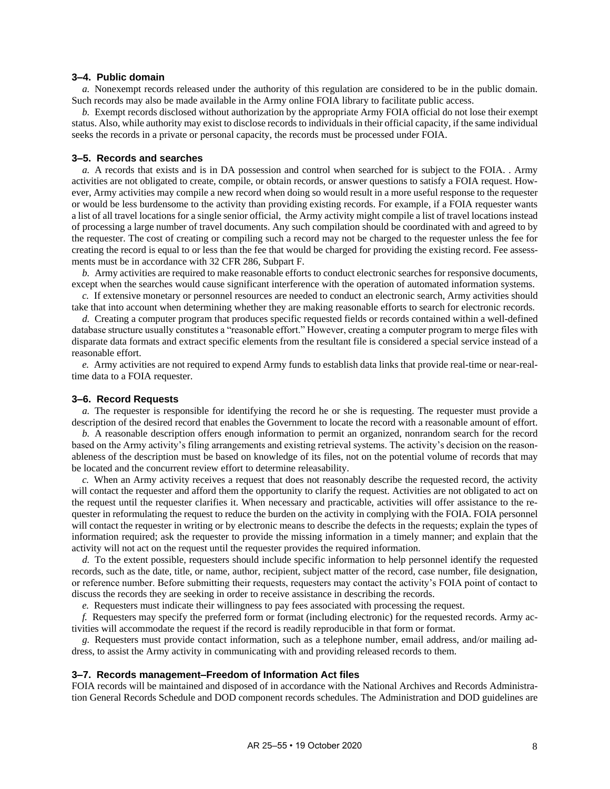#### <span id="page-12-0"></span>**3–4. Public domain**

*a.* Nonexempt records released under the authority of this regulation are considered to be in the public domain. Such records may also be made available in the Army online FOIA library to facilitate public access.

*b.* Exempt records disclosed without authorization by the appropriate Army FOIA official do not lose their exempt status. Also, while authority may exist to disclose records to individuals in their official capacity, if the same individual seeks the records in a private or personal capacity, the records must be processed under FOIA.

#### <span id="page-12-1"></span>**3–5. Records and searches**

*a.* A records that exists and is in DA possession and control when searched for is subject to the FOIA. . Army activities are not obligated to create, compile, or obtain records, or answer questions to satisfy a FOIA request. However, Army activities may compile a new record when doing so would result in a more useful response to the requester or would be less burdensome to the activity than providing existing records. For example, if a FOIA requester wants a list of all travel locations for a single senior official, the Army activity might compile a list of travel locations instead of processing a large number of travel documents. Any such compilation should be coordinated with and agreed to by the requester. The cost of creating or compiling such a record may not be charged to the requester unless the fee for creating the record is equal to or less than the fee that would be charged for providing the existing record. Fee assessments must be in accordance with 32 CFR 286, Subpart F.

*b.* Army activities are required to make reasonable efforts to conduct electronic searches for responsive documents, except when the searches would cause significant interference with the operation of automated information systems.

*c.* If extensive monetary or personnel resources are needed to conduct an electronic search, Army activities should take that into account when determining whether they are making reasonable efforts to search for electronic records.

*d.* Creating a computer program that produces specific requested fields or records contained within a well-defined database structure usually constitutes a "reasonable effort." However, creating a computer program to merge files with disparate data formats and extract specific elements from the resultant file is considered a special service instead of a reasonable effort.

*e.* Army activities are not required to expend Army funds to establish data links that provide real-time or near-realtime data to a FOIA requester.

#### <span id="page-12-2"></span>**3–6. Record Requests**

*a.* The requester is responsible for identifying the record he or she is requesting. The requester must provide a description of the desired record that enables the Government to locate the record with a reasonable amount of effort.

*b.* A reasonable description offers enough information to permit an organized, nonrandom search for the record based on the Army activity's filing arrangements and existing retrieval systems. The activity's decision on the reasonableness of the description must be based on knowledge of its files, not on the potential volume of records that may be located and the concurrent review effort to determine releasability.

*c.* When an Army activity receives a request that does not reasonably describe the requested record, the activity will contact the requester and afford them the opportunity to clarify the request. Activities are not obligated to act on the request until the requester clarifies it. When necessary and practicable, activities will offer assistance to the requester in reformulating the request to reduce the burden on the activity in complying with the FOIA. FOIA personnel will contact the requester in writing or by electronic means to describe the defects in the requests; explain the types of information required; ask the requester to provide the missing information in a timely manner; and explain that the activity will not act on the request until the requester provides the required information.

*d.* To the extent possible, requesters should include specific information to help personnel identify the requested records, such as the date, title, or name, author, recipient, subject matter of the record, case number, file designation, or reference number. Before submitting their requests, requesters may contact the activity's FOIA point of contact to discuss the records they are seeking in order to receive assistance in describing the records.

*e.* Requesters must indicate their willingness to pay fees associated with processing the request.

*f.* Requesters may specify the preferred form or format (including electronic) for the requested records. Army activities will accommodate the request if the record is readily reproducible in that form or format.

*g.* Requesters must provide contact information, such as a telephone number, email address, and/or mailing address, to assist the Army activity in communicating with and providing released records to them.

#### <span id="page-12-3"></span>**3–7. Records management–Freedom of Information Act files**

FOIA records will be maintained and disposed of in accordance with the National Archives and Records Administration General Records Schedule and DOD component records schedules. The Administration and DOD guidelines are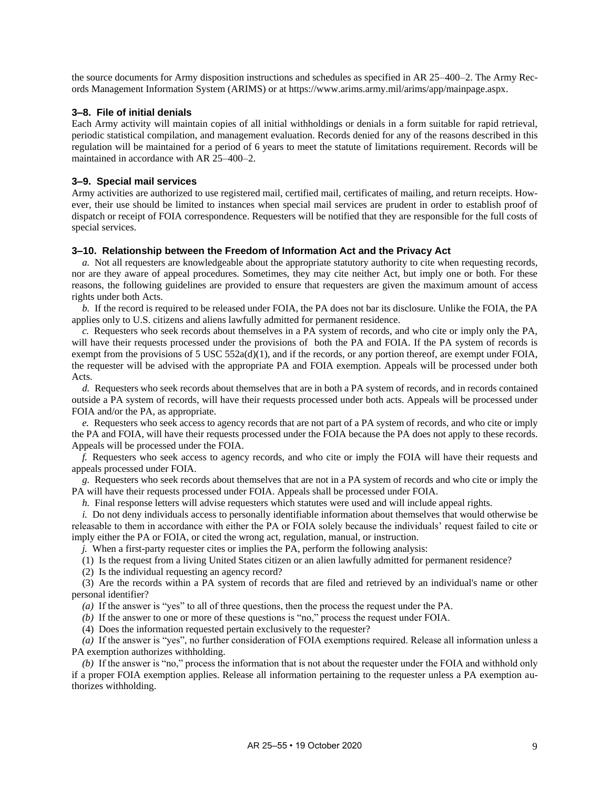the source documents for Army disposition instructions and schedules as specified in AR 25–400–2. The Army Records Management Information System (ARIMS) or at [https://www.arims.army.mil/arims/app/mainpage.aspx.](https://www.arims.army.mil/arims/app/mainpage.aspx)

# <span id="page-13-0"></span>**3–8. File of initial denials**

Each Army activity will maintain copies of all initial withholdings or denials in a form suitable for rapid retrieval, periodic statistical compilation, and management evaluation. Records denied for any of the reasons described in this regulation will be maintained for a period of 6 years to meet the statute of limitations requirement. Records will be maintained in accordance with AR 25–400–2.

#### <span id="page-13-1"></span>**3–9. Special mail services**

Army activities are authorized to use registered mail, certified mail, certificates of mailing, and return receipts. However, their use should be limited to instances when special mail services are prudent in order to establish proof of dispatch or receipt of FOIA correspondence. Requesters will be notified that they are responsible for the full costs of special services.

#### <span id="page-13-2"></span>**3–10. Relationship between the Freedom of Information Act and the Privacy Act**

*a.* Not all requesters are knowledgeable about the appropriate statutory authority to cite when requesting records, nor are they aware of appeal procedures. Sometimes, they may cite neither Act, but imply one or both. For these reasons, the following guidelines are provided to ensure that requesters are given the maximum amount of access rights under both Acts.

*b.* If the record is required to be released under FOIA, the PA does not bar its disclosure. Unlike the FOIA, the PA applies only to U.S. citizens and aliens lawfully admitted for permanent residence.

*c.* Requesters who seek records about themselves in a PA system of records, and who cite or imply only the PA, will have their requests processed under the provisions of both the PA and FOIA. If the PA system of records is exempt from the provisions of 5 USC 552a(d)(1), and if the records, or any portion thereof, are exempt under FOIA, the requester will be advised with the appropriate PA and FOIA exemption. Appeals will be processed under both Acts.

*d.* Requesters who seek records about themselves that are in both a PA system of records, and in records contained outside a PA system of records, will have their requests processed under both acts. Appeals will be processed under FOIA and/or the PA, as appropriate.

*e.* Requesters who seek access to agency records that are not part of a PA system of records, and who cite or imply the PA and FOIA, will have their requests processed under the FOIA because the PA does not apply to these records. Appeals will be processed under the FOIA.

*f.* Requesters who seek access to agency records, and who cite or imply the FOIA will have their requests and appeals processed under FOIA.

*g.* Requesters who seek records about themselves that are not in a PA system of records and who cite or imply the PA will have their requests processed under FOIA. Appeals shall be processed under FOIA.

*h.* Final response letters will advise requesters which statutes were used and will include appeal rights.

*i.* Do not deny individuals access to personally identifiable information about themselves that would otherwise be releasable to them in accordance with either the PA or FOIA solely because the individuals' request failed to cite or imply either the PA or FOIA, or cited the wrong act, regulation, manual, or instruction.

*j.* When a first-party requester cites or implies the PA, perform the following analysis:

(1) Is the request from a living United States citizen or an alien lawfully admitted for permanent residence?

(2) Is the individual requesting an agency record?

(3) Are the records within a PA system of records that are filed and retrieved by an individual's name or other personal identifier?

*(a)* If the answer is "yes" to all of three questions, then the process the request under the PA.

*(b)* If the answer to one or more of these questions is "no," process the request under FOIA.

(4) Does the information requested pertain exclusively to the requester?

*(a)* If the answer is "yes", no further consideration of FOIA exemptions required. Release all information unless a PA exemption authorizes withholding.

*(b)* If the answer is "no," process the information that is not about the requester under the FOIA and withhold only if a proper FOIA exemption applies. Release all information pertaining to the requester unless a PA exemption authorizes withholding.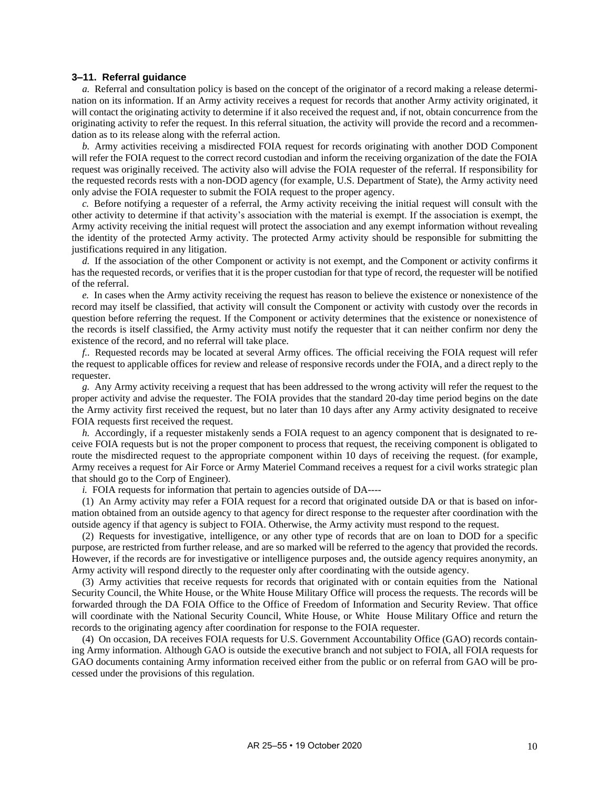#### <span id="page-14-0"></span>**3–11. Referral guidance**

*a.* Referral and consultation policy is based on the concept of the originator of a record making a release determination on its information. If an Army activity receives a request for records that another Army activity originated, it will contact the originating activity to determine if it also received the request and, if not, obtain concurrence from the originating activity to refer the request. In this referral situation, the activity will provide the record and a recommendation as to its release along with the referral action.

*b.* Army activities receiving a misdirected FOIA request for records originating with another DOD Component will refer the FOIA request to the correct record custodian and inform the receiving organization of the date the FOIA request was originally received. The activity also will advise the FOIA requester of the referral. If responsibility for the requested records rests with a non-DOD agency (for example, U.S. Department of State), the Army activity need only advise the FOIA requester to submit the FOIA request to the proper agency.

*c.* Before notifying a requester of a referral, the Army activity receiving the initial request will consult with the other activity to determine if that activity's association with the material is exempt. If the association is exempt, the Army activity receiving the initial request will protect the association and any exempt information without revealing the identity of the protected Army activity. The protected Army activity should be responsible for submitting the justifications required in any litigation.

*d.* If the association of the other Component or activity is not exempt, and the Component or activity confirms it has the requested records, or verifies that it is the proper custodian for that type of record, the requester will be notified of the referral.

*e.* In cases when the Army activity receiving the request has reason to believe the existence or nonexistence of the record may itself be classified, that activity will consult the Component or activity with custody over the records in question before referring the request. If the Component or activity determines that the existence or nonexistence of the records is itself classified, the Army activity must notify the requester that it can neither confirm nor deny the existence of the record, and no referral will take place.

*f..* Requested records may be located at several Army offices. The official receiving the FOIA request will refer the request to applicable offices for review and release of responsive records under the FOIA, and a direct reply to the requester.

*g.* Any Army activity receiving a request that has been addressed to the wrong activity will refer the request to the proper activity and advise the requester. The FOIA provides that the standard 20-day time period begins on the date the Army activity first received the request, but no later than 10 days after any Army activity designated to receive FOIA requests first received the request.

*h.* Accordingly, if a requester mistakenly sends a FOIA request to an agency component that is designated to receive FOIA requests but is not the proper component to process that request, the receiving component is obligated to route the misdirected request to the appropriate component within 10 days of receiving the request. (for example, Army receives a request for Air Force or Army Materiel Command receives a request for a civil works strategic plan that should go to the Corp of Engineer).

*i.* FOIA requests for information that pertain to agencies outside of DA----

(1) An Army activity may refer a FOIA request for a record that originated outside DA or that is based on information obtained from an outside agency to that agency for direct response to the requester after coordination with the outside agency if that agency is subject to FOIA. Otherwise, the Army activity must respond to the request.

(2) Requests for investigative, intelligence, or any other type of records that are on loan to DOD for a specific purpose, are restricted from further release, and are so marked will be referred to the agency that provided the records. However, if the records are for investigative or intelligence purposes and, the outside agency requires anonymity, an Army activity will respond directly to the requester only after coordinating with the outside agency.

(3) Army activities that receive requests for records that originated with or contain equities from the National Security Council, the White House, or the White House Military Office will process the requests. The records will be forwarded through the DA FOIA Office to the Office of Freedom of Information and Security Review. That office will coordinate with the National Security Council, White House, or White House Military Office and return the records to the originating agency after coordination for response to the FOIA requester.

(4) On occasion, DA receives FOIA requests for U.S. Government Accountability Office (GAO) records containing Army information. Although GAO is outside the executive branch and not subject to FOIA, all FOIA requests for GAO documents containing Army information received either from the public or on referral from GAO will be processed under the provisions of this regulation.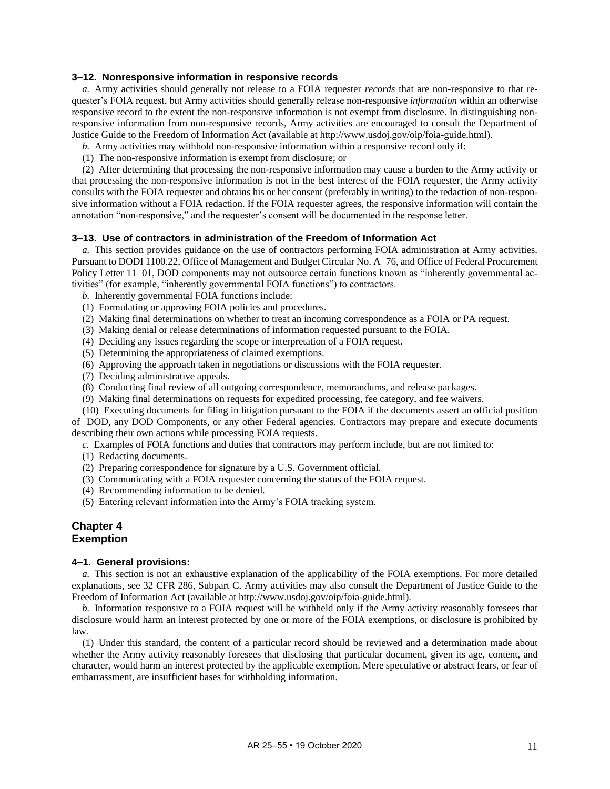#### <span id="page-15-1"></span>**3–12. Nonresponsive information in responsive records**

*a.* Army activities should generally not release to a FOIA requester *records* that are non-responsive to that requester's FOIA request, but Army activities should generally release non-responsive *information* within an otherwise responsive record to the extent the non-responsive information is not exempt from disclosure. In distinguishing nonresponsive information from non-responsive records, Army activities are encouraged to consult the Department of Justice Guide to the Freedom of Information Act (available at [http://www.usdoj.gov/oip/foia-guide.html\)](http://www.usdoj.gov/oip/foia-guide.html).

- *b.* Army activities may withhold non-responsive information within a responsive record only if:
- (1) The non-responsive information is exempt from disclosure; or

(2) After determining that processing the non-responsive information may cause a burden to the Army activity or that processing the non-responsive information is not in the best interest of the FOIA requester, the Army activity consults with the FOIA requester and obtains his or her consent (preferably in writing) to the redaction of non-responsive information without a FOIA redaction. If the FOIA requester agrees, the responsive information will contain the annotation "non-responsive," and the requester's consent will be documented in the response letter.

#### <span id="page-15-2"></span>**3–13. Use of contractors in administration of the Freedom of Information Act**

*a.* This section provides guidance on the use of contractors performing FOIA administration at Army activities. Pursuant to DODI 1100.22, Office of Management and Budget Circular No. A–76, and Office of Federal Procurement Policy Letter 11–01, DOD components may not outsource certain functions known as "inherently governmental activities" (for example, "inherently governmental FOIA functions") to contractors.

- *b.* Inherently governmental FOIA functions include:
- (1) Formulating or approving FOIA policies and procedures.
- (2) Making final determinations on whether to treat an incoming correspondence as a FOIA or PA request.
- (3) Making denial or release determinations of information requested pursuant to the FOIA.
- (4) Deciding any issues regarding the scope or interpretation of a FOIA request.
- (5) Determining the appropriateness of claimed exemptions.
- (6) Approving the approach taken in negotiations or discussions with the FOIA requester.
- (7) Deciding administrative appeals.
- (8) Conducting final review of all outgoing correspondence, memorandums, and release packages.
- (9) Making final determinations on requests for expedited processing, fee category, and fee waivers.

(10) Executing documents for filing in litigation pursuant to the FOIA if the documents assert an official position of DOD, any DOD Components, or any other Federal agencies. Contractors may prepare and execute documents describing their own actions while processing FOIA requests.

*c.* Examples of FOIA functions and duties that contractors may perform include, but are not limited to:

- (1) Redacting documents.
- (2) Preparing correspondence for signature by a U.S. Government official.
- (3) Communicating with a FOIA requester concerning the status of the FOIA request.
- (4) Recommending information to be denied.
- (5) Entering relevant information into the Army's FOIA tracking system.

# <span id="page-15-0"></span>**Chapter 4 Exemption**

#### <span id="page-15-3"></span>**4–1. General provisions:**

*a.* This section is not an exhaustive explanation of the applicability of the FOIA exemptions. For more detailed explanations, see 32 CFR 286, Subpart C. Army activities may also consult the Department of Justice Guide to the Freedom of Information Act (available a[t http://www.usdoj.gov/oip/foia-guide.html\)](http://www.usdoj.gov/oip/foia-guide.html).

*b.* Information responsive to a FOIA request will be withheld only if the Army activity reasonably foresees that disclosure would harm an interest protected by one or more of the FOIA exemptions, or disclosure is prohibited by law.

(1) Under this standard, the content of a particular record should be reviewed and a determination made about whether the Army activity reasonably foresees that disclosing that particular document, given its age, content, and character, would harm an interest protected by the applicable exemption. Mere speculative or abstract fears, or fear of embarrassment, are insufficient bases for withholding information.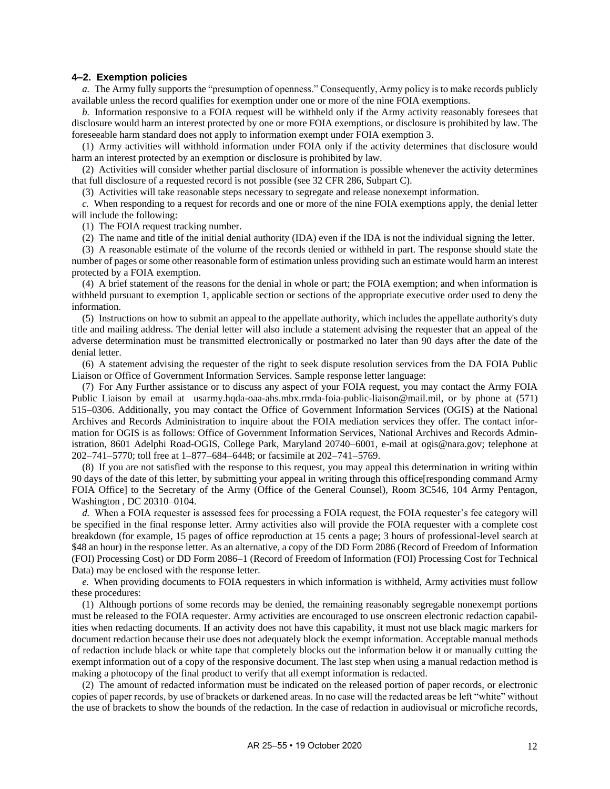#### <span id="page-16-0"></span>**4–2. Exemption policies**

*a.* The Army fully supports the "presumption of openness." Consequently, Army policy is to make records publicly available unless the record qualifies for exemption under one or more of the nine FOIA exemptions.

*b.* Information responsive to a FOIA request will be withheld only if the Army activity reasonably foresees that disclosure would harm an interest protected by one or more FOIA exemptions, or disclosure is prohibited by law. The foreseeable harm standard does not apply to information exempt under FOIA exemption 3.

(1) Army activities will withhold information under FOIA only if the activity determines that disclosure would harm an interest protected by an exemption or disclosure is prohibited by law.

(2) Activities will consider whether partial disclosure of information is possible whenever the activity determines that full disclosure of a requested record is not possible (see 32 CFR 286, Subpart C).

(3) Activities will take reasonable steps necessary to segregate and release nonexempt information.

*c.* When responding to a request for records and one or more of the nine FOIA exemptions apply, the denial letter will include the following:

(1) The FOIA request tracking number.

(2) The name and title of the initial denial authority (IDA) even if the IDA is not the individual signing the letter.

(3) A reasonable estimate of the volume of the records denied or withheld in part. The response should state the number of pages or some other reasonable form of estimation unless providing such an estimate would harm an interest protected by a FOIA exemption.

(4) A brief statement of the reasons for the denial in whole or part; the FOIA exemption; and when information is withheld pursuant to exemption 1, applicable section or sections of the appropriate executive order used to deny the information.

(5) Instructions on how to submit an appeal to the appellate authority, which includes the appellate authority's duty title and mailing address. The denial letter will also include a statement advising the requester that an appeal of the adverse determination must be transmitted electronically or postmarked no later than 90 days after the date of the denial letter.

(6) A statement advising the requester of the right to seek dispute resolution services from the DA FOIA Public Liaison or Office of Government Information Services. Sample response letter language:

(7) For Any Further assistance or to discuss any aspect of your FOIA request, you may contact the Army FOIA Public Liaison by email at [usarmy.hqda-oaa-ahs.mbx.rmda-foia-public-liaison@mail.mil,](mailto:usarmy.hqda-oaa-ahs.mbx.rmda-foia-public-liaison@mail.mil) or by phone at (571) 515–0306. Additionally, you may contact the Office of Government Information Services (OGIS) at the National Archives and Records Administration to inquire about the FOIA mediation services they offer. The contact information for OGIS is as follows: Office of Government Information Services, National Archives and Records Administration, 8601 Adelphi Road-OGIS, College Park, Maryland 20740–6001, e-mail at [ogis@nara.gov;](mailto:ogis@nara.gov) telephone at 202–741–5770; toll free at 1–877–684–6448; or facsimile at 202–741–5769.

(8) If you are not satisfied with the response to this request, you may appeal this determination in writing within 90 days of the date of this letter, by submitting your appeal in writing through this office[responding command Army FOIA Office] to the Secretary of the Army (Office of the General Counsel), Room 3C546, 104 Army Pentagon, Washington , DC 20310–0104.

<span id="page-16-1"></span>*d.* When a FOIA requester is assessed fees for processing a FOIA request, the FOIA requester's fee category will be specified in the final response letter. Army activities also will provide the FOIA requester with a complete cost breakdown (for example, 15 pages of office reproduction at 15 cents a page; 3 hours of professional-level search at \$48 an hour) in the response letter. As an alternative, a copy of the DD Form 2086 (Record of Freedom of Information (FOI) Processing Cost) or DD Form 2086–1 (Record of Freedom of Information (FOI) Processing Cost for Technical Data) may be enclosed with the response letter.

*e.* When providing documents to FOIA requesters in which information is withheld, Army activities must follow these procedures:

(1) Although portions of some records may be denied, the remaining reasonably segregable nonexempt portions must be released to the FOIA requester. Army activities are encouraged to use onscreen electronic redaction capabilities when redacting documents. If an activity does not have this capability, it must not use black magic markers for document redaction because their use does not adequately block the exempt information. Acceptable manual methods of redaction include black or white tape that completely blocks out the information below it or manually cutting the exempt information out of a copy of the responsive document. The last step when using a manual redaction method is making a photocopy of the final product to verify that all exempt information is redacted.

(2) The amount of redacted information must be indicated on the released portion of paper records, or electronic copies of paper records, by use of brackets or darkened areas. In no case will the redacted areas be left "white" without the use of brackets to show the bounds of the redaction. In the case of redaction in audiovisual or microfiche records,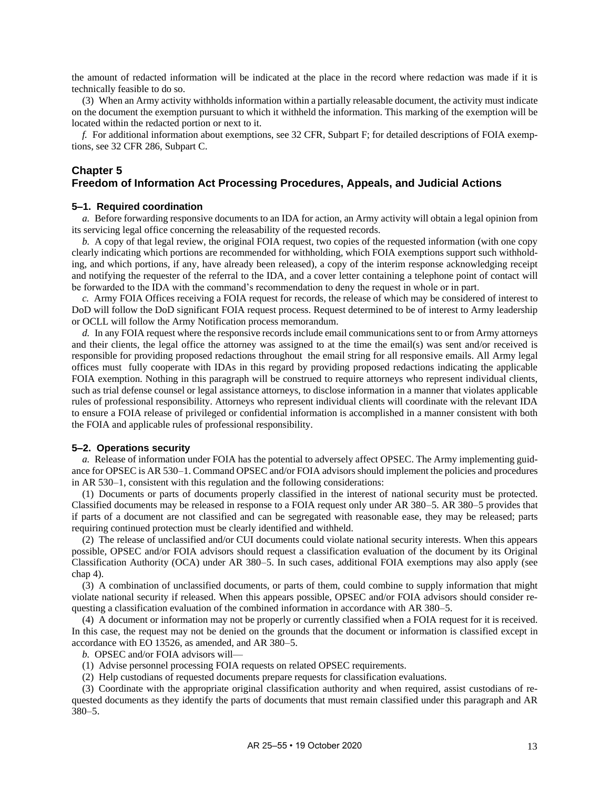the amount of redacted information will be indicated at the place in the record where redaction was made if it is technically feasible to do so.

(3) When an Army activity withholds information within a partially releasable document, the activity must indicate on the document the exemption pursuant to which it withheld the information. This marking of the exemption will be located within the redacted portion or next to it.

*f.* For additional information about exemptions, see 32 CFR, Subpart F; for detailed descriptions of FOIA exemptions, see 32 CFR 286, Subpart C.

# <span id="page-17-0"></span>**Chapter 5 Freedom of Information Act Processing Procedures, Appeals, and Judicial Actions**

#### <span id="page-17-1"></span>**5–1. Required coordination**

*a.* Before forwarding responsive documents to an IDA for action, an Army activity will obtain a legal opinion from its servicing legal office concerning the releasability of the requested records.

*b.* A copy of that legal review, the original FOIA request, two copies of the requested information (with one copy clearly indicating which portions are recommended for withholding, which FOIA exemptions support such withholding, and which portions, if any, have already been released), a copy of the interim response acknowledging receipt and notifying the requester of the referral to the IDA, and a cover letter containing a telephone point of contact will be forwarded to the IDA with the command's recommendation to deny the request in whole or in part.

*c.* Army FOIA Offices receiving a FOIA request for records, the release of which may be considered of interest to DoD will follow the DoD significant FOIA request process. Request determined to be of interest to Army leadership or OCLL will follow the Army Notification process memorandum.

*d.* In any FOIA request where the responsive records include email communications sent to or from Army attorneys and their clients, the legal office the attorney was assigned to at the time the email(s) was sent and/or received is responsible for providing proposed redactions throughout the email string for all responsive emails. All Army legal offices must fully cooperate with IDAs in this regard by providing proposed redactions indicating the applicable FOIA exemption. Nothing in this paragraph will be construed to require attorneys who represent individual clients, such as trial defense counsel or legal assistance attorneys, to disclose information in a manner that violates applicable rules of professional responsibility. Attorneys who represent individual clients will coordinate with the relevant IDA to ensure a FOIA release of privileged or confidential information is accomplished in a manner consistent with both the FOIA and applicable rules of professional responsibility.

#### <span id="page-17-2"></span>**5–2. Operations security**

*a.* Release of information under FOIA has the potential to adversely affect OPSEC. The Army implementing guidance for OPSEC is AR 530–1. Command OPSEC and/or FOIA advisors should implement the policies and procedures in AR 530–1, consistent with this regulation and the following considerations:

(1) Documents or parts of documents properly classified in the interest of national security must be protected. Classified documents may be released in response to a FOIA request only under AR 380–5. AR 380–5 provides that if parts of a document are not classified and can be segregated with reasonable ease, they may be released; parts requiring continued protection must be clearly identified and withheld.

(2) The release of unclassified and/or CUI documents could violate national security interests. When this appears possible, OPSEC and/or FOIA advisors should request a classification evaluation of the document by its Original Classification Authority (OCA) under AR 380–5. In such cases, additional FOIA exemptions may also apply (see [chap](#page-15-0) 4).

(3) A combination of unclassified documents, or parts of them, could combine to supply information that might violate national security if released. When this appears possible, OPSEC and/or FOIA advisors should consider requesting a classification evaluation of the combined information in accordance with AR 380–5.

(4) A document or information may not be properly or currently classified when a FOIA request for it is received. In this case, the request may not be denied on the grounds that the document or information is classified except in accordance with EO 13526, as amended, and AR 380–5.

*b.* OPSEC and/or FOIA advisors will—

(1) Advise personnel processing FOIA requests on related OPSEC requirements.

(2) Help custodians of requested documents prepare requests for classification evaluations.

(3) Coordinate with the appropriate original classification authority and when required, assist custodians of requested documents as they identify the parts of documents that must remain classified under this paragraph and AR 380–5.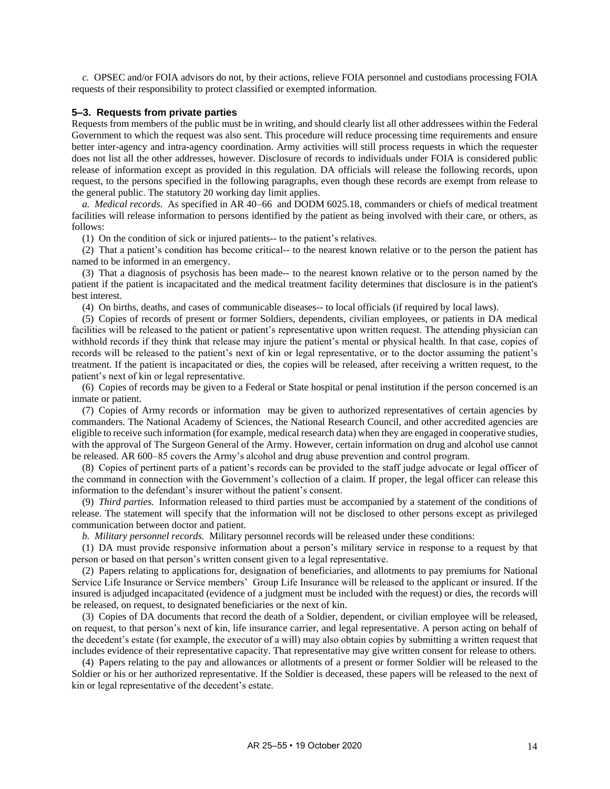*c.* OPSEC and/or FOIA advisors do not, by their actions, relieve FOIA personnel and custodians processing FOIA requests of their responsibility to protect classified or exempted information.

#### <span id="page-18-0"></span>**5–3. Requests from private parties**

Requests from members of the public must be in writing, and should clearly list all other addressees within the Federal Government to which the request was also sent. This procedure will reduce processing time requirements and ensure better inter-agency and intra-agency coordination. Army activities will still process requests in which the requester does not list all the other addresses, however. Disclosure of records to individuals under FOIA is considered public release of information except as provided in this regulation. DA officials will release the following records, upon request, to the persons specified in the following paragraphs, even though these records are exempt from release to the general public. The statutory 20 working day limit applies.

*a. Medical records.* As specified in AR 40–66 and DODM 6025.18, commanders or chiefs of medical treatment facilities will release information to persons identified by the patient as being involved with their care, or others, as follows:

(1) On the condition of sick or injured patients-- to the patient's relatives.

(2) That a patient's condition has become critical-- to the nearest known relative or to the person the patient has named to be informed in an emergency.

(3) That a diagnosis of psychosis has been made-- to the nearest known relative or to the person named by the patient if the patient is incapacitated and the medical treatment facility determines that disclosure is in the patient's best interest.

(4) On births, deaths, and cases of communicable diseases-- to local officials (if required by local laws).

(5) Copies of records of present or former Soldiers, dependents, civilian employees, or patients in DA medical facilities will be released to the patient or patient's representative upon written request. The attending physician can withhold records if they think that release may injure the patient's mental or physical health. In that case, copies of records will be released to the patient's next of kin or legal representative, or to the doctor assuming the patient's treatment. If the patient is incapacitated or dies, the copies will be released, after receiving a written request, to the patient's next of kin or legal representative.

(6) Copies of records may be given to a Federal or State hospital or penal institution if the person concerned is an inmate or patient.

(7) Copies of Army records or information may be given to authorized representatives of certain agencies by commanders. The National Academy of Sciences, the National Research Council, and other accredited agencies are eligible to receive such information (for example, medical research data) when they are engaged in cooperative studies, with the approval of The Surgeon General of the Army. However, certain information on drug and alcohol use cannot be released. AR 600–85 covers the Army's alcohol and drug abuse prevention and control program.

(8) Copies of pertinent parts of a patient's records can be provided to the staff judge advocate or legal officer of the command in connection with the Government's collection of a claim. If proper, the legal officer can release this information to the defendant's insurer without the patient's consent.

(9) *Third parties.* Information released to third parties must be accompanied by a statement of the conditions of release. The statement will specify that the information will not be disclosed to other persons except as privileged communication between doctor and patient.

*b. Military personnel records.* Military personnel records will be released under these conditions:

(1) DA must provide responsive information about a person's military service in response to a request by that person or based on that person's written consent given to a legal representative.

(2) Papers relating to applications for, designation of beneficiaries, and allotments to pay premiums for National Service Life Insurance or Service members' Group Life Insurance will be released to the applicant or insured. If the insured is adjudged incapacitated (evidence of a judgment must be included with the request) or dies, the records will be released, on request, to designated beneficiaries or the next of kin.

(3) Copies of DA documents that record the death of a Soldier, dependent, or civilian employee will be released, on request, to that person's next of kin, life insurance carrier, and legal representative. A person acting on behalf of the decedent's estate (for example, the executor of a will) may also obtain copies by submitting a written request that includes evidence of their representative capacity. That representative may give written consent for release to others.

(4) Papers relating to the pay and allowances or allotments of a present or former Soldier will be released to the Soldier or his or her authorized representative. If the Soldier is deceased, these papers will be released to the next of kin or legal representative of the decedent's estate.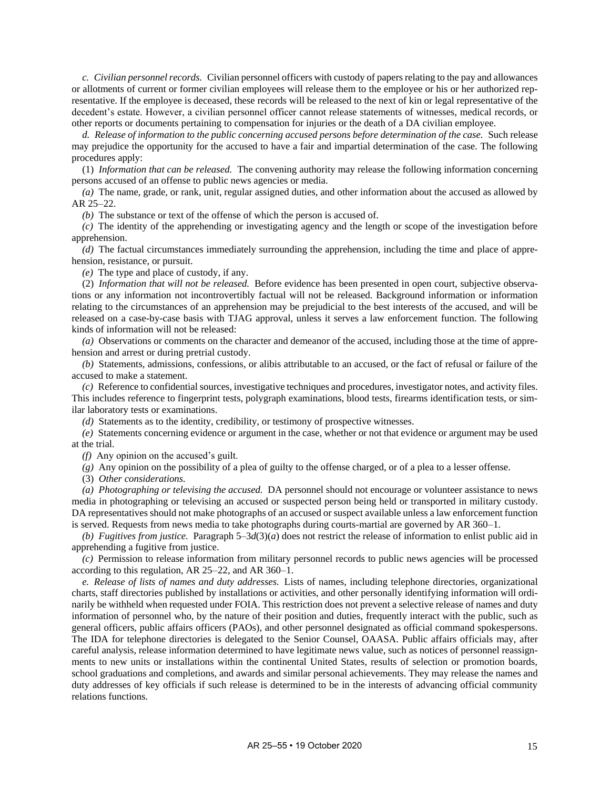*c. Civilian personnel records.* Civilian personnel officers with custody of papers relating to the pay and allowances or allotments of current or former civilian employees will release them to the employee or his or her authorized representative. If the employee is deceased, these records will be released to the next of kin or legal representative of the decedent's estate. However, a civilian personnel officer cannot release statements of witnesses, medical records, or other reports or documents pertaining to compensation for injuries or the death of a DA civilian employee.

*d. Release of information to the public concerning accused persons before determination of the case.* Such release may prejudice the opportunity for the accused to have a fair and impartial determination of the case. The following procedures apply:

(1) *Information that can be released.* The convening authority may release the following information concerning persons accused of an offense to public news agencies or media.

*(a)* The name, grade, or rank, unit, regular assigned duties, and other information about the accused as allowed by AR 25–22.

*(b)* The substance or text of the offense of which the person is accused of.

*(c)* The identity of the apprehending or investigating agency and the length or scope of the investigation before apprehension.

*(d)* The factual circumstances immediately surrounding the apprehension, including the time and place of apprehension, resistance, or pursuit.

*(e)* The type and place of custody, if any.

(2) *Information that will not be released.* Before evidence has been presented in open court, subjective observations or any information not incontrovertibly factual will not be released. Background information or information relating to the circumstances of an apprehension may be prejudicial to the best interests of the accused, and will be released on a case-by-case basis with TJAG approval, unless it serves a law enforcement function. The following kinds of information will not be released:

*(a)* Observations or comments on the character and demeanor of the accused, including those at the time of apprehension and arrest or during pretrial custody.

*(b)* Statements, admissions, confessions, or alibis attributable to an accused, or the fact of refusal or failure of the accused to make a statement.

*(c)* Reference to confidential sources, investigative techniques and procedures, investigator notes, and activity files. This includes reference to fingerprint tests, polygraph examinations, blood tests, firearms identification tests, or similar laboratory tests or examinations.

*(d)* Statements as to the identity, credibility, or testimony of prospective witnesses.

*(e)* Statements concerning evidence or argument in the case, whether or not that evidence or argument may be used at the trial.

*(f)* Any opinion on the accused's guilt.

*(g)* Any opinion on the possibility of a plea of guilty to the offense charged, or of a plea to a lesser offense.

(3) *Other considerations.*

*(a) Photographing or televising the accused.* DA personnel should not encourage or volunteer assistance to news media in photographing or televising an accused or suspected person being held or transported in military custody. DA representatives should not make photographs of an accused or suspect available unless a law enforcement function is served. Requests from news media to take photographs during courts-martial are governed by AR 360–1.

*(b) Fugitives from justice.* Paragraph  $5-3d(3)(a)$  does not restrict the release of information to enlist public aid in apprehending a fugitive from justice.

*(c)* Permission to release information from military personnel records to public news agencies will be processed according to this regulation, AR 25–22, and AR 360–1.

*e. Release of lists of names and duty addresses.* Lists of names, including telephone directories, organizational charts, staff directories published by installations or activities, and other personally identifying information will ordinarily be withheld when requested under FOIA. This restriction does not prevent a selective release of names and duty information of personnel who, by the nature of their position and duties, frequently interact with the public, such as general officers, public affairs officers (PAOs), and other personnel designated as official command spokespersons. The IDA for telephone directories is delegated to the Senior Counsel, OAASA. Public affairs officials may, after careful analysis, release information determined to have legitimate news value, such as notices of personnel reassignments to new units or installations within the continental United States, results of selection or promotion boards, school graduations and completions, and awards and similar personal achievements. They may release the names and duty addresses of key officials if such release is determined to be in the interests of advancing official community relations functions.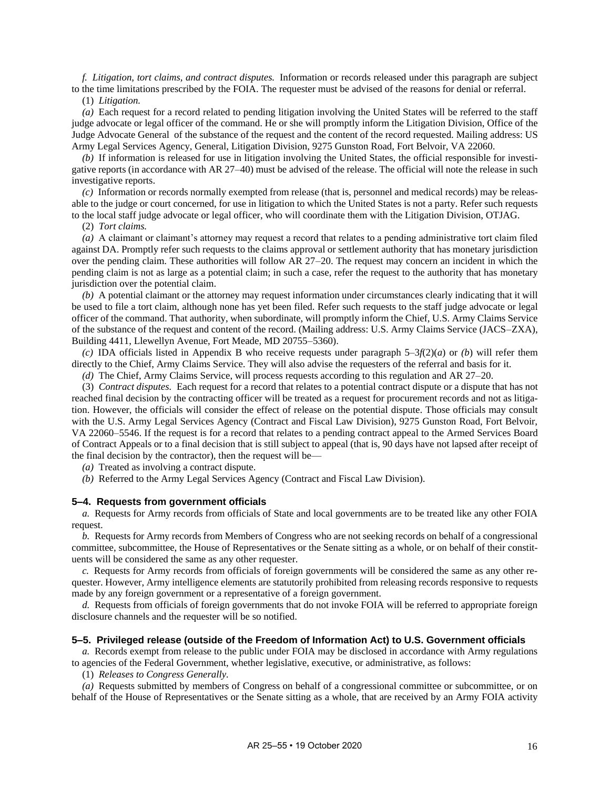*f. Litigation, tort claims, and contract disputes.* Information or records released under this paragraph are subject to the time limitations prescribed by the FOIA. The requester must be advised of the reasons for denial or referral.

(1) *Litigation.*

*(a)* Each request for a record related to pending litigation involving the United States will be referred to the staff judge advocate or legal officer of the command. He or she will promptly inform the Litigation Division, Office of the Judge Advocate General of the substance of the request and the content of the record requested. Mailing address: US Army Legal Services Agency, General, Litigation Division, 9275 Gunston Road, Fort Belvoir, VA 22060.

*(b)* If information is released for use in litigation involving the United States, the official responsible for investigative reports (in accordance with AR 27–40) must be advised of the release. The official will note the release in such investigative reports.

*(c)* Information or records normally exempted from release (that is, personnel and medical records) may be releasable to the judge or court concerned, for use in litigation to which the United States is not a party. Refer such requests to the local staff judge advocate or legal officer, who will coordinate them with the Litigation Division, OTJAG.

(2) *Tort claims.*

*(a)* A claimant or claimant's attorney may request a record that relates to a pending administrative tort claim filed against DA. Promptly refer such requests to the claims approval or settlement authority that has monetary jurisdiction over the pending claim. These authorities will follow AR 27–20. The request may concern an incident in which the pending claim is not as large as a potential claim; in such a case, refer the request to the authority that has monetary jurisdiction over the potential claim.

*(b)* A potential claimant or the attorney may request information under circumstances clearly indicating that it will be used to file a tort claim, although none has yet been filed. Refer such requests to the staff judge advocate or legal officer of the command. That authority, when subordinate, will promptly inform the Chief, U.S. Army Claims Service of the substance of the request and content of the record. (Mailing address: U.S. Army Claims Service (JACS–ZXA), Building 4411, Llewellyn Avenue, Fort Meade, MD 20755–5360).

*(c)* IDA officials listed in [Appendix](#page-41-0) B who receive requests under paragraph 5–3*f*(2)(*a*) or *(b*) will refer them directly to the Chief, Army Claims Service. They will also advise the requesters of the referral and basis for it.

*(d)* The Chief, Army Claims Service, will process requests according to this regulation and AR 27–20.

(3) *Contract disputes.* Each request for a record that relates to a potential contract dispute or a dispute that has not reached final decision by the contracting officer will be treated as a request for procurement records and not as litigation. However, the officials will consider the effect of release on the potential dispute. Those officials may consult with the U.S. Army Legal Services Agency (Contract and Fiscal Law Division), 9275 Gunston Road, Fort Belvoir, VA 22060–5546. If the request is for a record that relates to a pending contract appeal to the Armed Services Board of Contract Appeals or to a final decision that is still subject to appeal (that is, 90 days have not lapsed after receipt of the final decision by the contractor), then the request will be—

*(a)* Treated as involving a contract dispute.

*(b)* Referred to the Army Legal Services Agency (Contract and Fiscal Law Division).

#### <span id="page-20-0"></span>**5–4. Requests from government officials**

*a.* Requests for Army records from officials of State and local governments are to be treated like any other FOIA request.

*b.* Requests for Army records from Members of Congress who are not seeking records on behalf of a congressional committee, subcommittee, the House of Representatives or the Senate sitting as a whole, or on behalf of their constituents will be considered the same as any other requester.

*c.* Requests for Army records from officials of foreign governments will be considered the same as any other requester. However, Army intelligence elements are statutorily prohibited from releasing records responsive to requests made by any foreign government or a representative of a foreign government.

*d.* Requests from officials of foreign governments that do not invoke FOIA will be referred to appropriate foreign disclosure channels and the requester will be so notified.

#### <span id="page-20-1"></span>**5–5. Privileged release (outside of the Freedom of Information Act) to U.S. Government officials**

*a.* Records exempt from release to the public under FOIA may be disclosed in accordance with Army regulations to agencies of the Federal Government, whether legislative, executive, or administrative, as follows:

(1) *Releases to Congress Generally.*

<span id="page-20-2"></span>*(a)* Requests submitted by members of Congress on behalf of a congressional committee or subcommittee, or on behalf of the House of Representatives or the Senate sitting as a whole, that are received by an Army FOIA activity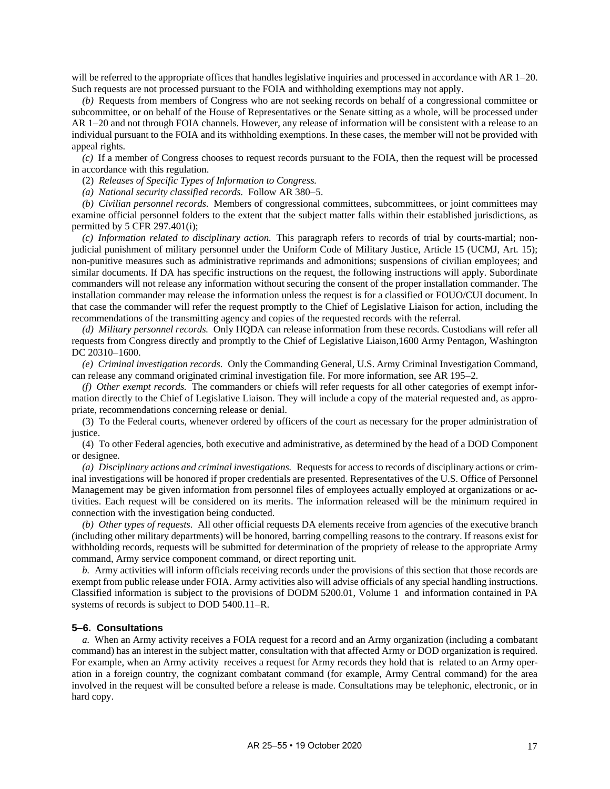will be referred to the appropriate offices that handles legislative inquiries and processed in accordance with AR 1–20. Such requests are not processed pursuant to the FOIA and withholding exemptions may not apply.

*(b)* Requests from members of Congress who are not seeking records on behalf of a congressional committee or subcommittee, or on behalf of the House of Representatives or the Senate sitting as a whole, will be processed under AR 1–20 and not through FOIA channels. However, any release of information will be consistent with a release to an individual pursuant to the FOIA and its withholding exemptions. In these cases, the member will not be provided with appeal rights.

*(c)* If a member of Congress chooses to request records pursuant to the FOIA, then the request will be processed in accordance with this regulation.

(2) *Releases of Specific Types of Information to Congress.*

*(a) National security classified records.* Follow AR 380–5.

*(b) Civilian personnel records.* Members of congressional committees, subcommittees, or joint committees may examine official personnel folders to the extent that the subject matter falls within their established jurisdictions, as permitted by 5 CFR 297.401(i);

*(c) Information related to disciplinary action.* This paragraph refers to records of trial by courts-martial; nonjudicial punishment of military personnel under the Uniform Code of Military Justice, Article 15 (UCMJ, Art. 15); non-punitive measures such as administrative reprimands and admonitions; suspensions of civilian employees; and similar documents. If DA has specific instructions on the request, the following instructions will apply. Subordinate commanders will not release any information without securing the consent of the proper installation commander. The installation commander may release the information unless the request is for a classified or FOUO/CUI document. In that case the commander will refer the request promptly to the Chief of Legislative Liaison for action, including the recommendations of the transmitting agency and copies of the requested records with the referral.

*(d) Military personnel records.* Only HQDA can release information from these records. Custodians will refer all requests from Congress directly and promptly to the Chief of Legislative Liaison,1600 Army Pentagon, Washington DC 20310-1600.

*(e) Criminal investigation records.* Only the Commanding General, U.S. Army Criminal Investigation Command, can release any command originated criminal investigation file. For more information, see AR 195–2.

*(f) Other exempt records.* The commanders or chiefs will refer requests for all other categories of exempt information directly to the Chief of Legislative Liaison. They will include a copy of the material requested and, as appropriate, recommendations concerning release or denial.

(3) To the Federal courts, whenever ordered by officers of the court as necessary for the proper administration of justice.

(4) To other Federal agencies, both executive and administrative, as determined by the head of a DOD Component or designee.

*(a) Disciplinary actions and criminal investigations.* Requests for access to records of disciplinary actions or criminal investigations will be honored if proper credentials are presented. Representatives of the U.S. Office of Personnel Management may be given information from personnel files of employees actually employed at organizations or activities. Each request will be considered on its merits. The information released will be the minimum required in connection with the investigation being conducted.

*(b) Other types of requests.* All other official requests DA elements receive from agencies of the executive branch (including other military departments) will be honored, barring compelling reasons to the contrary. If reasons exist for withholding records, requests will be submitted for determination of the propriety of release to the appropriate Army command, Army service component command, or direct reporting unit.

*b.* Army activities will inform officials receiving records under the provisions of this section that those records are exempt from public release under FOIA. Army activities also will advise officials of any special handling instructions. Classified information is subject to the provisions of DODM 5200.01, Volume 1 and information contained in PA systems of records is subject to DOD 5400.11–R.

#### <span id="page-21-0"></span>**5–6. Consultations**

*a.* When an Army activity receives a FOIA request for a record and an Army organization (including a combatant command) has an interest in the subject matter, consultation with that affected Army or DOD organization is required. For example, when an Army activity receives a request for Army records they hold that is related to an Army operation in a foreign country, the cognizant combatant command (for example, Army Central command) for the area involved in the request will be consulted before a release is made. Consultations may be telephonic, electronic, or in hard copy.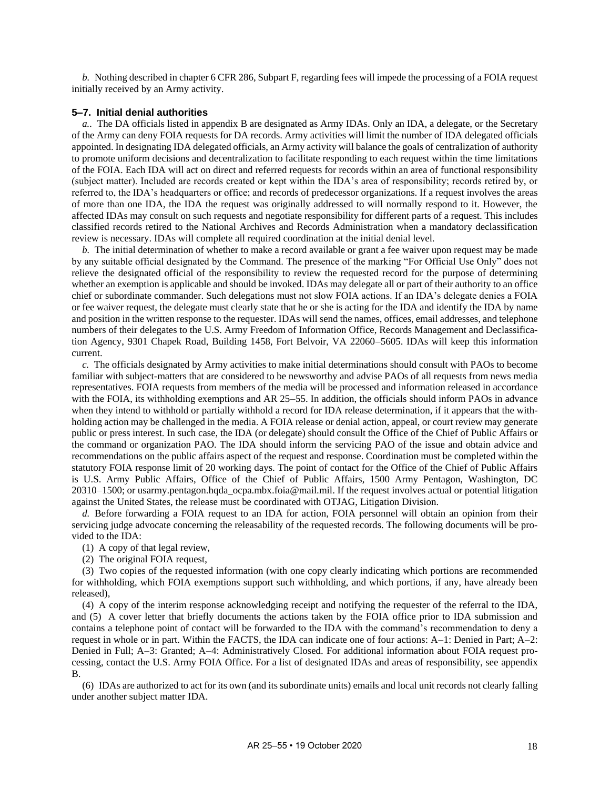*b.* Nothing described in [chapter](#page-30-0) 6 CFR 286, Subpart F, regarding fees will impede the processing of a FOIA request initially received by an Army activity.

#### <span id="page-22-0"></span>**5–7. Initial denial authorities**

*a..* The DA officials listed in [appendix](#page-41-0) B are designated as Army IDAs. Only an IDA, a delegate, or the Secretary of the Army can deny FOIA requests for DA records. Army activities will limit the number of IDA delegated officials appointed. In designating IDA delegated officials, an Army activity will balance the goals of centralization of authority to promote uniform decisions and decentralization to facilitate responding to each request within the time limitations of the FOIA. Each IDA will act on direct and referred requests for records within an area of functional responsibility (subject matter). Included are records created or kept within the IDA's area of responsibility; records retired by, or referred to, the IDA's headquarters or office; and records of predecessor organizations. If a request involves the areas of more than one IDA, the IDA the request was originally addressed to will normally respond to it. However, the affected IDAs may consult on such requests and negotiate responsibility for different parts of a request. This includes classified records retired to the National Archives and Records Administration when a mandatory declassification review is necessary. IDAs will complete all required coordination at the initial denial level.

*b.* The initial determination of whether to make a record available or grant a fee waiver upon request may be made by any suitable official designated by the Command. The presence of the marking "For Official Use Only" does not relieve the designated official of the responsibility to review the requested record for the purpose of determining whether an exemption is applicable and should be invoked. IDAs may delegate all or part of their authority to an office chief or subordinate commander. Such delegations must not slow FOIA actions. If an IDA's delegate denies a FOIA or fee waiver request, the delegate must clearly state that he or she is acting for the IDA and identify the IDA by name and position in the written response to the requester. IDAs will send the names, offices, email addresses, and telephone numbers of their delegates to the U.S. Army Freedom of Information Office, Records Management and Declassification Agency, 9301 Chapek Road, Building 1458, Fort Belvoir, VA 22060–5605. IDAs will keep this information current.

*c.* The officials designated by Army activities to make initial determinations should consult with PAOs to become familiar with subject-matters that are considered to be newsworthy and advise PAOs of all requests from news media representatives. FOIA requests from members of the media will be processed and information released in accordance with the FOIA, its withholding exemptions and AR 25–55. In addition, the officials should inform PAOs in advance when they intend to withhold or partially withhold a record for IDA release determination, if it appears that the withholding action may be challenged in the media. A FOIA release or denial action, appeal, or court review may generate public or press interest. In such case, the IDA (or delegate) should consult the Office of the Chief of Public Affairs or the command or organization PAO. The IDA should inform the servicing PAO of the issue and obtain advice and recommendations on the public affairs aspect of the request and response. Coordination must be completed within the statutory FOIA response limit of 20 working days. The point of contact for the Office of the Chief of Public Affairs is U.S. Army Public Affairs, Office of the Chief of Public Affairs, 1500 Army Pentagon, Washington, DC 20310–1500; or [usarmy.pentagon.hqda\\_ocpa.mbx.foia@mail.mil.](mailto:usarmy.pentagon.hqda_ocpa.mbx.foia@mail.mil) If the request involves actual or potential litigation against the United States, the release must be coordinated with OTJAG, Litigation Division.

*d.* Before forwarding a FOIA request to an IDA for action, FOIA personnel will obtain an opinion from their servicing judge advocate concerning the releasability of the requested records. The following documents will be provided to the IDA:

(1) A copy of that legal review,

(2) The original FOIA request,

(3) Two copies of the requested information (with one copy clearly indicating which portions are recommended for withholding, which FOIA exemptions support such withholding, and which portions, if any, have already been released),

(4) A copy of the interim response acknowledging receipt and notifying the requester of the referral to the IDA, and (5) A cover letter that briefly documents the actions taken by the FOIA office prior to IDA submission and contains a telephone point of contact will be forwarded to the IDA with the command's recommendation to deny a request in whole or in part. Within the FACTS, the IDA can indicate one of four actions: A–1: Denied in Part; A–2: Denied in Full; A–3: Granted; A–4: Administratively Closed. For additional information about FOIA request processing, contact the U.S. Army FOIA Office. For a list of designated IDAs and areas of responsibility, see [appendix](#page-41-0) [B.](#page-41-0)

(6) IDAs are authorized to act for its own (and its subordinate units) emails and local unit records not clearly falling under another subject matter IDA.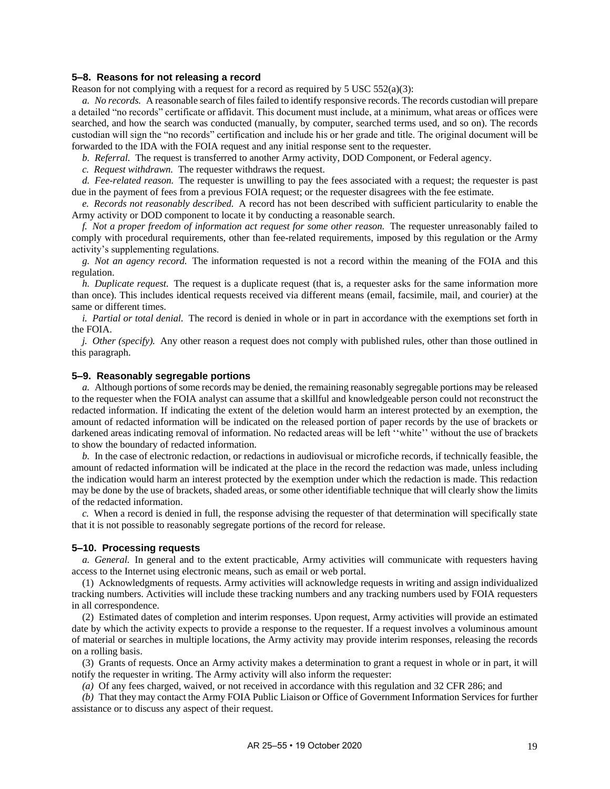#### <span id="page-23-0"></span>**5–8. Reasons for not releasing a record**

Reason for not complying with a request for a record as required by 5 USC  $552(a)(3)$ :

*a. No records.* A reasonable search of files failed to identify responsive records. The records custodian will prepare a detailed "no records" certificate or affidavit. This document must include, at a minimum, what areas or offices were searched, and how the search was conducted (manually, by computer, searched terms used, and so on). The records custodian will sign the "no records" certification and include his or her grade and title. The original document will be forwarded to the IDA with the FOIA request and any initial response sent to the requester.

*b. Referral.* The request is transferred to another Army activity, DOD Component, or Federal agency.

*c. Request withdrawn.* The requester withdraws the request.

*d. Fee-related reason.* The requester is unwilling to pay the fees associated with a request; the requester is past due in the payment of fees from a previous FOIA request; or the requester disagrees with the fee estimate.

*e. Records not reasonably described.* A record has not been described with sufficient particularity to enable the Army activity or DOD component to locate it by conducting a reasonable search.

*f. Not a proper freedom of information act request for some other reason.* The requester unreasonably failed to comply with procedural requirements, other than fee-related requirements, imposed by this regulation or the Army activity's supplementing regulations.

*g. Not an agency record.* The information requested is not a record within the meaning of the FOIA and this regulation.

*h. Duplicate request.* The request is a duplicate request (that is, a requester asks for the same information more than once). This includes identical requests received via different means (email, facsimile, mail, and courier) at the same or different times.

*i. Partial or total denial.* The record is denied in whole or in part in accordance with the exemptions set forth in the FOIA.

*j. Other (specify).* Any other reason a request does not comply with published rules, other than those outlined in this paragraph.

#### <span id="page-23-1"></span>**5–9. Reasonably segregable portions**

*a.* Although portions of some records may be denied, the remaining reasonably segregable portions may be released to the requester when the FOIA analyst can assume that a skillful and knowledgeable person could not reconstruct the redacted information. If indicating the extent of the deletion would harm an interest protected by an exemption, the amount of redacted information will be indicated on the released portion of paper records by the use of brackets or darkened areas indicating removal of information. No redacted areas will be left "white" without the use of brackets to show the boundary of redacted information.

*b.* In the case of electronic redaction, or redactions in audiovisual or microfiche records, if technically feasible, the amount of redacted information will be indicated at the place in the record the redaction was made, unless including the indication would harm an interest protected by the exemption under which the redaction is made. This redaction may be done by the use of brackets, shaded areas, or some other identifiable technique that will clearly show the limits of the redacted information.

*c.* When a record is denied in full, the response advising the requester of that determination will specifically state that it is not possible to reasonably segregate portions of the record for release.

#### <span id="page-23-2"></span>**5–10. Processing requests**

*a. General.* In general and to the extent practicable, Army activities will communicate with requesters having access to the Internet using electronic means, such as email or web portal.

(1) Acknowledgments of requests. Army activities will acknowledge requests in writing and assign individualized tracking numbers. Activities will include these tracking numbers and any tracking numbers used by FOIA requesters in all correspondence.

(2) Estimated dates of completion and interim responses. Upon request, Army activities will provide an estimated date by which the activity expects to provide a response to the requester. If a request involves a voluminous amount of material or searches in multiple locations, the Army activity may provide interim responses, releasing the records on a rolling basis.

(3) Grants of requests. Once an Army activity makes a determination to grant a request in whole or in part, it will notify the requester in writing. The Army activity will also inform the requester:

*(a)* Of any fees charged, waived, or not received in accordance with this regulation and 32 CFR 286; and

*(b)* That they may contact the Army FOIA Public Liaison or Office of Government Information Services for further assistance or to discuss any aspect of their request.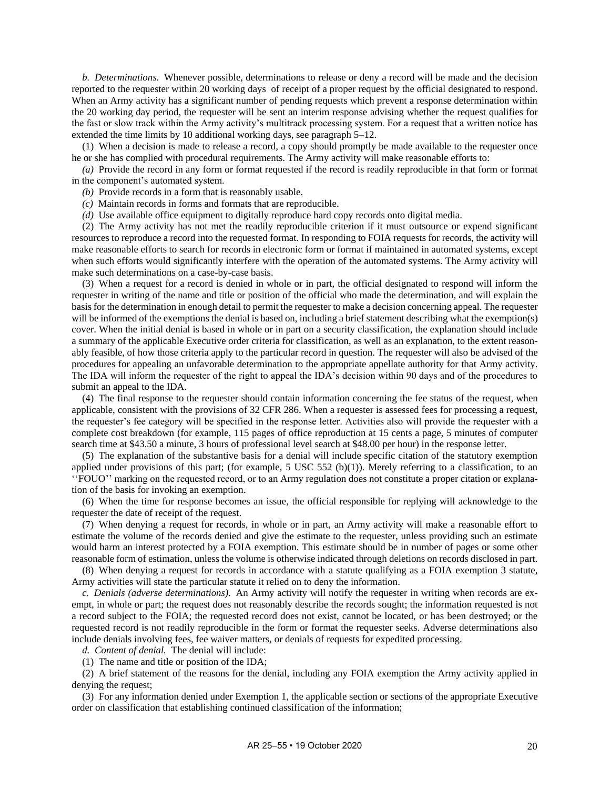*b. Determinations.* Whenever possible, determinations to release or deny a record will be made and the decision reported to the requester within 20 working days of receipt of a proper request by the official designated to respond. When an Army activity has a significant number of pending requests which prevent a response determination within the 20 working day period, the requester will be sent an interim response advising whether the request qualifies for the fast or slow track within the Army activity's multitrack processing system. For a request that a written notice has extended the time limits by 10 additional working days, see [paragraph](#page-25-1) 5–12.

(1) When a decision is made to release a record, a copy should promptly be made available to the requester once he or she has complied with procedural requirements. The Army activity will make reasonable efforts to:

*(a)* Provide the record in any form or format requested if the record is readily reproducible in that form or format in the component's automated system.

*(b)* Provide records in a form that is reasonably usable.

- *(c)* Maintain records in forms and formats that are reproducible.
- *(d)* Use available office equipment to digitally reproduce hard copy records onto digital media.

(2) The Army activity has not met the readily reproducible criterion if it must outsource or expend significant resources to reproduce a record into the requested format. In responding to FOIA requests for records, the activity will make reasonable efforts to search for records in electronic form or format if maintained in automated systems, except when such efforts would significantly interfere with the operation of the automated systems. The Army activity will make such determinations on a case-by-case basis.

(3) When a request for a record is denied in whole or in part, the official designated to respond will inform the requester in writing of the name and title or position of the official who made the determination, and will explain the basis for the determination in enough detail to permit the requester to make a decision concerning appeal. The requester will be informed of the exemptions the denial is based on, including a brief statement describing what the exemption(s) cover. When the initial denial is based in whole or in part on a security classification, the explanation should include a summary of the applicable Executive order criteria for classification, as well as an explanation, to the extent reasonably feasible, of how those criteria apply to the particular record in question. The requester will also be advised of the procedures for appealing an unfavorable determination to the appropriate appellate authority for that Army activity. The IDA will inform the requester of the right to appeal the IDA's decision within 90 days and of the procedures to submit an appeal to the IDA.

(4) The final response to the requester should contain information concerning the fee status of the request, when applicable, consistent with the provisions of 32 CFR 286. When a requester is assessed fees for processing a request, the requester's fee category will be specified in the response letter. Activities also will provide the requester with a complete cost breakdown (for example, 115 pages of office reproduction at 15 cents a page, 5 minutes of computer search time at \$43.50 a minute, 3 hours of professional level search at \$48.00 per hour) in the response letter.

(5) The explanation of the substantive basis for a denial will include specific citation of the statutory exemption applied under provisions of this part; (for example, 5 USC 552 (b)(1)). Merely referring to a classification, to an ''FOUO'' marking on the requested record, or to an Army regulation does not constitute a proper citation or explanation of the basis for invoking an exemption.

(6) When the time for response becomes an issue, the official responsible for replying will acknowledge to the requester the date of receipt of the request.

(7) When denying a request for records, in whole or in part, an Army activity will make a reasonable effort to estimate the volume of the records denied and give the estimate to the requester, unless providing such an estimate would harm an interest protected by a FOIA exemption. This estimate should be in number of pages or some other reasonable form of estimation, unless the volume is otherwise indicated through deletions on records disclosed in part.

(8) When denying a request for records in accordance with a statute qualifying as a FOIA exemption 3 statute, Army activities will state the particular statute it relied on to deny the information.

*c. Denials (adverse determinations).* An Army activity will notify the requester in writing when records are exempt, in whole or part; the request does not reasonably describe the records sought; the information requested is not a record subject to the FOIA; the requested record does not exist, cannot be located, or has been destroyed; or the requested record is not readily reproducible in the form or format the requester seeks. Adverse determinations also include denials involving fees, fee waiver matters, or denials of requests for expedited processing.

*d. Content of denial.* The denial will include:

(1) The name and title or position of the IDA;

(2) A brief statement of the reasons for the denial, including any FOIA exemption the Army activity applied in denying the request;

(3) For any information denied under Exemption 1, the applicable section or sections of the appropriate Executive order on classification that establishing continued classification of the information;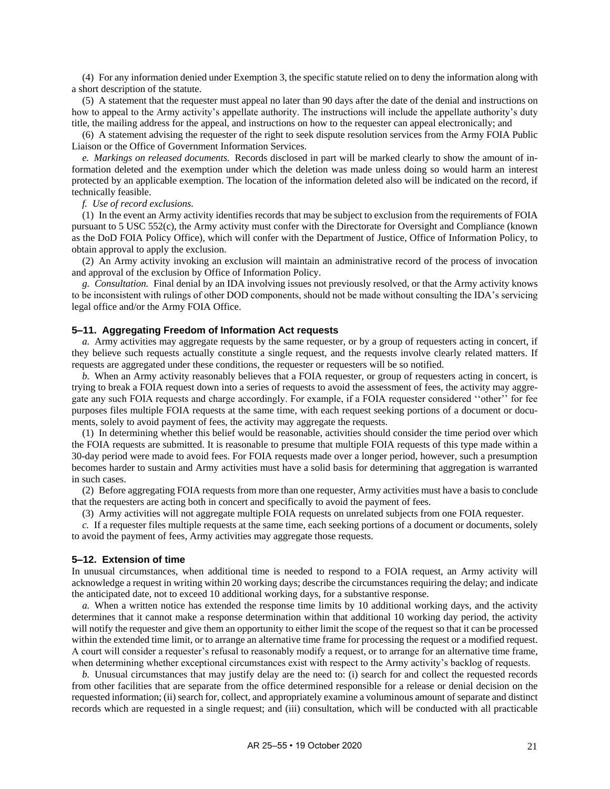(4) For any information denied under Exemption 3, the specific statute relied on to deny the information along with a short description of the statute.

(5) A statement that the requester must appeal no later than 90 days after the date of the denial and instructions on how to appeal to the Army activity's appellate authority. The instructions will include the appellate authority's duty title, the mailing address for the appeal, and instructions on how to the requester can appeal electronically; and

(6) A statement advising the requester of the right to seek dispute resolution services from the Army FOIA Public Liaison or the Office of Government Information Services.

*e. Markings on released documents.* Records disclosed in part will be marked clearly to show the amount of information deleted and the exemption under which the deletion was made unless doing so would harm an interest protected by an applicable exemption. The location of the information deleted also will be indicated on the record, if technically feasible.

*f. Use of record exclusions.*

(1) In the event an Army activity identifies records that may be subject to exclusion from the requirements of FOIA pursuant to 5 USC 552(c), the Army activity must confer with the Directorate for Oversight and Compliance (known as the DoD FOIA Policy Office), which will confer with the Department of Justice, Office of Information Policy, to obtain approval to apply the exclusion.

(2) An Army activity invoking an exclusion will maintain an administrative record of the process of invocation and approval of the exclusion by Office of Information Policy.

*g. Consultation.* Final denial by an IDA involving issues not previously resolved, or that the Army activity knows to be inconsistent with rulings of other DOD components, should not be made without consulting the IDA's servicing legal office and/or the Army FOIA Office.

#### <span id="page-25-0"></span>**5–11. Aggregating Freedom of Information Act requests**

*a.* Army activities may aggregate requests by the same requester, or by a group of requesters acting in concert, if they believe such requests actually constitute a single request, and the requests involve clearly related matters. If requests are aggregated under these conditions, the requester or requesters will be so notified*.*

*b.* When an Army activity reasonably believes that a FOIA requester, or group of requesters acting in concert, is trying to break a FOIA request down into a series of requests to avoid the assessment of fees, the activity may aggregate any such FOIA requests and charge accordingly. For example, if a FOIA requester considered ''other'' for fee purposes files multiple FOIA requests at the same time, with each request seeking portions of a document or documents, solely to avoid payment of fees, the activity may aggregate the requests.

(1) In determining whether this belief would be reasonable, activities should consider the time period over which the FOIA requests are submitted. It is reasonable to presume that multiple FOIA requests of this type made within a 30-day period were made to avoid fees. For FOIA requests made over a longer period, however, such a presumption becomes harder to sustain and Army activities must have a solid basis for determining that aggregation is warranted in such cases.

(2) Before aggregating FOIA requests from more than one requester, Army activities must have a basis to conclude that the requesters are acting both in concert and specifically to avoid the payment of fees.

(3) Army activities will not aggregate multiple FOIA requests on unrelated subjects from one FOIA requester.

*c.* If a requester files multiple requests at the same time, each seeking portions of a document or documents, solely to avoid the payment of fees, Army activities may aggregate those requests.

#### <span id="page-25-1"></span>**5–12. Extension of time**

In unusual circumstances, when additional time is needed to respond to a FOIA request, an Army activity will acknowledge a request in writing within 20 working days; describe the circumstances requiring the delay; and indicate the anticipated date, not to exceed 10 additional working days, for a substantive response.

*a.* When a written notice has extended the response time limits by 10 additional working days, and the activity determines that it cannot make a response determination within that additional 10 working day period, the activity will notify the requester and give them an opportunity to either limit the scope of the request so that it can be processed within the extended time limit, or to arrange an alternative time frame for processing the request or a modified request. A court will consider a requester's refusal to reasonably modify a request, or to arrange for an alternative time frame, when determining whether exceptional circumstances exist with respect to the Army activity's backlog of requests.

*b.* Unusual circumstances that may justify delay are the need to: (i) search for and collect the requested records from other facilities that are separate from the office determined responsible for a release or denial decision on the requested information; (ii) search for, collect, and appropriately examine a voluminous amount of separate and distinct records which are requested in a single request; and (iii) consultation, which will be conducted with all practicable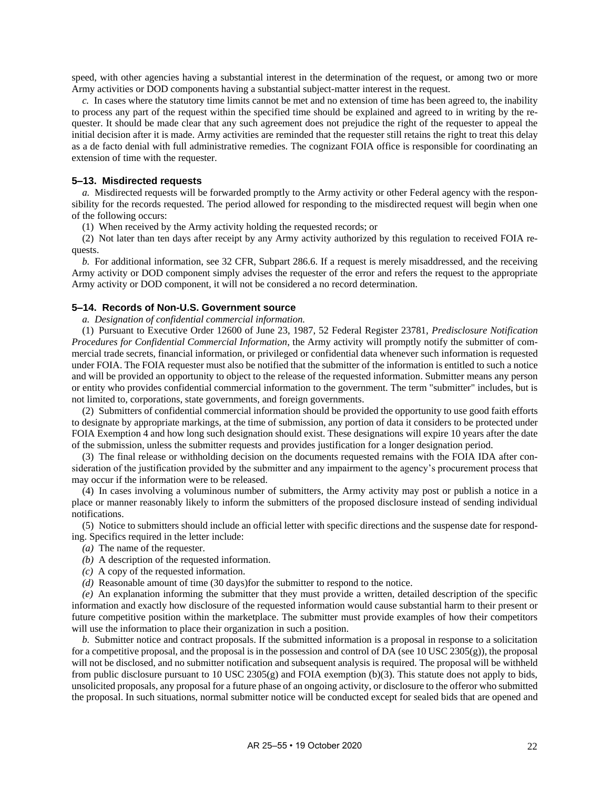speed, with other agencies having a substantial interest in the determination of the request, or among two or more Army activities or DOD components having a substantial subject-matter interest in the request.

*c.* In cases where the statutory time limits cannot be met and no extension of time has been agreed to, the inability to process any part of the request within the specified time should be explained and agreed to in writing by the requester. It should be made clear that any such agreement does not prejudice the right of the requester to appeal the initial decision after it is made. Army activities are reminded that the requester still retains the right to treat this delay as a de facto denial with full administrative remedies. The cognizant FOIA office is responsible for coordinating an extension of time with the requester.

#### <span id="page-26-0"></span>**5–13. Misdirected requests**

*a.* Misdirected requests will be forwarded promptly to the Army activity or other Federal agency with the responsibility for the records requested. The period allowed for responding to the misdirected request will begin when one of the following occurs:

(1) When received by the Army activity holding the requested records; or

(2) Not later than ten days after receipt by any Army activity authorized by this regulation to received FOIA requests.

*b.* For additional information, see 32 CFR, Subpart 286.6. If a request is merely misaddressed, and the receiving Army activity or DOD component simply advises the requester of the error and refers the request to the appropriate Army activity or DOD component, it will not be considered a no record determination.

#### <span id="page-26-1"></span>**5–14. Records of Non-U.S. Government source**

*a. Designation of confidential commercial information.*

(1) Pursuant to Executive Order 12600 of June 23, 1987, 52 Federal Register 23781, *Predisclosure Notification Procedures for Confidential Commercial Information*, the Army activity will promptly notify the submitter of commercial trade secrets, financial information, or privileged or confidential data whenever such information is requested under FOIA. The FOIA requester must also be notified that the submitter of the information is entitled to such a notice and will be provided an opportunity to object to the release of the requested information. Submitter means any person or entity who provides confidential commercial information to the government. The term "submitter" includes, but is not limited to, corporations, state governments, and foreign governments.

(2) Submitters of confidential commercial information should be provided the opportunity to use good faith efforts to designate by appropriate markings, at the time of submission, any portion of data it considers to be protected under FOIA Exemption 4 and how long such designation should exist. These designations will expire 10 years after the date of the submission, unless the submitter requests and provides justification for a longer designation period.

(3) The final release or withholding decision on the documents requested remains with the FOIA IDA after consideration of the justification provided by the submitter and any impairment to the agency's procurement process that may occur if the information were to be released.

(4) In cases involving a voluminous number of submitters, the Army activity may post or publish a notice in a place or manner reasonably likely to inform the submitters of the proposed disclosure instead of sending individual notifications.

(5) Notice to submitters should include an official letter with specific directions and the suspense date for responding. Specifics required in the letter include:

- *(a)* The name of the requester.
- *(b)* A description of the requested information.
- *(c)* A copy of the requested information.
- *(d)* Reasonable amount of time (30 days)for the submitter to respond to the notice.

*(e)* An explanation informing the submitter that they must provide a written, detailed description of the specific information and exactly how disclosure of the requested information would cause substantial harm to their present or future competitive position within the marketplace. The submitter must provide examples of how their competitors will use the information to place their organization in such a position.

*b.* Submitter notice and contract proposals. If the submitted information is a proposal in response to a solicitation for a competitive proposal, and the proposal is in the possession and control of DA (see 10 USC 2305(g)), the proposal will not be disclosed, and no submitter notification and subsequent analysis is required. The proposal will be withheld from public disclosure pursuant to 10 USC 2305(g) and FOIA exemption (b)(3). This statute does not apply to bids, unsolicited proposals, any proposal for a future phase of an ongoing activity, or disclosure to the offeror who submitted the proposal. In such situations, normal submitter notice will be conducted except for sealed bids that are opened and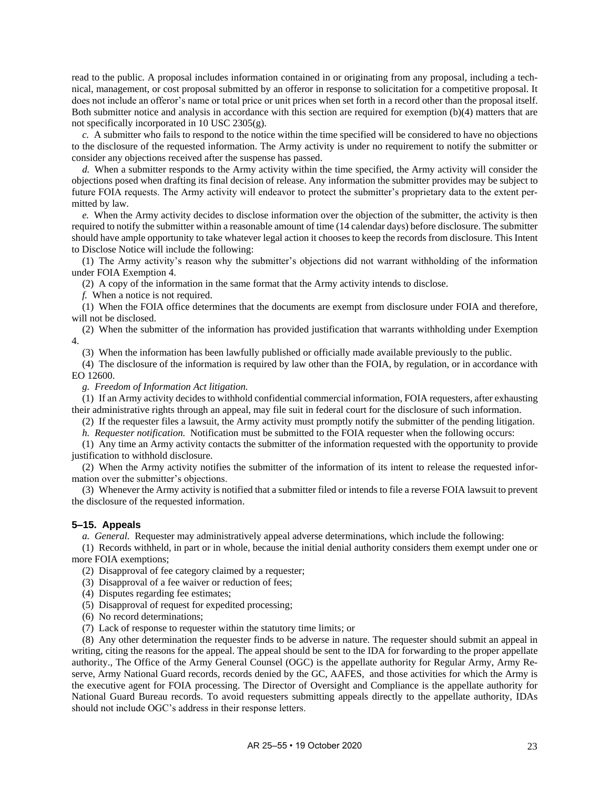read to the public. A proposal includes information contained in or originating from any proposal, including a technical, management, or cost proposal submitted by an offeror in response to solicitation for a competitive proposal. It does not include an offeror's name or total price or unit prices when set forth in a record other than the proposal itself. Both submitter notice and analysis in accordance with this section are required for exemption (b)(4) matters that are not specifically incorporated in 10 USC 2305(g).

*c.* A submitter who fails to respond to the notice within the time specified will be considered to have no objections to the disclosure of the requested information. The Army activity is under no requirement to notify the submitter or consider any objections received after the suspense has passed.

*d.* When a submitter responds to the Army activity within the time specified, the Army activity will consider the objections posed when drafting its final decision of release. Any information the submitter provides may be subject to future FOIA requests. The Army activity will endeavor to protect the submitter's proprietary data to the extent permitted by law.

*e.* When the Army activity decides to disclose information over the objection of the submitter, the activity is then required to notify the submitter within a reasonable amount of time (14 calendar days) before disclosure. The submitter should have ample opportunity to take whatever legal action it chooses to keep the records from disclosure. This Intent to Disclose Notice will include the following:

(1) The Army activity's reason why the submitter's objections did not warrant withholding of the information under FOIA Exemption 4.

(2) A copy of the information in the same format that the Army activity intends to disclose.

*f.* When a notice is not required.

(1) When the FOIA office determines that the documents are exempt from disclosure under FOIA and therefore, will not be disclosed.

(2) When the submitter of the information has provided justification that warrants withholding under Exemption 4.

(3) When the information has been lawfully published or officially made available previously to the public.

(4) The disclosure of the information is required by law other than the FOIA, by regulation, or in accordance with EO 12600.

*g. Freedom of Information Act litigation.*

(1) If an Army activity decides to withhold confidential commercial information, FOIA requesters, after exhausting their administrative rights through an appeal, may file suit in federal court for the disclosure of such information.

(2) If the requester files a lawsuit, the Army activity must promptly notify the submitter of the pending litigation.

*h. Requester notification.* Notification must be submitted to the FOIA requester when the following occurs:

(1) Any time an Army activity contacts the submitter of the information requested with the opportunity to provide justification to withhold disclosure.

(2) When the Army activity notifies the submitter of the information of its intent to release the requested information over the submitter's objections.

(3) Whenever the Army activity is notified that a submitter filed or intends to file a reverse FOIA lawsuit to prevent the disclosure of the requested information.

#### <span id="page-27-0"></span>**5–15. Appeals**

*a. General.* Requester may administratively appeal adverse determinations, which include the following:

(1) Records withheld, in part or in whole, because the initial denial authority considers them exempt under one or more FOIA exemptions;

(2) Disapproval of fee category claimed by a requester;

(3) Disapproval of a fee waiver or reduction of fees;

(4) Disputes regarding fee estimates;

(5) Disapproval of request for expedited processing;

(6) No record determinations;

(7) Lack of response to requester within the statutory time limits; or

(8) Any other determination the requester finds to be adverse in nature. The requester should submit an appeal in writing, citing the reasons for the appeal. The appeal should be sent to the IDA for forwarding to the proper appellate authority., The Office of the Army General Counsel (OGC) is the appellate authority for Regular Army, Army Reserve, Army National Guard records, records denied by the GC, AAFES, and those activities for which the Army is the executive agent for FOIA processing. The Director of Oversight and Compliance is the appellate authority for National Guard Bureau records. To avoid requesters submitting appeals directly to the appellate authority, IDAs should not include OGC's address in their response letters.

AR 25-55 • 19 October 2020 23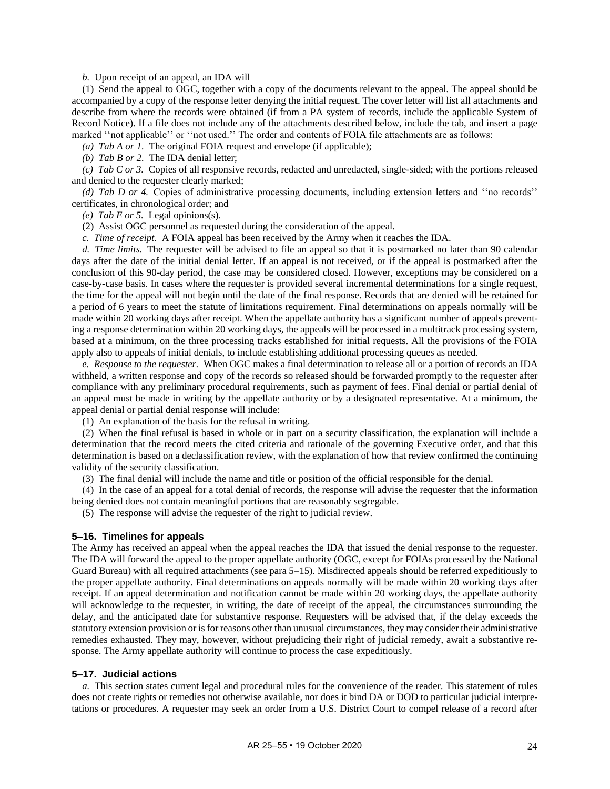*b.* Upon receipt of an appeal, an IDA will—

(1) Send the appeal to OGC, together with a copy of the documents relevant to the appeal. The appeal should be accompanied by a copy of the response letter denying the initial request. The cover letter will list all attachments and describe from where the records were obtained (if from a PA system of records, include the applicable System of Record Notice). If a file does not include any of the attachments described below, include the tab, and insert a page marked ''not applicable'' or ''not used.'' The order and contents of FOIA file attachments are as follows:

*(a) Tab A or 1.* The original FOIA request and envelope (if applicable);

*(b) Tab B or 2.* The IDA denial letter;

*(c) Tab C or 3.* Copies of all responsive records, redacted and unredacted, single-sided; with the portions released and denied to the requester clearly marked;

*(d) Tab D or 4.* Copies of administrative processing documents, including extension letters and ''no records'' certificates, in chronological order; and

*(e) Tab E or 5.* Legal opinions(s).

(2) Assist OGC personnel as requested during the consideration of the appeal.

*c. Time of receipt.* A FOIA appeal has been received by the Army when it reaches the IDA.

*d. Time limits.* The requester will be advised to file an appeal so that it is postmarked no later than 90 calendar days after the date of the initial denial letter. If an appeal is not received, or if the appeal is postmarked after the conclusion of this 90-day period, the case may be considered closed. However, exceptions may be considered on a case-by-case basis. In cases where the requester is provided several incremental determinations for a single request, the time for the appeal will not begin until the date of the final response. Records that are denied will be retained for a period of 6 years to meet the statute of limitations requirement. Final determinations on appeals normally will be made within 20 working days after receipt. When the appellate authority has a significant number of appeals preventing a response determination within 20 working days, the appeals will be processed in a multitrack processing system, based at a minimum, on the three processing tracks established for initial requests. All the provisions of the FOIA apply also to appeals of initial denials, to include establishing additional processing queues as needed.

*e. Response to the requester.* When OGC makes a final determination to release all or a portion of records an IDA withheld, a written response and copy of the records so released should be forwarded promptly to the requester after compliance with any preliminary procedural requirements, such as payment of fees. Final denial or partial denial of an appeal must be made in writing by the appellate authority or by a designated representative. At a minimum, the appeal denial or partial denial response will include:

(1) An explanation of the basis for the refusal in writing.

(2) When the final refusal is based in whole or in part on a security classification, the explanation will include a determination that the record meets the cited criteria and rationale of the governing Executive order, and that this determination is based on a declassification review, with the explanation of how that review confirmed the continuing validity of the security classification.

(3) The final denial will include the name and title or position of the official responsible for the denial.

(4) In the case of an appeal for a total denial of records, the response will advise the requester that the information being denied does not contain meaningful portions that are reasonably segregable.

(5) The response will advise the requester of the right to judicial review.

#### <span id="page-28-0"></span>**5–16. Timelines for appeals**

The Army has received an appeal when the appeal reaches the IDA that issued the denial response to the requester. The IDA will forward the appeal to the proper appellate authority (OGC, except for FOIAs processed by the National Guard Bureau) with all required attachments (se[e para 5–15\)](#page-27-0). Misdirected appeals should be referred expeditiously to the proper appellate authority. Final determinations on appeals normally will be made within 20 working days after receipt. If an appeal determination and notification cannot be made within 20 working days, the appellate authority will acknowledge to the requester, in writing, the date of receipt of the appeal, the circumstances surrounding the delay, and the anticipated date for substantive response. Requesters will be advised that, if the delay exceeds the statutory extension provision or is for reasons other than unusual circumstances, they may consider their administrative remedies exhausted. They may, however, without prejudicing their right of judicial remedy, await a substantive response. The Army appellate authority will continue to process the case expeditiously.

#### <span id="page-28-1"></span>**5–17. Judicial actions**

*a.* This section states current legal and procedural rules for the convenience of the reader. This statement of rules does not create rights or remedies not otherwise available, nor does it bind DA or DOD to particular judicial interpretations or procedures. A requester may seek an order from a U.S. District Court to compel release of a record after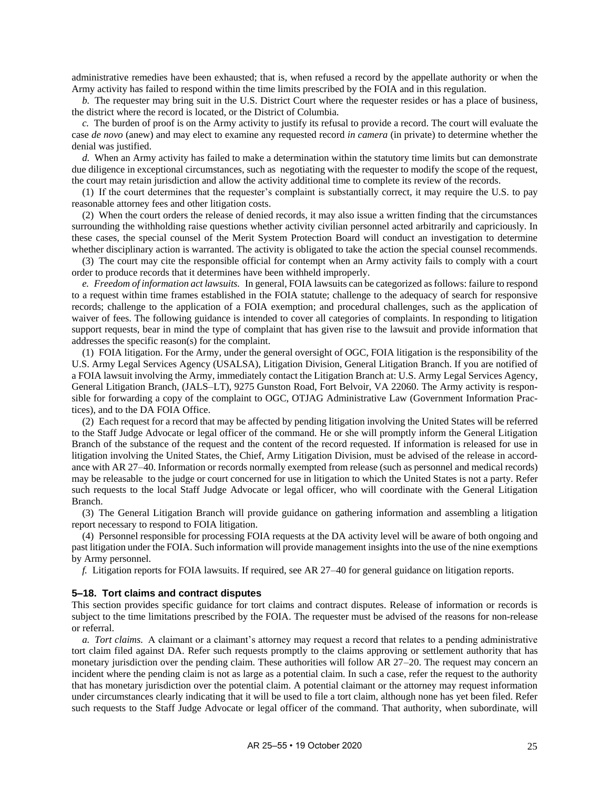administrative remedies have been exhausted; that is, when refused a record by the appellate authority or when the Army activity has failed to respond within the time limits prescribed by the FOIA and in this regulation.

*b.* The requester may bring suit in the U.S. District Court where the requester resides or has a place of business, the district where the record is located, or the District of Columbia.

*c.* The burden of proof is on the Army activity to justify its refusal to provide a record. The court will evaluate the case *de novo* (anew) and may elect to examine any requested record *in camera* (in private) to determine whether the denial was justified.

*d.* When an Army activity has failed to make a determination within the statutory time limits but can demonstrate due diligence in exceptional circumstances, such as negotiating with the requester to modify the scope of the request, the court may retain jurisdiction and allow the activity additional time to complete its review of the records.

(1) If the court determines that the requester's complaint is substantially correct, it may require the U.S. to pay reasonable attorney fees and other litigation costs.

(2) When the court orders the release of denied records, it may also issue a written finding that the circumstances surrounding the withholding raise questions whether activity civilian personnel acted arbitrarily and capriciously. In these cases, the special counsel of the Merit System Protection Board will conduct an investigation to determine whether disciplinary action is warranted. The activity is obligated to take the action the special counsel recommends.

(3) The court may cite the responsible official for contempt when an Army activity fails to comply with a court order to produce records that it determines have been withheld improperly.

*e. Freedom of information act lawsuits.* In general, FOIA lawsuits can be categorized as follows: failure to respond to a request within time frames established in the FOIA statute; challenge to the adequacy of search for responsive records; challenge to the application of a FOIA exemption; and procedural challenges, such as the application of waiver of fees. The following guidance is intended to cover all categories of complaints. In responding to litigation support requests, bear in mind the type of complaint that has given rise to the lawsuit and provide information that addresses the specific reason(s) for the complaint.

(1) FOIA litigation. For the Army, under the general oversight of OGC, FOIA litigation is the responsibility of the U.S. Army Legal Services Agency (USALSA), Litigation Division, General Litigation Branch. If you are notified of a FOIA lawsuit involving the Army, immediately contact the Litigation Branch at: U.S. Army Legal Services Agency, General Litigation Branch, (JALS–LT), 9275 Gunston Road, Fort Belvoir, VA 22060. The Army activity is responsible for forwarding a copy of the complaint to OGC, OTJAG Administrative Law (Government Information Practices), and to the DA FOIA Office.

(2) Each request for a record that may be affected by pending litigation involving the United States will be referred to the Staff Judge Advocate or legal officer of the command. He or she will promptly inform the General Litigation Branch of the substance of the request and the content of the record requested. If information is released for use in litigation involving the United States, the Chief, Army Litigation Division, must be advised of the release in accordance with AR 27–40. Information or records normally exempted from release (such as personnel and medical records) may be releasable to the judge or court concerned for use in litigation to which the United States is not a party. Refer such requests to the local Staff Judge Advocate or legal officer, who will coordinate with the General Litigation Branch.

(3) The General Litigation Branch will provide guidance on gathering information and assembling a litigation report necessary to respond to FOIA litigation.

(4) Personnel responsible for processing FOIA requests at the DA activity level will be aware of both ongoing and past litigation under the FOIA. Such information will provide management insights into the use of the nine exemptions by Army personnel.

*f.* Litigation reports for FOIA lawsuits. If required, see AR 27–40 for general guidance on litigation reports.

#### <span id="page-29-0"></span>**5–18. Tort claims and contract disputes**

This section provides specific guidance for tort claims and contract disputes. Release of information or records is subject to the time limitations prescribed by the FOIA. The requester must be advised of the reasons for non-release or referral.

*a. Tort claims.* A claimant or a claimant's attorney may request a record that relates to a pending administrative tort claim filed against DA. Refer such requests promptly to the claims approving or settlement authority that has monetary jurisdiction over the pending claim. These authorities will follow AR 27–20. The request may concern an incident where the pending claim is not as large as a potential claim. In such a case, refer the request to the authority that has monetary jurisdiction over the potential claim. A potential claimant or the attorney may request information under circumstances clearly indicating that it will be used to file a tort claim, although none has yet been filed. Refer such requests to the Staff Judge Advocate or legal officer of the command. That authority, when subordinate, will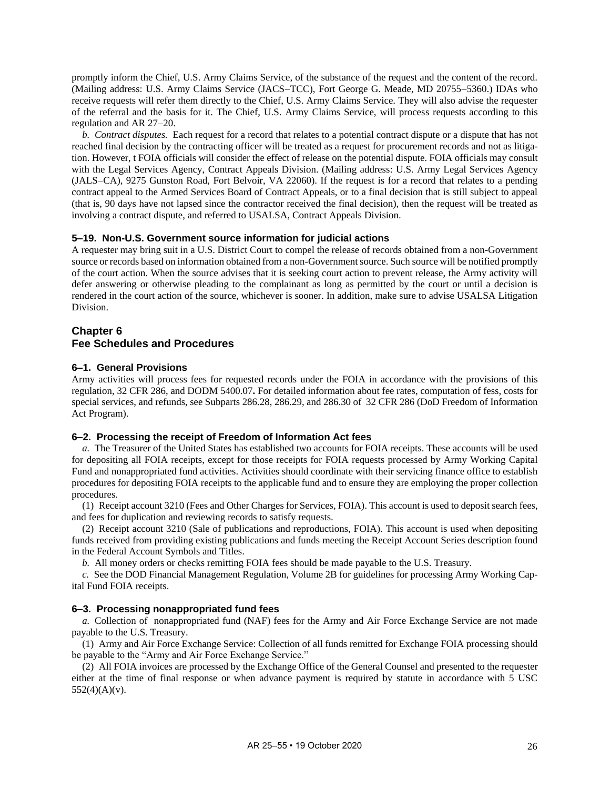promptly inform the Chief, U.S. Army Claims Service, of the substance of the request and the content of the record. (Mailing address: U.S. Army Claims Service (JACS–TCC), Fort George G. Meade, MD 20755–5360.) IDAs who receive requests will refer them directly to the Chief, U.S. Army Claims Service. They will also advise the requester of the referral and the basis for it. The Chief, U.S. Army Claims Service, will process requests according to this regulation and AR 27–20.

*b. Contract disputes.* Each request for a record that relates to a potential contract dispute or a dispute that has not reached final decision by the contracting officer will be treated as a request for procurement records and not as litigation. However, t FOIA officials will consider the effect of release on the potential dispute. FOIA officials may consult with the Legal Services Agency, Contract Appeals Division. (Mailing address: U.S. Army Legal Services Agency (JALS–CA), 9275 Gunston Road, Fort Belvoir, VA 22060). If the request is for a record that relates to a pending contract appeal to the Armed Services Board of Contract Appeals, or to a final decision that is still subject to appeal (that is, 90 days have not lapsed since the contractor received the final decision), then the request will be treated as involving a contract dispute, and referred to USALSA, Contract Appeals Division.

# <span id="page-30-1"></span>**5–19. Non-U.S. Government source information for judicial actions**

A requester may bring suit in a U.S. District Court to compel the release of records obtained from a non-Government source or records based on information obtained from a non-Government source. Such source will be notified promptly of the court action. When the source advises that it is seeking court action to prevent release, the Army activity will defer answering or otherwise pleading to the complainant as long as permitted by the court or until a decision is rendered in the court action of the source, whichever is sooner. In addition, make sure to advise USALSA Litigation Division.

# <span id="page-30-0"></span>**Chapter 6 Fee Schedules and Procedures**

# <span id="page-30-2"></span>**6–1. General Provisions**

Army activities will process fees for requested records under the FOIA in accordance with the provisions of this regulation, 32 CFR 286, and DODM 5400.07**.** For detailed information about fee rates, computation of fess, costs for special services, and refunds, see Subparts 286.28, 286.29, and 286.30 of 32 CFR 286 (DoD Freedom of Information Act Program).

# <span id="page-30-3"></span>**6–2. Processing the receipt of Freedom of Information Act fees**

*a.* The Treasurer of the United States has established two accounts for FOIA receipts. These accounts will be used for depositing all FOIA receipts, except for those receipts for FOIA requests processed by Army Working Capital Fund and nonappropriated fund activities. Activities should coordinate with their servicing finance office to establish procedures for depositing FOIA receipts to the applicable fund and to ensure they are employing the proper collection procedures.

(1) Receipt account 3210 (Fees and Other Charges for Services, FOIA). This account is used to deposit search fees, and fees for duplication and reviewing records to satisfy requests.

(2) Receipt account 3210 (Sale of publications and reproductions, FOIA). This account is used when depositing funds received from providing existing publications and funds meeting the Receipt Account Series description found in the Federal Account Symbols and Titles.

*b.* All money orders or checks remitting FOIA fees should be made payable to the U.S. Treasury.

*c.* See the DOD Financial Management Regulation, Volume 2B for guidelines for processing Army Working Capital Fund FOIA receipts.

# <span id="page-30-4"></span>**6–3. Processing nonappropriated fund fees**

*a.* Collection of nonappropriated fund (NAF) fees for the Army and Air Force Exchange Service are not made payable to the U.S. Treasury.

(1) Army and Air Force Exchange Service: Collection of all funds remitted for Exchange FOIA processing should be payable to the "Army and Air Force Exchange Service."

(2) All FOIA invoices are processed by the Exchange Office of the General Counsel and presented to the requester either at the time of final response or when advance payment is required by statute in accordance with 5 USC  $552(4)(A)(v)$ .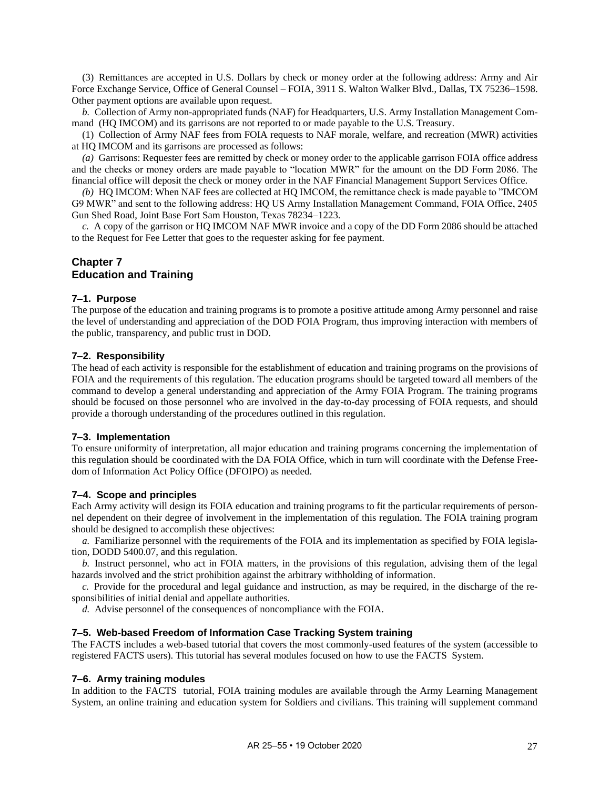(3) Remittances are accepted in U.S. Dollars by check or money order at the following address: Army and Air Force Exchange Service, Office of General Counsel – FOIA, 3911 S. Walton Walker Blvd., Dallas, TX 75236–1598. Other payment options are available upon request.

*b.* Collection of Army non-appropriated funds (NAF) for Headquarters, U.S. Army Installation Management Command (HQ IMCOM) and its garrisons are not reported to or made payable to the U.S. Treasury.

(1) Collection of Army NAF fees from FOIA requests to NAF morale, welfare, and recreation (MWR) activities at HQ IMCOM and its garrisons are processed as follows:

*(a)* Garrisons: Requester fees are remitted by check or money order to the applicable garrison FOIA office address and the checks or money orders are made payable to "location MWR" for the amount on the DD Form 2086. The financial office will deposit the check or money order in the NAF Financial Management Support Services Office.

*(b)* HQ IMCOM: When NAF fees are collected at HQ IMCOM, the remittance check is made payable to "IMCOM G9 MWR" and sent to the following address: HQ US Army Installation Management Command, FOIA Office, 2405 Gun Shed Road, Joint Base Fort Sam Houston, Texas 78234–1223.

*c.* A copy of the garrison or HQ IMCOM NAF MWR invoice and a copy of the DD Form 2086 should be attached to the Request for Fee Letter that goes to the requester asking for fee payment.

# <span id="page-31-0"></span>**Chapter 7 Education and Training**

# <span id="page-31-1"></span>**7–1. Purpose**

The purpose of the education and training programs is to promote a positive attitude among Army personnel and raise the level of understanding and appreciation of the DOD FOIA Program, thus improving interaction with members of the public, transparency, and public trust in DOD.

# <span id="page-31-2"></span>**7–2. Responsibility**

The head of each activity is responsible for the establishment of education and training programs on the provisions of FOIA and the requirements of this regulation. The education programs should be targeted toward all members of the command to develop a general understanding and appreciation of the Army FOIA Program. The training programs should be focused on those personnel who are involved in the day-to-day processing of FOIA requests, and should provide a thorough understanding of the procedures outlined in this regulation.

# <span id="page-31-3"></span>**7–3. Implementation**

To ensure uniformity of interpretation, all major education and training programs concerning the implementation of this regulation should be coordinated with the DA FOIA Office, which in turn will coordinate with the Defense Freedom of Information Act Policy Office (DFOIPO) as needed.

# <span id="page-31-4"></span>**7–4. Scope and principles**

Each Army activity will design its FOIA education and training programs to fit the particular requirements of personnel dependent on their degree of involvement in the implementation of this regulation. The FOIA training program should be designed to accomplish these objectives:

*a.* Familiarize personnel with the requirements of the FOIA and its implementation as specified by FOIA legislation, DODD 5400.07, and this regulation.

*b.* Instruct personnel, who act in FOIA matters, in the provisions of this regulation, advising them of the legal hazards involved and the strict prohibition against the arbitrary withholding of information.

*c.* Provide for the procedural and legal guidance and instruction, as may be required, in the discharge of the responsibilities of initial denial and appellate authorities.

*d.* Advise personnel of the consequences of noncompliance with the FOIA.

# <span id="page-31-5"></span>**7–5. Web-based Freedom of Information Case Tracking System training**

The FACTS includes a web-based tutorial that covers the most commonly-used features of the system (accessible to registered FACTS users). This tutorial has several modules focused on how to use the FACTS System.

# <span id="page-31-6"></span>**7–6. Army training modules**

In addition to the FACTS tutorial, FOIA training modules are available through the Army Learning Management System, an online training and education system for Soldiers and civilians. This training will supplement command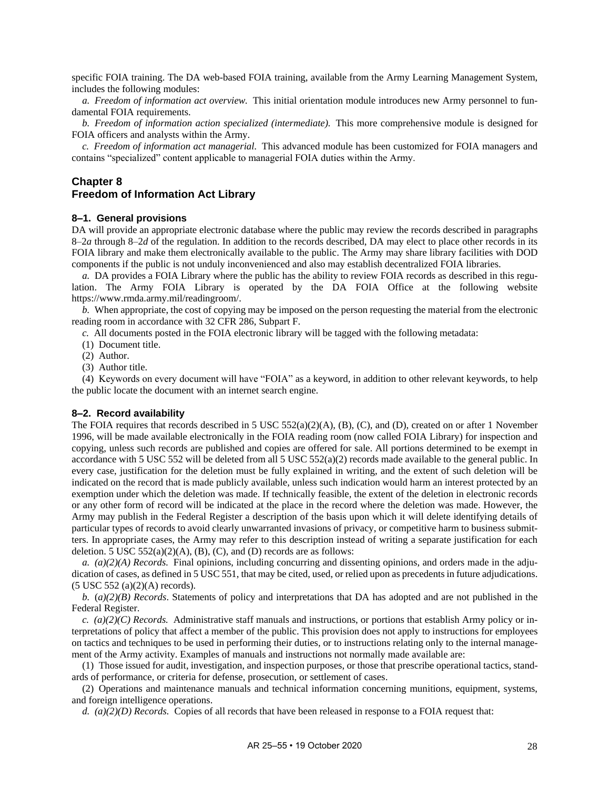specific FOIA training. The DA web-based FOIA training, available from the Army Learning Management System, includes the following modules:

*a. Freedom of information act overview.* This initial orientation module introduces new Army personnel to fundamental FOIA requirements.

*b. Freedom of information action specialized (intermediate).* This more comprehensive module is designed for FOIA officers and analysts within the Army.

*c. Freedom of information act managerial.* This advanced module has been customized for FOIA managers and contains "specialized" content applicable to managerial FOIA duties within the Army.

# <span id="page-32-0"></span>**Chapter 8 Freedom of Information Act Library**

# <span id="page-32-1"></span>**8–1. General provisions**

DA will provide an appropriate electronic database where the public may review the records described in paragraphs [8–2](#page-32-3)*a* through [8–2](#page-32-4)*d* of the regulation. In addition to the records described, DA may elect to place other records in its FOIA library and make them electronically available to the public. The Army may share library facilities with DOD components if the public is not unduly inconvenienced and also may establish decentralized FOIA libraries.

*a.* DA provides a FOIA Library where the public has the ability to review FOIA records as described in this regulation. The Army FOIA Library is operated by the DA FOIA Office at the following website [https://www.rmda.army.mil/readingroom/.](https://www.rmda.army.mil/readingroom/)

*b.* When appropriate, the cost of copying may be imposed on the person requesting the material from the electronic reading room in accordance with 32 CFR 286, Subpart F.

*c.* All documents posted in the FOIA electronic library will be tagged with the following metadata:

- (1) Document title.
- (2) Author.
- (3) Author title.

(4) Keywords on every document will have "FOIA" as a keyword, in addition to other relevant keywords, to help the public locate the document with an internet search engine.

#### <span id="page-32-2"></span>**8–2. Record availability**

The FOIA requires that records described in 5 USC 552(a)(2)(A), (B), (C), and (D), created on or after 1 November 1996, will be made available electronically in the FOIA reading room (now called FOIA Library) for inspection and copying, unless such records are published and copies are offered for sale. All portions determined to be exempt in accordance with 5 USC 552 will be deleted from all 5 USC  $552(a)(2)$  records made available to the general public. In every case, justification for the deletion must be fully explained in writing, and the extent of such deletion will be indicated on the record that is made publicly available, unless such indication would harm an interest protected by an exemption under which the deletion was made. If technically feasible, the extent of the deletion in electronic records or any other form of record will be indicated at the place in the record where the deletion was made. However, the Army may publish in the Federal Register a description of the basis upon which it will delete identifying details of particular types of records to avoid clearly unwarranted invasions of privacy, or competitive harm to business submitters. In appropriate cases, the Army may refer to this description instead of writing a separate justification for each deletion. 5 USC  $552(a)(2)(A)$ , (B), (C), and (D) records are as follows:

<span id="page-32-3"></span>*a. (a)(2)(A) Records.* Final opinions, including concurring and dissenting opinions, and orders made in the adjudication of cases, as defined in 5 USC 551, that may be cited, used, or relied upon as precedents in future adjudications. (5 USC 552 (a)(2)(A) records).

*b.* (*a)(2)(B) Records*. Statements of policy and interpretations that DA has adopted and are not published in the Federal Register.

*c. (a)(2)(C) Records.* Administrative staff manuals and instructions, or portions that establish Army policy or interpretations of policy that affect a member of the public. This provision does not apply to instructions for employees on tactics and techniques to be used in performing their duties, or to instructions relating only to the internal management of the Army activity. Examples of manuals and instructions not normally made available are:

(1) Those issued for audit, investigation, and inspection purposes, or those that prescribe operational tactics, standards of performance, or criteria for defense, prosecution, or settlement of cases.

(2) Operations and maintenance manuals and technical information concerning munitions, equipment, systems, and foreign intelligence operations.

<span id="page-32-4"></span>*d. (a)(2)(D) Records.* Copies of all records that have been released in response to a FOIA request that: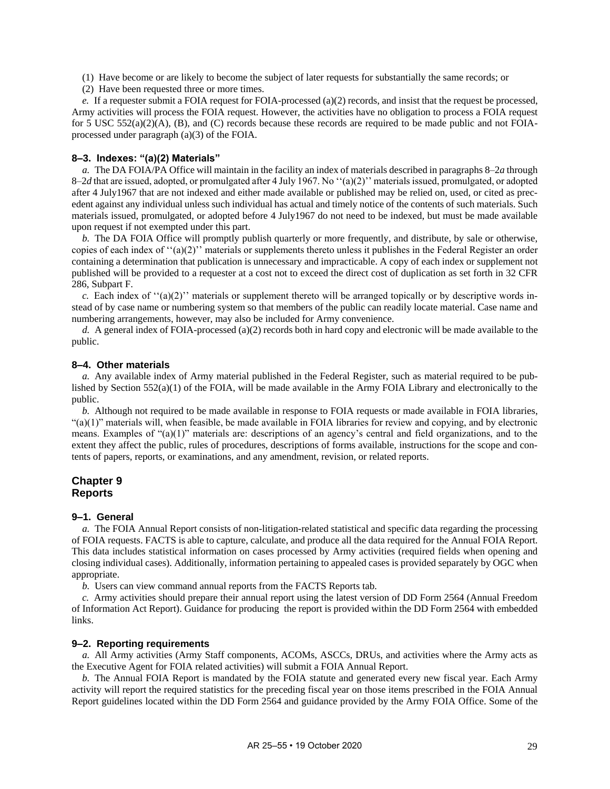- (1) Have become or are likely to become the subject of later requests for substantially the same records; or
- (2) Have been requested three or more times.

*e.* If a requester submit a FOIA request for FOIA-processed (a)(2) records, and insist that the request be processed, Army activities will process the FOIA request. However, the activities have no obligation to process a FOIA request for 5 USC 552(a)(2)(A), (B), and (C) records because these records are required to be made public and not FOIAprocessed under paragraph (a)(3) of the FOIA.

#### <span id="page-33-1"></span>**8–3. Indexes: "(a)(2) Materials"**

*a.* The DA FOIA/PA Office will maintain in the facility an index of materials described in paragraphs [8–2](#page-32-3)*a* through [8–2](#page-32-4)*d* that are issued, adopted, or promulgated after 4 July 1967. No ''(a)(2)'' materials issued, promulgated, or adopted after 4 July1967 that are not indexed and either made available or published may be relied on, used, or cited as precedent against any individual unless such individual has actual and timely notice of the contents of such materials. Such materials issued, promulgated, or adopted before 4 July1967 do not need to be indexed, but must be made available upon request if not exempted under this part.

*b.* The DA FOIA Office will promptly publish quarterly or more frequently, and distribute, by sale or otherwise, copies of each index of ''(a)(2)'' materials or supplements thereto unless it publishes in the Federal Register an order containing a determination that publication is unnecessary and impracticable. A copy of each index or supplement not published will be provided to a requester at a cost not to exceed the direct cost of duplication as set forth in 32 CFR 286, Subpart F.

*c.* Each index of  $((a)(2))$  materials or supplement thereto will be arranged topically or by descriptive words instead of by case name or numbering system so that members of the public can readily locate material. Case name and numbering arrangements, however, may also be included for Army convenience.

*d.* A general index of FOIA-processed (a)(2) records both in hard copy and electronic will be made available to the public.

#### <span id="page-33-2"></span>**8–4. Other materials**

*a.* Any available index of Army material published in the Federal Register, such as material required to be published by Section 552(a)(1) of the FOIA, will be made available in the Army FOIA Library and electronically to the public.

*b.* Although not required to be made available in response to FOIA requests or made available in FOIA libraries, "(a)(1)" materials will, when feasible, be made available in FOIA libraries for review and copying, and by electronic means. Examples of "(a)(1)" materials are: descriptions of an agency's central and field organizations, and to the extent they affect the public, rules of procedures, descriptions of forms available, instructions for the scope and contents of papers, reports, or examinations, and any amendment, revision, or related reports.

# <span id="page-33-0"></span>**Chapter 9 Reports**

# <span id="page-33-3"></span>**9–1. General**

*a.* The FOIA Annual Report consists of non-litigation-related statistical and specific data regarding the processing of FOIA requests. FACTS is able to capture, calculate, and produce all the data required for the Annual FOIA Report. This data includes statistical information on cases processed by Army activities (required fields when opening and closing individual cases). Additionally, information pertaining to appealed cases is provided separately by OGC when appropriate.

*b.* Users can view command annual reports from the FACTS Reports tab.

<span id="page-33-5"></span>*c.* Army activities should prepare their annual report using the latest version of DD Form 2564 (Annual Freedom of Information Act Report). Guidance for producing the report is provided within the DD Form 2564 with embedded links.

#### <span id="page-33-4"></span>**9–2. Reporting requirements**

*a.* All Army activities (Army Staff components, ACOMs, ASCCs, DRUs, and activities where the Army acts as the Executive Agent for FOIA related activities) will submit a FOIA Annual Report.

*b.* The Annual FOIA Report is mandated by the FOIA statute and generated every new fiscal year. Each Army activity will report the required statistics for the preceding fiscal year on those items prescribed in the FOIA Annual Report guidelines located within the DD Form 2564 and guidance provided by the Army FOIA Office. Some of the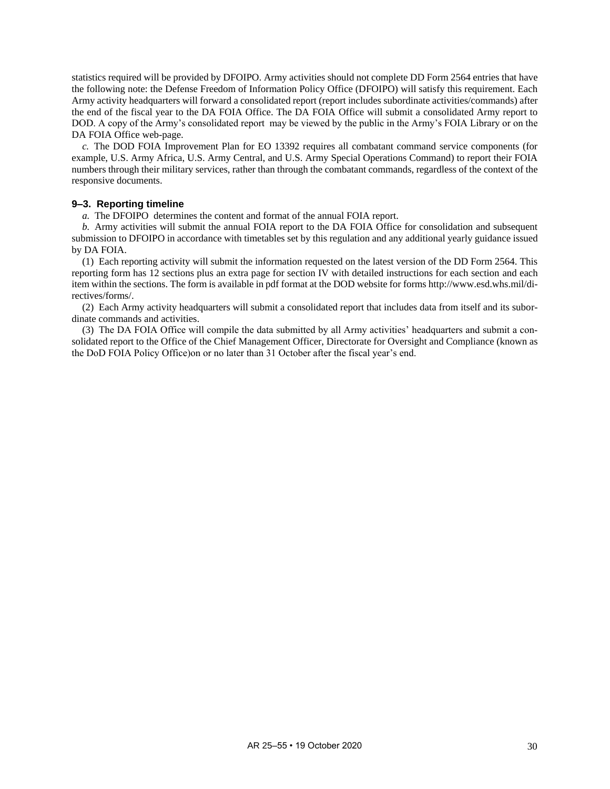statistics required will be provided by DFOIPO. Army activities should not complete DD Form 2564 entries that have the following note: the Defense Freedom of Information Policy Office (DFOIPO) will satisfy this requirement. Each Army activity headquarters will forward a consolidated report (report includes subordinate activities/commands) after the end of the fiscal year to the DA FOIA Office. The DA FOIA Office will submit a consolidated Army report to DOD. A copy of the Army's consolidated report may be viewed by the public in the Army's FOIA Library or on the DA FOIA Office web-page.

*c.* The DOD FOIA Improvement Plan for EO 13392 requires all combatant command service components (for example, U.S. Army Africa, U.S. Army Central, and U.S. Army Special Operations Command) to report their FOIA numbers through their military services, rather than through the combatant commands, regardless of the context of the responsive documents.

#### <span id="page-34-0"></span>**9–3. Reporting timeline**

*a.* The DFOIPO determines the content and format of the annual FOIA report.

*b.* Army activities will submit the annual FOIA report to the DA FOIA Office for consolidation and subsequent submission to DFOIPO in accordance with timetables set by this regulation and any additional yearly guidance issued by DA FOIA.

(1) Each reporting activity will submit the information requested on the latest version of the DD Form 2564. This reporting form has 12 sections plus an extra page for section IV with detailed instructions for each section and each item within the sections. The form is available in pdf format at the DOD website for form[s http://www.esd.whs.mil/di](http://www.esd.whs.mil/directives/forms/)[rectives/forms/.](http://www.esd.whs.mil/directives/forms/)

(2) Each Army activity headquarters will submit a consolidated report that includes data from itself and its subordinate commands and activities.

(3) The DA FOIA Office will compile the data submitted by all Army activities' headquarters and submit a consolidated report to the Office of the Chief Management Officer, Directorate for Oversight and Compliance (known as the DoD FOIA Policy Office)on or no later than 31 October after the fiscal year's end.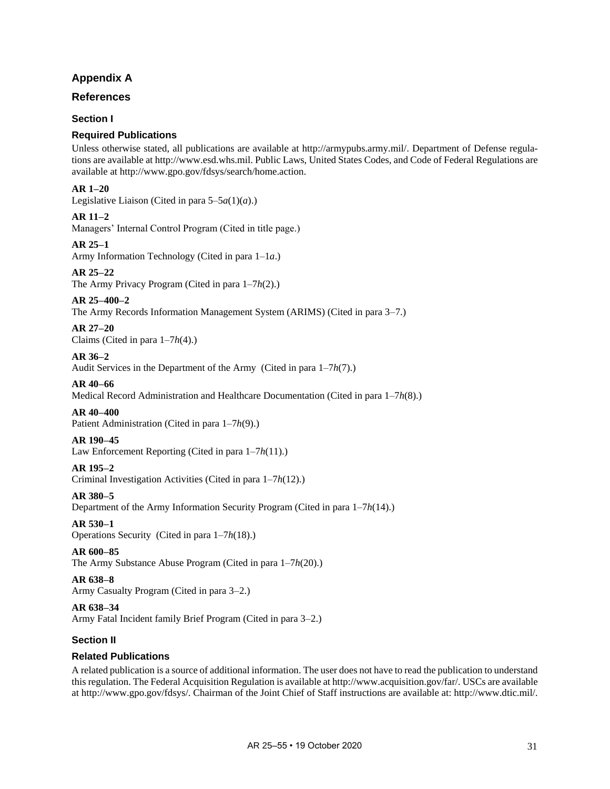# **Appendix A**

# <span id="page-35-0"></span>**References**

# **Section I**

# **Required Publications**

Unless otherwise stated, all publications are available at [http://armypubs.army.mil/.](http://armypubs.army.mil/) Department of Defense regulations are available a[t http://www.esd.whs.mil.](http://www.esd.whs.mil/) Public Laws, United States Codes, and Code of Federal Regulations are available at [http://www.gpo.gov/fdsys/search/home.action.](http://www.gpo.gov/fdsys/search/home.action)

# **AR 1–20**

Legislative Liaison (Cited in para  $5-5a(1)(a)$ .)

# **AR 11–2**

Managers' Internal Control Program (Cited in title page.)

# **AR 25–1**

Army Information Technology (Cited in [para 1–1](#page-5-9)*a*.)

# **AR 25–22**

The Army Privacy Program (Cited i[n para 1–7](#page-6-1)*h*(2).)

# **AR 25–400–2**

The Army Records Information Management System (ARIMS) (Cited i[n para 3–7.](#page-12-3))

#### **AR 27–20** Claims (Cited i[n para 1–7](#page-6-2)*h*(4).)

# **AR 36–2**

Audit Services in the Department of the Army (Cited in [para 1–7](#page-6-3)*h*(7).)

# **AR 40–66**

Medical Record Administration and Healthcare Documentation (Cited in [para 1–7](#page-6-4)*h*(8).)

# **AR 40–400**

Patient Administration (Cited in [para 1–7](#page-6-5)*h*(9).)

# **AR 190–45**

Law Enforcement Reporting (Cited i[n para 1–7](#page-6-6)*h*(11).)

# **AR 195–2**

Criminal Investigation Activities (Cited in [para 1–7](#page-6-7)*h*(12).)

# **AR 380–5**

Department of the Army Information Security Program (Cited in [para 1–7](#page-6-8)*h*(14).)

# **AR 530–1**

Operations Security (Cited i[n para 1–7](#page-6-9)*h*(18).)

# **AR 600–85**

The Army Substance Abuse Program (Cited i[n para 1–7](#page-6-10)*h*(20).)

# **AR 638–8**

Army Casualty Program (Cited in [para 3–2.](#page-11-5))

# **AR 638–34**

Army Fatal Incident family Brief Program (Cited in [para 3–2.](#page-11-5))

# **Section II**

# **Related Publications**

A related publication is a source of additional information. The user does not have to read the publication to understand this regulation. The Federal Acquisition Regulation is available a[t http://www.acquisition.gov/far/.](http://www.acquisition.gov/far/) USCs are available a[t http://www.gpo.gov/fdsys/.](http://www.gpo.gov/fdsys/) Chairman of the Joint Chief of Staff instructions are available at: [http://www.dtic.mil/.](http://www.dtic.mil/)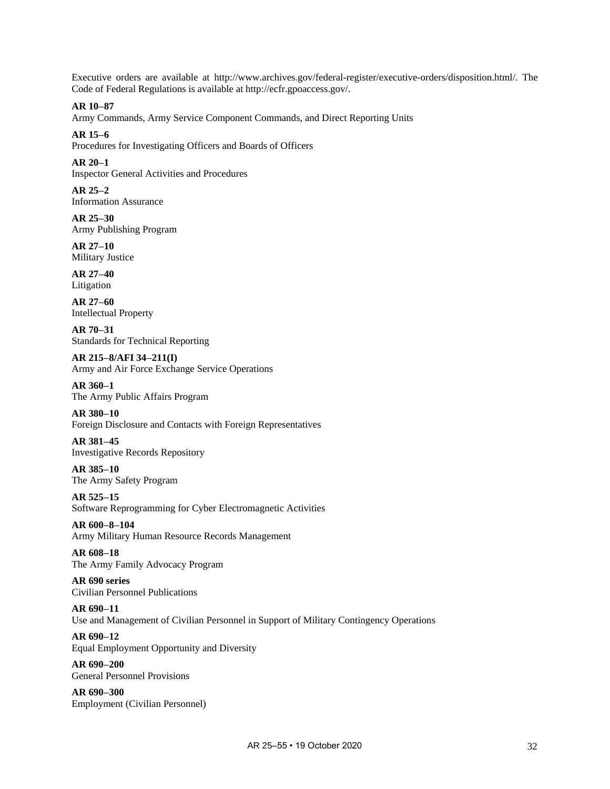Executive orders are available at [http://www.archives.gov/federal-register/executive-orders/disposition.html/.](http://www.archives.gov/federal-register/executive-orders/disposition.html/) The Code of Federal Regulations is available a[t http://ecfr.gpoaccess.gov/.](http://ecfr.gpoaccess.gov/)

# **AR 10–87**

Army Commands, Army Service Component Commands, and Direct Reporting Units

# **AR 15–6**

Procedures for Investigating Officers and Boards of Officers

# **AR 20–1**

Inspector General Activities and Procedures

**AR 25–2** Information Assurance

**AR 25–30** Army Publishing Program

#### **AR 27–10** Military Justice

**AR 27–40** Litigation

**AR 27–60** Intellectual Property

**AR 70–31** Standards for Technical Reporting

**AR 215–8/AFI 34–211(I)** Army and Air Force Exchange Service Operations

# **AR 360–1**

The Army Public Affairs Program

# **AR 380–10**

Foreign Disclosure and Contacts with Foreign Representatives

**AR 381–45** Investigative Records Repository

**AR 385–10** The Army Safety Program

**AR 525–15** Software Reprogramming for Cyber Electromagnetic Activities

**AR 600–8–104** Army Military Human Resource Records Management

# **AR 608–18** The Army Family Advocacy Program

**AR 690 series** Civilian Personnel Publications

# **AR 690–11**

Use and Management of Civilian Personnel in Support of Military Contingency Operations

# **AR 690–12**

Equal Employment Opportunity and Diversity

**AR 690–200** General Personnel Provisions

**AR 690–300** Employment (Civilian Personnel)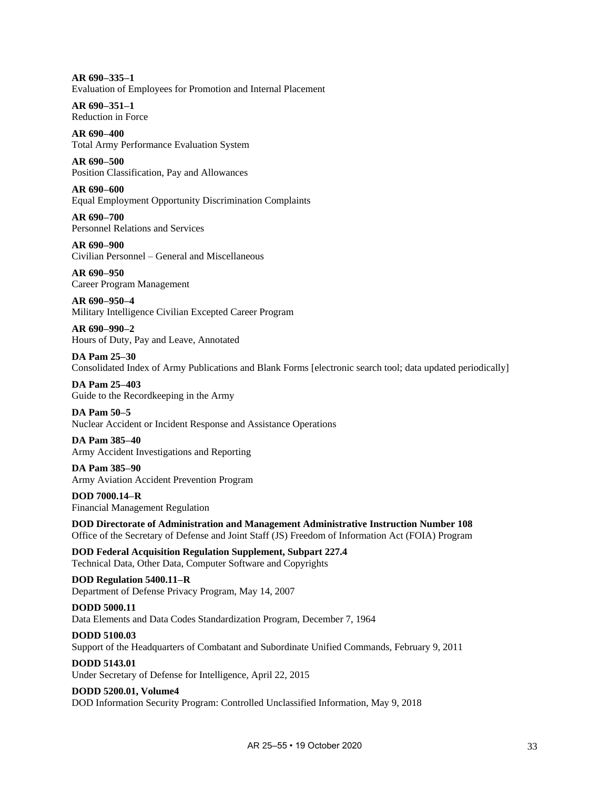**AR 690–335–1** Evaluation of Employees for Promotion and Internal Placement

**AR 690–351–1** Reduction in Force

**AR 690–400** Total Army Performance Evaluation System

**AR 690–500** Position Classification, Pay and Allowances

**AR 690–600** Equal Employment Opportunity Discrimination Complaints

**AR 690–700** Personnel Relations and Services

**AR 690–900** Civilian Personnel – General and Miscellaneous

**AR 690–950** Career Program Management

**AR 690–950–4** Military Intelligence Civilian Excepted Career Program

**AR 690–990–2** Hours of Duty, Pay and Leave, Annotated

**DA Pam 25–30** Consolidated Index of Army Publications and Blank Forms [electronic search tool; data updated periodically]

**DA Pam 25–403** Guide to the Recordkeeping in the Army

**DA Pam 50–5** Nuclear Accident or Incident Response and Assistance Operations

**DA Pam 385–40** Army Accident Investigations and Reporting

**DA Pam 385–90** Army Aviation Accident Prevention Program

**DOD 7000.14–R** Financial Management Regulation

**DOD Directorate of Administration and Management Administrative Instruction Number 108** Office of the Secretary of Defense and Joint Staff (JS) Freedom of Information Act (FOIA) Program

**DOD Federal Acquisition Regulation Supplement, Subpart 227.4** Technical Data, Other Data, Computer Software and Copyrights

**DOD Regulation 5400.11–R** Department of Defense Privacy Program, May 14, 2007

# **DODD 5000.11**

Data Elements and Data Codes Standardization Program, December 7, 1964

# **DODD 5100.03**

Support of the Headquarters of Combatant and Subordinate Unified Commands, February 9, 2011

# **DODD 5143.01**

Under Secretary of Defense for Intelligence, April 22, 2015

# **DODD 5200.01, Volume4**

DOD Information Security Program: Controlled Unclassified Information, May 9, 2018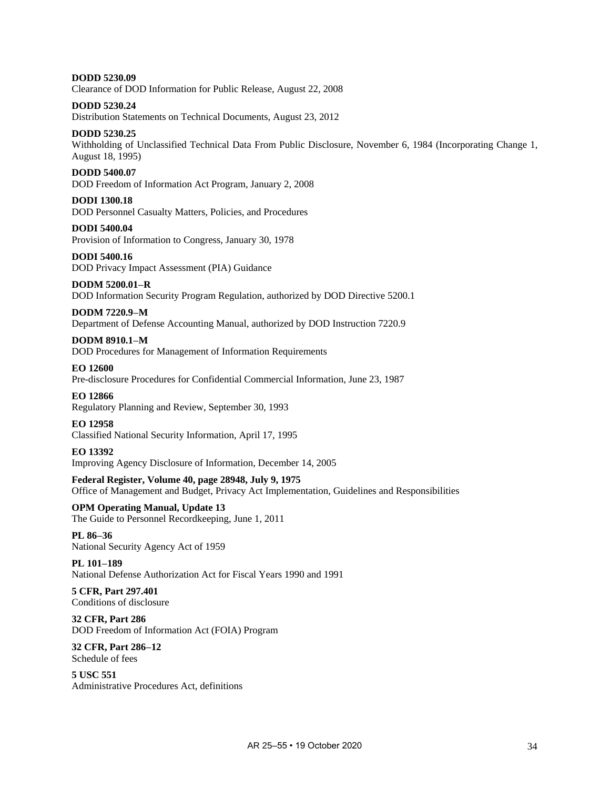**DODD 5230.09** Clearance of DOD Information for Public Release, August 22, 2008

# **DODD 5230.24**

Distribution Statements on Technical Documents, August 23, 2012

# **DODD 5230.25**

Withholding of Unclassified Technical Data From Public Disclosure, November 6, 1984 (Incorporating Change 1, August 18, 1995)

#### **DODD 5400.07**

DOD Freedom of Information Act Program, January 2, 2008

#### **DODI 1300.18**

DOD Personnel Casualty Matters, Policies, and Procedures

#### **DODI 5400.04**

Provision of Information to Congress, January 30, 1978

#### **DODI 5400.16** DOD Privacy Impact Assessment (PIA) Guidance

# **DODM 5200.01–R**

DOD Information Security Program Regulation, authorized by DOD Directive 5200.1

#### **DODM 7220.9–M**

Department of Defense Accounting Manual, authorized by DOD Instruction 7220.9

# **DODM 8910.1–M**

DOD Procedures for Management of Information Requirements

#### **EO 12600**

Pre-disclosure Procedures for Confidential Commercial Information, June 23, 1987

# **EO 12866**

Regulatory Planning and Review, September 30, 1993

#### **EO 12958** Classified National Security Information, April 17, 1995

**EO 13392** Improving Agency Disclosure of Information, December 14, 2005

# **Federal Register, Volume 40, page 28948, July 9, 1975**

Office of Management and Budget, Privacy Act Implementation, Guidelines and Responsibilities

#### **OPM Operating Manual, Update 13** The Guide to Personnel Recordkeeping, June 1, 2011

**PL 86–36** National Security Agency Act of 1959

# **PL 101–189** National Defense Authorization Act for Fiscal Years 1990 and 1991

#### **5 CFR, Part 297.401** Conditions of disclosure

**32 CFR, Part 286** DOD Freedom of Information Act (FOIA) Program

#### **32 CFR, Part 286–12** Schedule of fees

**5 USC 551** Administrative Procedures Act, definitions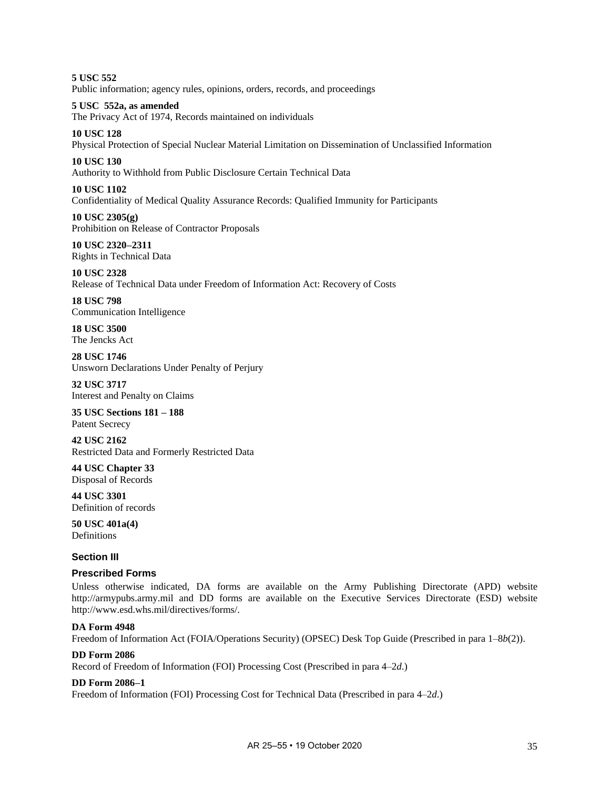**5 USC 552** Public information; agency rules, opinions, orders, records, and proceedings

#### **5 USC 552a, as amended**

The Privacy Act of 1974, Records maintained on individuals

# **10 USC 128**

Physical Protection of Special Nuclear Material Limitation on Dissemination of Unclassified Information

#### **10 USC 130**

Authority to Withhold from Public Disclosure Certain Technical Data

#### **10 USC 1102**

Confidentiality of Medical Quality Assurance Records: Qualified Immunity for Participants

**10 USC 2305(g)** Prohibition on Release of Contractor Proposals

**10 USC 2320–2311** Rights in Technical Data

**10 USC 2328** Release of Technical Data under Freedom of Information Act: Recovery of Costs

**18 USC 798** Communication Intelligence

**18 USC 3500** The Jencks Act

**28 USC 1746** Unsworn Declarations Under Penalty of Perjury

**32 USC 3717** Interest and Penalty on Claims

**35 USC Sections 181 – 188** Patent Secrecy

**42 USC 2162** Restricted Data and Formerly Restricted Data

**44 USC Chapter 33** Disposal of Records

**44 USC 3301** Definition of records

**50 USC 401a(4)** Definitions

# **Section III**

# **Prescribed Forms**

Unless otherwise indicated, DA forms are available on the Army Publishing Directorate (APD) website [http://armypubs.army.mil](http://armypubs.army.mil/) and DD forms are available on the Executive Services Directorate (ESD) website [http://www.esd.whs.mil/directives/forms/.](http://www.esd.whs.mil/directives/forms/)

# **DA Form 4948**

Freedom of Information Act (FOIA/Operations Security) (OPSEC) Desk Top Guide (Prescribed in [para 1–8](#page-7-3)*b*(2)).

#### **DD Form 2086**

Record of Freedom of Information (FOI) Processing Cost (Prescribed i[n para 4–2](#page-16-1)*d*.)

#### **DD Form 2086–1**

Freedom of Information (FOI) Processing Cost for Technical Data (Prescribed in [para 4–2](#page-16-1)*d*.)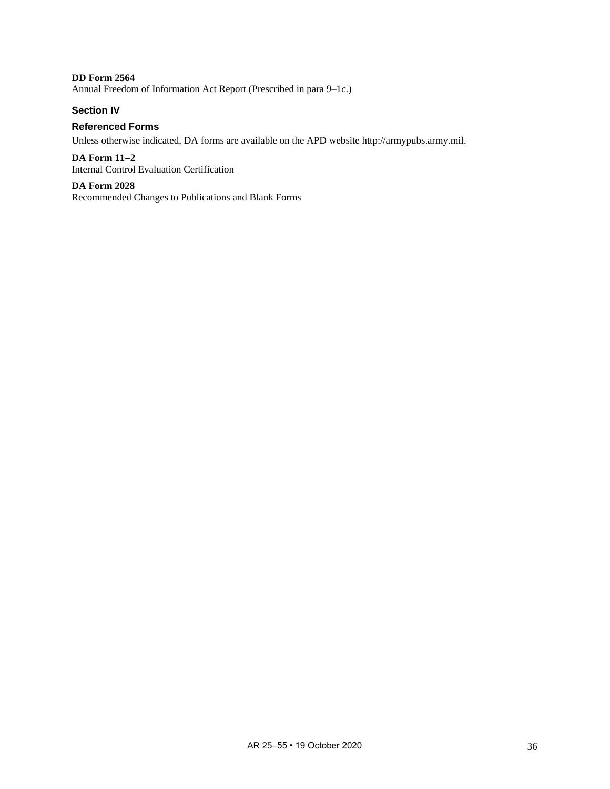**DD Form 2564** Annual Freedom of Information Act Report (Prescribed in [para 9–1](#page-33-5)*c*.)

# **Section IV**

# **Referenced Forms**

Unless otherwise indicated, DA forms are available on the APD websit[e http://armypubs.army.mil.](http://armypubs.army.mil/)

**DA Form 11–2** Internal Control Evaluation Certification

**DA Form 2028** Recommended Changes to Publications and Blank Forms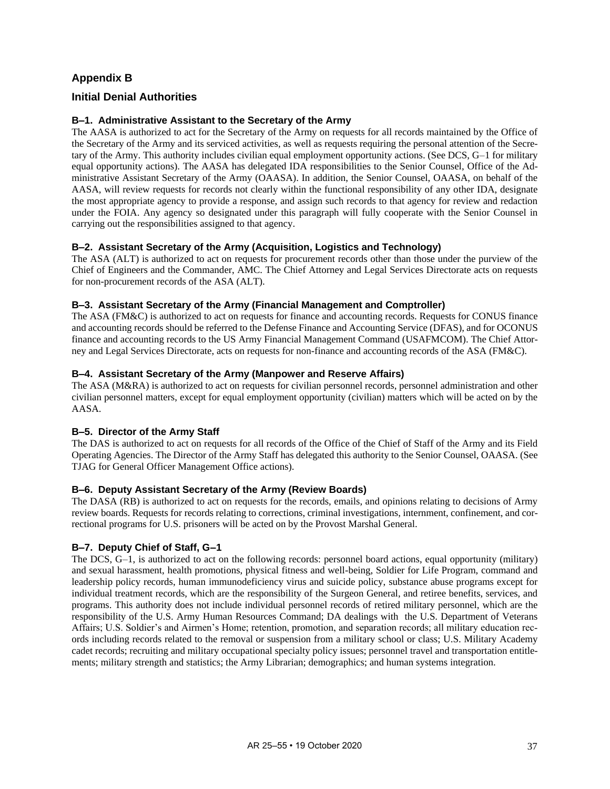# **Appendix B**

# <span id="page-41-0"></span>**Initial Denial Authorities**

# **B–1. Administrative Assistant to the Secretary of the Army**

The AASA is authorized to act for the Secretary of the Army on requests for all records maintained by the Office of the Secretary of the Army and its serviced activities, as well as requests requiring the personal attention of the Secretary of the Army. This authority includes civilian equal employment opportunity actions. (See DCS, G–1 for military equal opportunity actions). The AASA has delegated IDA responsibilities to the Senior Counsel, Office of the Administrative Assistant Secretary of the Army (OAASA). In addition, the Senior Counsel, OAASA, on behalf of the AASA, will review requests for records not clearly within the functional responsibility of any other IDA, designate the most appropriate agency to provide a response, and assign such records to that agency for review and redaction under the FOIA. Any agency so designated under this paragraph will fully cooperate with the Senior Counsel in carrying out the responsibilities assigned to that agency.

# **B–2. Assistant Secretary of the Army (Acquisition, Logistics and Technology)**

The ASA (ALT) is authorized to act on requests for procurement records other than those under the purview of the Chief of Engineers and the Commander, AMC. The Chief Attorney and Legal Services Directorate acts on requests for non-procurement records of the ASA (ALT).

# **B–3. Assistant Secretary of the Army (Financial Management and Comptroller)**

The ASA (FM&C) is authorized to act on requests for finance and accounting records. Requests for CONUS finance and accounting records should be referred to the Defense Finance and Accounting Service (DFAS), and for OCONUS finance and accounting records to the US Army Financial Management Command (USAFMCOM). The Chief Attorney and Legal Services Directorate, acts on requests for non-finance and accounting records of the ASA (FM&C).

# **B–4. Assistant Secretary of the Army (Manpower and Reserve Affairs)**

The ASA (M&RA) is authorized to act on requests for civilian personnel records, personnel administration and other civilian personnel matters, except for equal employment opportunity (civilian) matters which will be acted on by the AASA.

# **B–5. Director of the Army Staff**

The DAS is authorized to act on requests for all records of the Office of the Chief of Staff of the Army and its Field Operating Agencies. The Director of the Army Staff has delegated this authority to the Senior Counsel, OAASA. (See TJAG for General Officer Management Office actions).

# **B–6. Deputy Assistant Secretary of the Army (Review Boards)**

The DASA (RB) is authorized to act on requests for the records, emails, and opinions relating to decisions of Army review boards. Requests for records relating to corrections, criminal investigations, internment, confinement, and correctional programs for U.S. prisoners will be acted on by the Provost Marshal General.

# **B–7. Deputy Chief of Staff, G–1**

The DCS, G–1, is authorized to act on the following records: personnel board actions, equal opportunity (military) and sexual harassment, health promotions, physical fitness and well-being, Soldier for Life Program, command and leadership policy records, human immunodeficiency virus and suicide policy, substance abuse programs except for individual treatment records, which are the responsibility of the Surgeon General, and retiree benefits, services, and programs. This authority does not include individual personnel records of retired military personnel, which are the responsibility of the U.S. Army Human Resources Command; DA dealings with the U.S. Department of Veterans Affairs; U.S. Soldier's and Airmen's Home; retention, promotion, and separation records; all military education records including records related to the removal or suspension from a military school or class; U.S. Military Academy cadet records; recruiting and military occupational specialty policy issues; personnel travel and transportation entitlements; military strength and statistics; the Army Librarian; demographics; and human systems integration.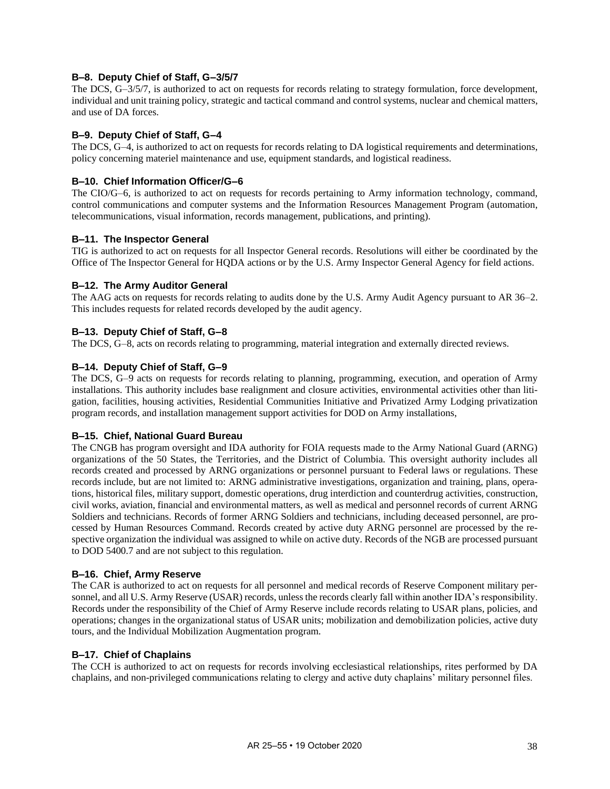# **B–8. Deputy Chief of Staff, G–3/5/7**

The DCS, G–3/5/7, is authorized to act on requests for records relating to strategy formulation, force development, individual and unit training policy, strategic and tactical command and control systems, nuclear and chemical matters, and use of DA forces.

# **B–9. Deputy Chief of Staff, G–4**

The DCS, G–4, is authorized to act on requests for records relating to DA logistical requirements and determinations, policy concerning materiel maintenance and use, equipment standards, and logistical readiness.

# **B–10. Chief Information Officer/G–6**

The CIO/G–6, is authorized to act on requests for records pertaining to Army information technology, command, control communications and computer systems and the Information Resources Management Program (automation, telecommunications, visual information, records management, publications, and printing).

# **B–11. The Inspector General**

TIG is authorized to act on requests for all Inspector General records. Resolutions will either be coordinated by the Office of The Inspector General for HQDA actions or by the U.S. Army Inspector General Agency for field actions.

# **B–12. The Army Auditor General**

The AAG acts on requests for records relating to audits done by the U.S. Army Audit Agency pursuant to AR 36–2. This includes requests for related records developed by the audit agency.

# **B–13. Deputy Chief of Staff, G–8**

The DCS, G–8, acts on records relating to programming, material integration and externally directed reviews.

# **B–14. Deputy Chief of Staff, G–9**

The DCS, G–9 acts on requests for records relating to planning, programming, execution, and operation of Army installations. This authority includes base realignment and closure activities, environmental activities other than litigation, facilities, housing activities, Residential Communities Initiative and Privatized Army Lodging privatization program records, and installation management support activities for DOD on Army installations,

# **B–15. Chief, National Guard Bureau**

The CNGB has program oversight and IDA authority for FOIA requests made to the Army National Guard (ARNG) organizations of the 50 States, the Territories, and the District of Columbia. This oversight authority includes all records created and processed by ARNG organizations or personnel pursuant to Federal laws or regulations. These records include, but are not limited to: ARNG administrative investigations, organization and training, plans, operations, historical files, military support, domestic operations, drug interdiction and counterdrug activities, construction, civil works, aviation, financial and environmental matters, as well as medical and personnel records of current ARNG Soldiers and technicians. Records of former ARNG Soldiers and technicians, including deceased personnel, are processed by Human Resources Command. Records created by active duty ARNG personnel are processed by the respective organization the individual was assigned to while on active duty. Records of the NGB are processed pursuant to DOD 5400.7 and are not subject to this regulation.

# **B–16. Chief, Army Reserve**

The CAR is authorized to act on requests for all personnel and medical records of Reserve Component military personnel, and all U.S. Army Reserve (USAR) records, unless the records clearly fall within another IDA's responsibility. Records under the responsibility of the Chief of Army Reserve include records relating to USAR plans, policies, and operations; changes in the organizational status of USAR units; mobilization and demobilization policies, active duty tours, and the Individual Mobilization Augmentation program.

# **B–17. Chief of Chaplains**

The CCH is authorized to act on requests for records involving ecclesiastical relationships, rites performed by DA chaplains, and non-privileged communications relating to clergy and active duty chaplains' military personnel files.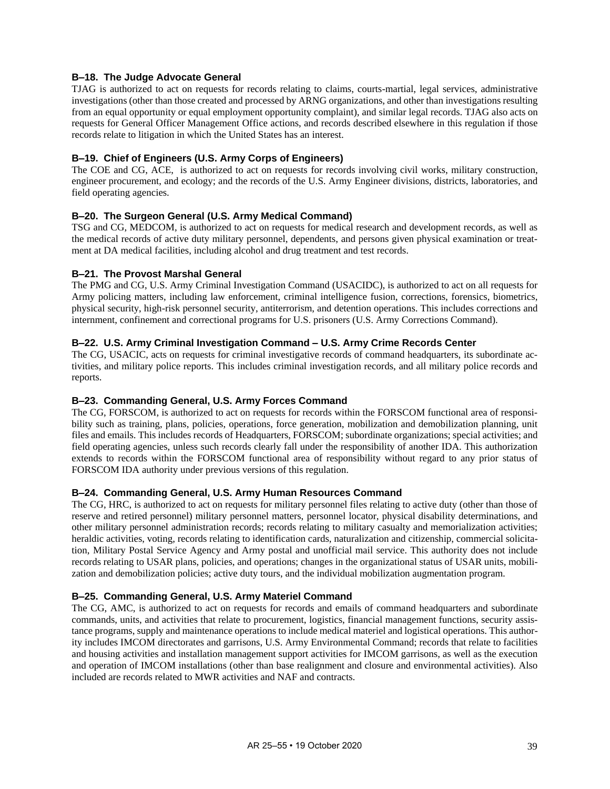# **B–18. The Judge Advocate General**

TJAG is authorized to act on requests for records relating to claims, courts-martial, legal services, administrative investigations (other than those created and processed by ARNG organizations, and other than investigations resulting from an equal opportunity or equal employment opportunity complaint), and similar legal records. TJAG also acts on requests for General Officer Management Office actions, and records described elsewhere in this regulation if those records relate to litigation in which the United States has an interest.

# **B–19. Chief of Engineers (U.S. Army Corps of Engineers)**

The COE and CG, ACE, is authorized to act on requests for records involving civil works, military construction, engineer procurement, and ecology; and the records of the U.S. Army Engineer divisions, districts, laboratories, and field operating agencies.

# **B–20. The Surgeon General (U.S. Army Medical Command)**

TSG and CG, MEDCOM, is authorized to act on requests for medical research and development records, as well as the medical records of active duty military personnel, dependents, and persons given physical examination or treatment at DA medical facilities, including alcohol and drug treatment and test records.

# **B–21. The Provost Marshal General**

The PMG and CG, U.S. Army Criminal Investigation Command (USACIDC), is authorized to act on all requests for Army policing matters, including law enforcement, criminal intelligence fusion, corrections, forensics, biometrics, physical security, high-risk personnel security, antiterrorism, and detention operations. This includes corrections and internment, confinement and correctional programs for U.S. prisoners (U.S. Army Corrections Command).

# **B–22. U.S. Army Criminal Investigation Command – U.S. Army Crime Records Center**

The CG, USACIC, acts on requests for criminal investigative records of command headquarters, its subordinate activities, and military police reports. This includes criminal investigation records, and all military police records and reports.

# **B–23. Commanding General, U.S. Army Forces Command**

The CG, FORSCOM, is authorized to act on requests for records within the FORSCOM functional area of responsibility such as training, plans, policies, operations, force generation, mobilization and demobilization planning, unit files and emails. This includes records of Headquarters, FORSCOM; subordinate organizations; special activities; and field operating agencies, unless such records clearly fall under the responsibility of another IDA. This authorization extends to records within the FORSCOM functional area of responsibility without regard to any prior status of FORSCOM IDA authority under previous versions of this regulation.

# **B–24. Commanding General, U.S. Army Human Resources Command**

The CG, HRC, is authorized to act on requests for military personnel files relating to active duty (other than those of reserve and retired personnel) military personnel matters, personnel locator, physical disability determinations, and other military personnel administration records; records relating to military casualty and memorialization activities; heraldic activities, voting, records relating to identification cards, naturalization and citizenship, commercial solicitation, Military Postal Service Agency and Army postal and unofficial mail service. This authority does not include records relating to USAR plans, policies, and operations; changes in the organizational status of USAR units, mobilization and demobilization policies; active duty tours, and the individual mobilization augmentation program.

# **B–25. Commanding General, U.S. Army Materiel Command**

The CG, AMC, is authorized to act on requests for records and emails of command headquarters and subordinate commands, units, and activities that relate to procurement, logistics, financial management functions, security assistance programs, supply and maintenance operations to include medical materiel and logistical operations. This authority includes IMCOM directorates and garrisons, U.S. Army Environmental Command; records that relate to facilities and housing activities and installation management support activities for IMCOM garrisons, as well as the execution and operation of IMCOM installations (other than base realignment and closure and environmental activities). Also included are records related to MWR activities and NAF and contracts.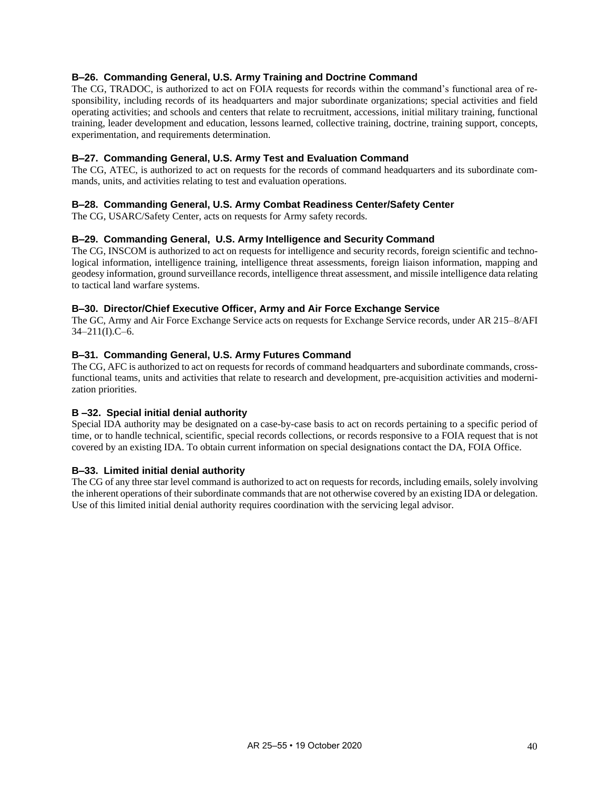# **B–26. Commanding General, U.S. Army Training and Doctrine Command**

The CG, TRADOC, is authorized to act on FOIA requests for records within the command's functional area of responsibility, including records of its headquarters and major subordinate organizations; special activities and field operating activities; and schools and centers that relate to recruitment, accessions, initial military training, functional training, leader development and education, lessons learned, collective training, doctrine, training support, concepts, experimentation, and requirements determination.

# **B–27. Commanding General, U.S. Army Test and Evaluation Command**

The CG, ATEC, is authorized to act on requests for the records of command headquarters and its subordinate commands, units, and activities relating to test and evaluation operations.

# **B–28. Commanding General, U.S. Army Combat Readiness Center/Safety Center**

The CG, USARC/Safety Center, acts on requests for Army safety records.

# **B–29. Commanding General, U.S. Army Intelligence and Security Command**

The CG, INSCOM is authorized to act on requests for intelligence and security records, foreign scientific and technological information, intelligence training, intelligence threat assessments, foreign liaison information, mapping and geodesy information, ground surveillance records, intelligence threat assessment, and missile intelligence data relating to tactical land warfare systems.

# **B–30. Director/Chief Executive Officer, Army and Air Force Exchange Service**

The GC, Army and Air Force Exchange Service acts on requests for Exchange Service records, under AR 215–8/AFI 34–211(I).C–6.

#### **B–31. Commanding General, U.S. Army Futures Command**

The CG, AFC is authorized to act on requests for records of command headquarters and subordinate commands, crossfunctional teams, units and activities that relate to research and development, pre-acquisition activities and modernization priorities.

# **B –32. Special initial denial authority**

Special IDA authority may be designated on a case-by-case basis to act on records pertaining to a specific period of time, or to handle technical, scientific, special records collections, or records responsive to a FOIA request that is not covered by an existing IDA. To obtain current information on special designations contact the DA, FOIA Office.

#### **B–33. Limited initial denial authority**

The CG of any three star level command is authorized to act on requests for records, including emails, solely involving the inherent operations of their subordinate commands that are not otherwise covered by an existing IDA or delegation. Use of this limited initial denial authority requires coordination with the servicing legal advisor.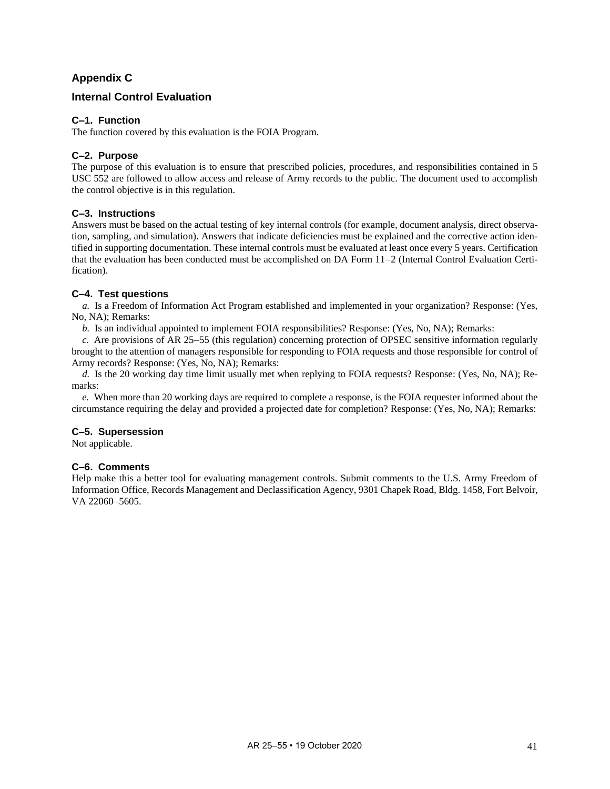# **Appendix C**

# <span id="page-45-0"></span>**Internal Control Evaluation**

# **C–1. Function**

The function covered by this evaluation is the FOIA Program.

# **C–2. Purpose**

The purpose of this evaluation is to ensure that prescribed policies, procedures, and responsibilities contained in 5 USC 552 are followed to allow access and release of Army records to the public. The document used to accomplish the control objective is in this regulation.

# **C–3. Instructions**

Answers must be based on the actual testing of key internal controls (for example, document analysis, direct observation, sampling, and simulation). Answers that indicate deficiencies must be explained and the corrective action identified in supporting documentation. These internal controls must be evaluated at least once every 5 years. Certification that the evaluation has been conducted must be accomplished on DA Form 11–2 (Internal Control Evaluation Certification).

# **C–4. Test questions**

*a.* Is a Freedom of Information Act Program established and implemented in your organization? Response: (Yes, No, NA); Remarks:

*b.* Is an individual appointed to implement FOIA responsibilities? Response: (Yes, No, NA); Remarks:

*c.* Are provisions of AR 25–55 (this regulation) concerning protection of OPSEC sensitive information regularly brought to the attention of managers responsible for responding to FOIA requests and those responsible for control of Army records? Response: (Yes, No, NA); Remarks:

*d.* Is the 20 working day time limit usually met when replying to FOIA requests? Response: (Yes, No, NA); Remarks:

*e.* When more than 20 working days are required to complete a response, is the FOIA requester informed about the circumstance requiring the delay and provided a projected date for completion? Response: (Yes, No, NA); Remarks:

# **C–5. Supersession**

Not applicable.

# **C–6. Comments**

Help make this a better tool for evaluating management controls. Submit comments to the U.S. Army Freedom of Information Office, Records Management and Declassification Agency, 9301 Chapek Road, Bldg. 1458, Fort Belvoir, VA 22060–5605.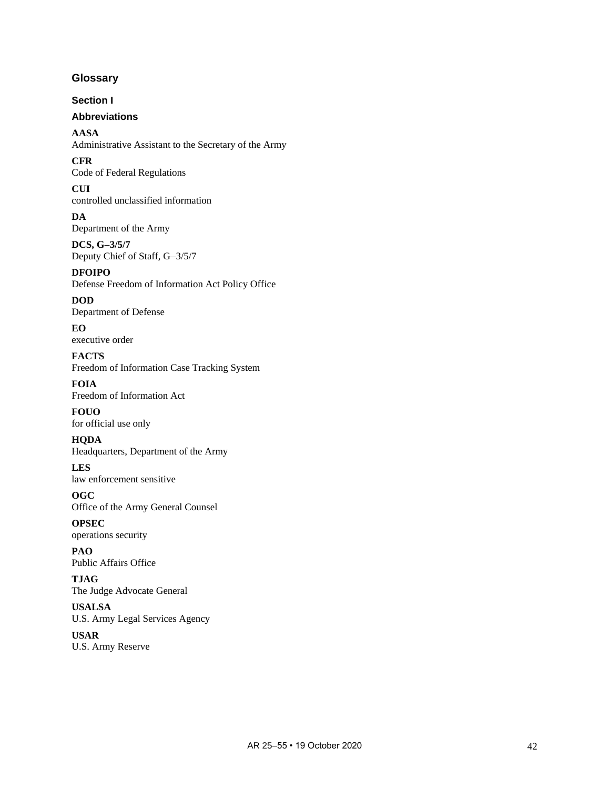# <span id="page-46-0"></span>**Glossary**

**Section I**

# **Abbreviations**

**AASA** Administrative Assistant to the Secretary of the Army

**CFR** Code of Federal Regulations

**CUI** controlled unclassified information

**DA** Department of the Army

**DCS, G–3/5/7** Deputy Chief of Staff, G–3/5/7

**DFOIPO** Defense Freedom of Information Act Policy Office

**DOD** Department of Defense

**EO** executive order

**FACTS** Freedom of Information Case Tracking System

**FOIA** Freedom of Information Act

**FOUO** for official use only

**HQDA** Headquarters, Department of the Army

**LES** law enforcement sensitive

**OGC** Office of the Army General Counsel

**OPSEC** operations security

**PAO** Public Affairs Office

**TJAG** The Judge Advocate General

**USALSA** U.S. Army Legal Services Agency

**USAR** U.S. Army Reserve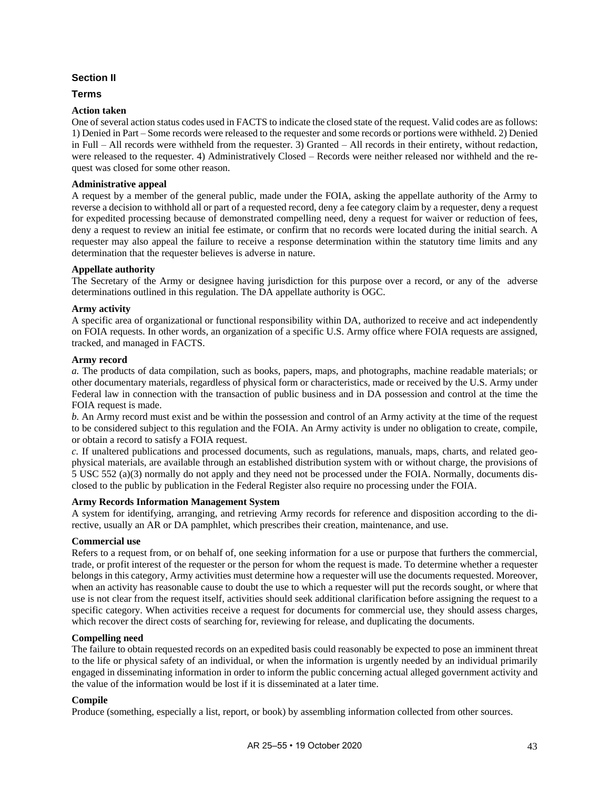# **Section II**

# **Terms**

#### **Action taken**

One of several action status codes used in FACTS to indicate the closed state of the request. Valid codes are as follows: 1) Denied in Part – Some records were released to the requester and some records or portions were withheld. 2) Denied in Full – All records were withheld from the requester. 3) Granted – All records in their entirety, without redaction, were released to the requester. 4) Administratively Closed – Records were neither released nor withheld and the request was closed for some other reason.

#### **Administrative appeal**

A request by a member of the general public, made under the FOIA, asking the appellate authority of the Army to reverse a decision to withhold all or part of a requested record, deny a fee category claim by a requester, deny a request for expedited processing because of demonstrated compelling need, deny a request for waiver or reduction of fees, deny a request to review an initial fee estimate, or confirm that no records were located during the initial search. A requester may also appeal the failure to receive a response determination within the statutory time limits and any determination that the requester believes is adverse in nature.

# **Appellate authority**

The Secretary of the Army or designee having jurisdiction for this purpose over a record, or any of the adverse determinations outlined in this regulation. The DA appellate authority is OGC.

#### **Army activity**

A specific area of organizational or functional responsibility within DA, authorized to receive and act independently on FOIA requests. In other words, an organization of a specific U.S. Army office where FOIA requests are assigned, tracked, and managed in FACTS.

#### **Army record**

*a.* The products of data compilation, such as books, papers, maps, and photographs, machine readable materials; or other documentary materials, regardless of physical form or characteristics, made or received by the U.S. Army under Federal law in connection with the transaction of public business and in DA possession and control at the time the FOIA request is made.

*b.* An Army record must exist and be within the possession and control of an Army activity at the time of the request to be considered subject to this regulation and the FOIA. An Army activity is under no obligation to create, compile, or obtain a record to satisfy a FOIA request.

*c.* If unaltered publications and processed documents, such as regulations, manuals, maps, charts, and related geophysical materials, are available through an established distribution system with or without charge, the provisions of 5 USC 552 (a)(3) normally do not apply and they need not be processed under the FOIA. Normally, documents disclosed to the public by publication in the Federal Register also require no processing under the FOIA.

# **Army Records Information Management System**

A system for identifying, arranging, and retrieving Army records for reference and disposition according to the directive, usually an AR or DA pamphlet, which prescribes their creation, maintenance, and use.

# **Commercial use**

Refers to a request from, or on behalf of, one seeking information for a use or purpose that furthers the commercial, trade, or profit interest of the requester or the person for whom the request is made. To determine whether a requester belongs in this category, Army activities must determine how a requester will use the documents requested. Moreover, when an activity has reasonable cause to doubt the use to which a requester will put the records sought, or where that use is not clear from the request itself, activities should seek additional clarification before assigning the request to a specific category. When activities receive a request for documents for commercial use, they should assess charges, which recover the direct costs of searching for, reviewing for release, and duplicating the documents.

#### **Compelling need**

The failure to obtain requested records on an expedited basis could reasonably be expected to pose an imminent threat to the life or physical safety of an individual, or when the information is urgently needed by an individual primarily engaged in disseminating information in order to inform the public concerning actual alleged government activity and the value of the information would be lost if it is disseminated at a later time.

#### **Compile**

Produce (something, especially a list, report, or book) by assembling information collected from other sources.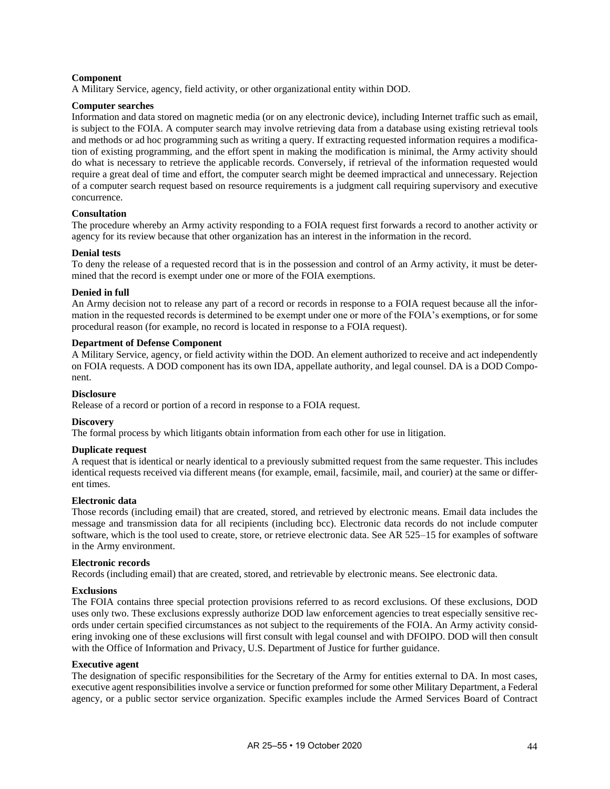#### **Component**

A Military Service, agency, field activity, or other organizational entity within DOD.

#### **Computer searches**

Information and data stored on magnetic media (or on any electronic device), including Internet traffic such as email, is subject to the FOIA. A computer search may involve retrieving data from a database using existing retrieval tools and methods or ad hoc programming such as writing a query. If extracting requested information requires a modification of existing programming, and the effort spent in making the modification is minimal, the Army activity should do what is necessary to retrieve the applicable records. Conversely, if retrieval of the information requested would require a great deal of time and effort, the computer search might be deemed impractical and unnecessary. Rejection of a computer search request based on resource requirements is a judgment call requiring supervisory and executive concurrence.

# **Consultation**

The procedure whereby an Army activity responding to a FOIA request first forwards a record to another activity or agency for its review because that other organization has an interest in the information in the record.

#### **Denial tests**

To deny the release of a requested record that is in the possession and control of an Army activity, it must be determined that the record is exempt under one or more of the FOIA exemptions.

#### **Denied in full**

An Army decision not to release any part of a record or records in response to a FOIA request because all the information in the requested records is determined to be exempt under one or more of the FOIA's exemptions, or for some procedural reason (for example, no record is located in response to a FOIA request).

#### **Department of Defense Component**

A Military Service, agency, or field activity within the DOD. An element authorized to receive and act independently on FOIA requests. A DOD component has its own IDA, appellate authority, and legal counsel. DA is a DOD Component.

#### **Disclosure**

Release of a record or portion of a record in response to a FOIA request.

#### **Discovery**

The formal process by which litigants obtain information from each other for use in litigation.

#### **Duplicate request**

A request that is identical or nearly identical to a previously submitted request from the same requester. This includes identical requests received via different means (for example, email, facsimile, mail, and courier) at the same or different times.

#### **Electronic data**

Those records (including email) that are created, stored, and retrieved by electronic means. Email data includes the message and transmission data for all recipients (including bcc). Electronic data records do not include computer software, which is the tool used to create, store, or retrieve electronic data. See AR 525–15 for examples of software in the Army environment.

#### **Electronic records**

Records (including email) that are created, stored, and retrievable by electronic means. See electronic data.

#### **Exclusions**

The FOIA contains three special protection provisions referred to as record exclusions. Of these exclusions, DOD uses only two. These exclusions expressly authorize DOD law enforcement agencies to treat especially sensitive records under certain specified circumstances as not subject to the requirements of the FOIA. An Army activity considering invoking one of these exclusions will first consult with legal counsel and with DFOIPO. DOD will then consult with the Office of Information and Privacy, U.S. Department of Justice for further guidance.

#### **Executive agent**

The designation of specific responsibilities for the Secretary of the Army for entities external to DA. In most cases, executive agent responsibilities involve a service or function preformed for some other Military Department, a Federal agency, or a public sector service organization. Specific examples include the Armed Services Board of Contract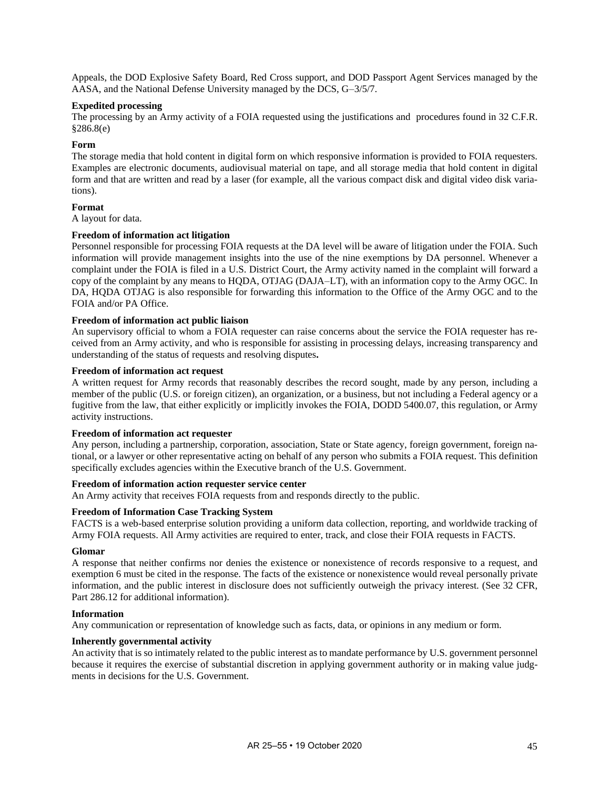Appeals, the DOD Explosive Safety Board, Red Cross support, and DOD Passport Agent Services managed by the AASA, and the National Defense University managed by the DCS, G–3/5/7.

#### **Expedited processing**

The processing by an Army activity of a FOIA requested using the justifications and procedures found in 32 C.F.R. §286.8(e)

#### **Form**

The storage media that hold content in digital form on which responsive information is provided to FOIA requesters. Examples are electronic documents, audiovisual material on tape, and all storage media that hold content in digital form and that are written and read by a laser (for example, all the various compact disk and digital video disk variations).

#### **Format**

A layout for data.

### **Freedom of information act litigation**

Personnel responsible for processing FOIA requests at the DA level will be aware of litigation under the FOIA. Such information will provide management insights into the use of the nine exemptions by DA personnel. Whenever a complaint under the FOIA is filed in a U.S. District Court, the Army activity named in the complaint will forward a copy of the complaint by any means to HQDA, OTJAG (DAJA–LT), with an information copy to the Army OGC. In DA, HQDA OTJAG is also responsible for forwarding this information to the Office of the Army OGC and to the FOIA and/or PA Office.

#### **Freedom of information act public liaison**

An supervisory official to whom a FOIA requester can raise concerns about the service the FOIA requester has received from an Army activity, and who is responsible for assisting in processing delays, increasing transparency and understanding of the status of requests and resolving disputes**.**

#### **Freedom of information act request**

A written request for Army records that reasonably describes the record sought, made by any person, including a member of the public (U.S. or foreign citizen), an organization, or a business, but not including a Federal agency or a fugitive from the law, that either explicitly or implicitly invokes the FOIA, DODD 5400.07, this regulation, or Army activity instructions.

#### **Freedom of information act requester**

Any person, including a partnership, corporation, association, State or State agency, foreign government, foreign national, or a lawyer or other representative acting on behalf of any person who submits a FOIA request. This definition specifically excludes agencies within the Executive branch of the U.S. Government.

#### **Freedom of information action requester service center**

An Army activity that receives FOIA requests from and responds directly to the public.

#### **Freedom of Information Case Tracking System**

FACTS is a web-based enterprise solution providing a uniform data collection, reporting, and worldwide tracking of Army FOIA requests. All Army activities are required to enter, track, and close their FOIA requests in FACTS.

#### **Glomar**

A response that neither confirms nor denies the existence or nonexistence of records responsive to a request, and exemption 6 must be cited in the response. The facts of the existence or nonexistence would reveal personally private information, and the public interest in disclosure does not sufficiently outweigh the privacy interest. (See 32 CFR, Part 286.12 for additional information).

#### **Information**

Any communication or representation of knowledge such as facts, data, or opinions in any medium or form.

#### **Inherently governmental activity**

An activity that is so intimately related to the public interest as to mandate performance by U.S. government personnel because it requires the exercise of substantial discretion in applying government authority or in making value judgments in decisions for the U.S. Government.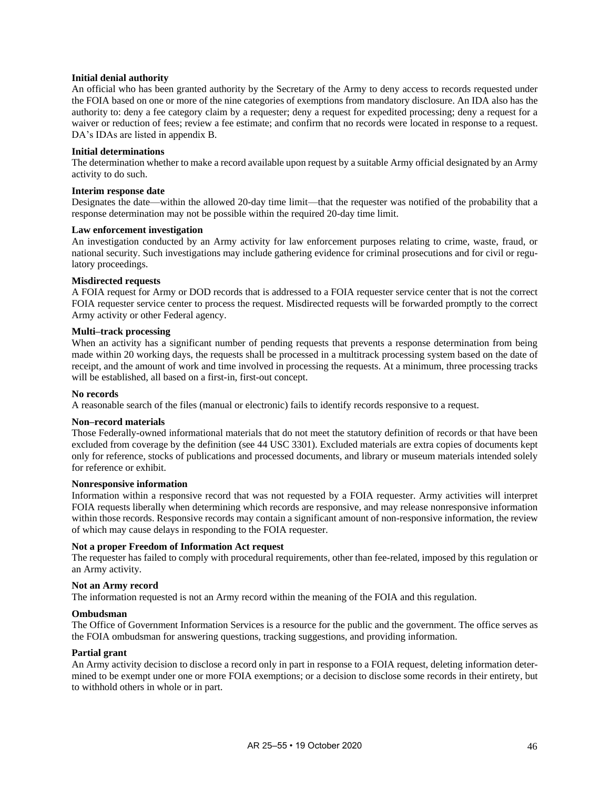#### **Initial denial authority**

An official who has been granted authority by the Secretary of the Army to deny access to records requested under the FOIA based on one or more of the nine categories of exemptions from mandatory disclosure. An IDA also has the authority to: deny a fee category claim by a requester; deny a request for expedited processing; deny a request for a waiver or reduction of fees; review a fee estimate; and confirm that no records were located in response to a request. DA's IDAs are listed i[n appendix B.](#page-41-0)

#### **Initial determinations**

The determination whether to make a record available upon request by a suitable Army official designated by an Army activity to do such.

#### **Interim response date**

Designates the date—within the allowed 20-day time limit—that the requester was notified of the probability that a response determination may not be possible within the required 20-day time limit.

# **Law enforcement investigation**

An investigation conducted by an Army activity for law enforcement purposes relating to crime, waste, fraud, or national security. Such investigations may include gathering evidence for criminal prosecutions and for civil or regulatory proceedings.

#### **Misdirected requests**

A FOIA request for Army or DOD records that is addressed to a FOIA requester service center that is not the correct FOIA requester service center to process the request. Misdirected requests will be forwarded promptly to the correct Army activity or other Federal agency.

#### **Multi–track processing**

When an activity has a significant number of pending requests that prevents a response determination from being made within 20 working days, the requests shall be processed in a multitrack processing system based on the date of receipt, and the amount of work and time involved in processing the requests. At a minimum, three processing tracks will be established, all based on a first-in, first-out concept.

#### **No records**

A reasonable search of the files (manual or electronic) fails to identify records responsive to a request.

#### **Non–record materials**

Those Federally-owned informational materials that do not meet the statutory definition of records or that have been excluded from coverage by the definition (see 44 USC 3301). Excluded materials are extra copies of documents kept only for reference, stocks of publications and processed documents, and library or museum materials intended solely for reference or exhibit.

#### **Nonresponsive information**

Information within a responsive record that was not requested by a FOIA requester. Army activities will interpret FOIA requests liberally when determining which records are responsive, and may release nonresponsive information within those records. Responsive records may contain a significant amount of non-responsive information, the review of which may cause delays in responding to the FOIA requester.

#### **Not a proper Freedom of Information Act request**

The requester has failed to comply with procedural requirements, other than fee-related, imposed by this regulation or an Army activity.

#### **Not an Army record**

The information requested is not an Army record within the meaning of the FOIA and this regulation.

#### **Ombudsman**

The Office of Government Information Services is a resource for the public and the government. The office serves as the FOIA ombudsman for answering questions, tracking suggestions, and providing information.

#### **Partial grant**

An Army activity decision to disclose a record only in part in response to a FOIA request, deleting information determined to be exempt under one or more FOIA exemptions; or a decision to disclose some records in their entirety, but to withhold others in whole or in part.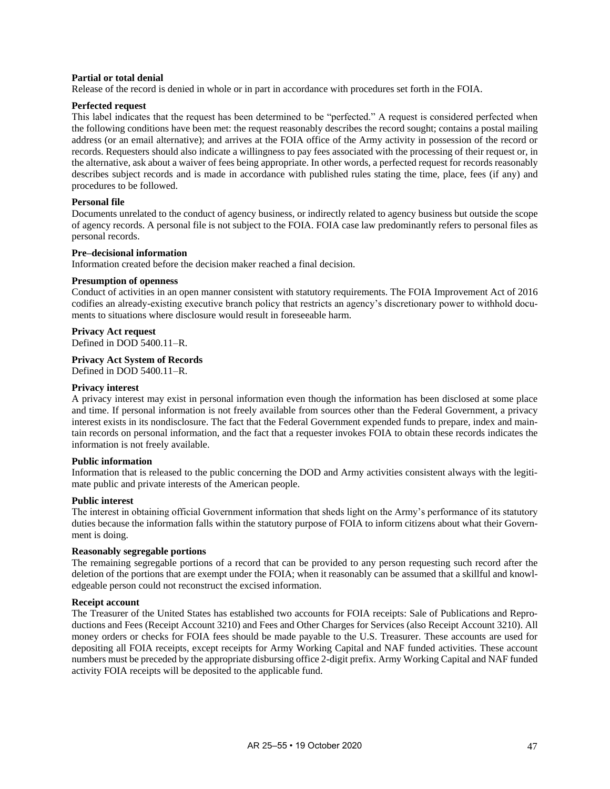#### **Partial or total denial**

Release of the record is denied in whole or in part in accordance with procedures set forth in the FOIA.

#### **Perfected request**

This label indicates that the request has been determined to be "perfected." A request is considered perfected when the following conditions have been met: the request reasonably describes the record sought; contains a postal mailing address (or an email alternative); and arrives at the FOIA office of the Army activity in possession of the record or records. Requesters should also indicate a willingness to pay fees associated with the processing of their request or, in the alternative, ask about a waiver of fees being appropriate. In other words, a perfected request for records reasonably describes subject records and is made in accordance with published rules stating the time, place, fees (if any) and procedures to be followed.

#### **Personal file**

Documents unrelated to the conduct of agency business, or indirectly related to agency business but outside the scope of agency records. A personal file is not subject to the FOIA. FOIA case law predominantly refers to personal files as personal records.

# **Pre–decisional information**

Information created before the decision maker reached a final decision.

#### **Presumption of openness**

Conduct of activities in an open manner consistent with statutory requirements. The FOIA Improvement Act of 2016 codifies an already-existing executive branch policy that restricts an agency's discretionary power to withhold documents to situations where disclosure would result in foreseeable harm.

#### **Privacy Act request**

Defined in DOD 5400.11–R.

# **Privacy Act System of Records**

Defined in DOD 5400.11–R.

#### **Privacy interest**

A privacy interest may exist in personal information even though the information has been disclosed at some place and time. If personal information is not freely available from sources other than the Federal Government, a privacy interest exists in its nondisclosure. The fact that the Federal Government expended funds to prepare, index and maintain records on personal information, and the fact that a requester invokes FOIA to obtain these records indicates the information is not freely available.

#### **Public information**

Information that is released to the public concerning the DOD and Army activities consistent always with the legitimate public and private interests of the American people.

#### **Public interest**

The interest in obtaining official Government information that sheds light on the Army's performance of its statutory duties because the information falls within the statutory purpose of FOIA to inform citizens about what their Government is doing.

#### **Reasonably segregable portions**

The remaining segregable portions of a record that can be provided to any person requesting such record after the deletion of the portions that are exempt under the FOIA; when it reasonably can be assumed that a skillful and knowledgeable person could not reconstruct the excised information.

# **Receipt account**

The Treasurer of the United States has established two accounts for FOIA receipts: Sale of Publications and Reproductions and Fees (Receipt Account 3210) and Fees and Other Charges for Services (also Receipt Account 3210). All money orders or checks for FOIA fees should be made payable to the U.S. Treasurer. These accounts are used for depositing all FOIA receipts, except receipts for Army Working Capital and NAF funded activities. These account numbers must be preceded by the appropriate disbursing office 2-digit prefix. Army Working Capital and NAF funded activity FOIA receipts will be deposited to the applicable fund.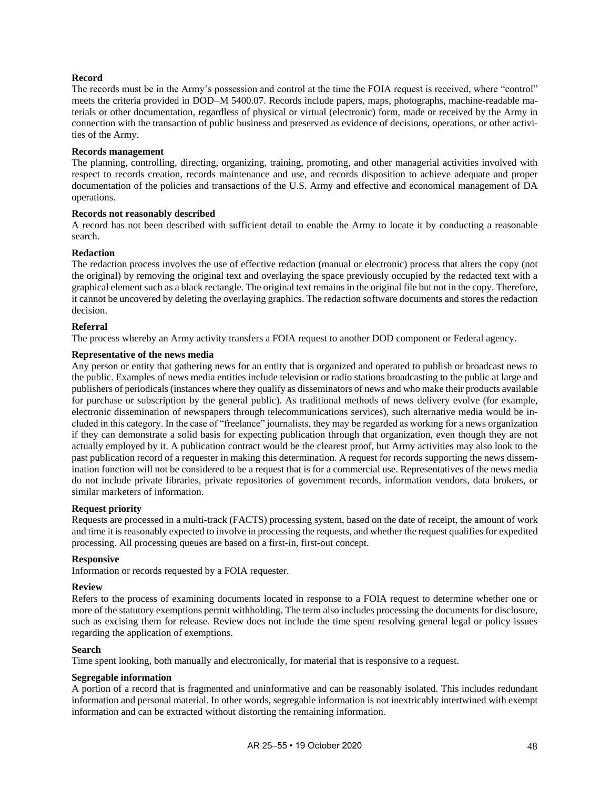# **Record**

The records must be in the Army's possession and control at the time the FOIA request is received, where "control" meets the criteria provided in DOD–M 5400.07. Records include papers, maps, photographs, machine-readable materials or other documentation, regardless of physical or virtual (electronic) form, made or received by the Army in connection with the transaction of public business and preserved as evidence of decisions, operations, or other activities of the Army.

#### **Records management**

The planning, controlling, directing, organizing, training, promoting, and other managerial activities involved with respect to records creation, records maintenance and use, and records disposition to achieve adequate and proper documentation of the policies and transactions of the U.S. Army and effective and economical management of DA operations.

# **Records not reasonably described**

A record has not been described with sufficient detail to enable the Army to locate it by conducting a reasonable search.

#### **Redaction**

The redaction process involves the use of effective redaction (manual or electronic) process that alters the copy (not the original) by removing the original text and overlaying the space previously occupied by the redacted text with a graphical element such as a black rectangle. The original text remains in the original file but not in the copy. Therefore, it cannot be uncovered by deleting the overlaying graphics. The redaction software documents and stores the redaction decision.

#### **Referral**

The process whereby an Army activity transfers a FOIA request to another DOD component or Federal agency.

# **Representative of the news media**

Any person or entity that gathering news for an entity that is organized and operated to publish or broadcast news to the public. Examples of news media entities include television or radio stations broadcasting to the public at large and publishers of periodicals (instances where they qualify as disseminators of news and who make their products available for purchase or subscription by the general public). As traditional methods of news delivery evolve (for example, electronic dissemination of newspapers through telecommunications services), such alternative media would be included in this category. In the case of "freelance" journalists, they may be regarded as working for a news organization if they can demonstrate a solid basis for expecting publication through that organization, even though they are not actually employed by it. A publication contract would be the clearest proof, but Army activities may also look to the past publication record of a requester in making this determination. A request for records supporting the news dissemination function will not be considered to be a request that is for a commercial use. Representatives of the news media do not include private libraries, private repositories of government records, information vendors, data brokers, or similar marketers of information.

# **Request priority**

Requests are processed in a multi-track (FACTS) processing system, based on the date of receipt, the amount of work and time it is reasonably expected to involve in processing the requests, and whether the request qualifies for expedited processing. All processing queues are based on a first-in, first-out concept.

#### **Responsive**

Information or records requested by a FOIA requester.

#### **Review**

Refers to the process of examining documents located in response to a FOIA request to determine whether one or more of the statutory exemptions permit withholding. The term also includes processing the documents for disclosure, such as excising them for release. Review does not include the time spent resolving general legal or policy issues regarding the application of exemptions.

#### **Search**

Time spent looking, both manually and electronically, for material that is responsive to a request.

#### **Segregable information**

A portion of a record that is fragmented and uninformative and can be reasonably isolated. This includes redundant information and personal material. In other words, segregable information is not inextricably intertwined with exempt information and can be extracted without distorting the remaining information.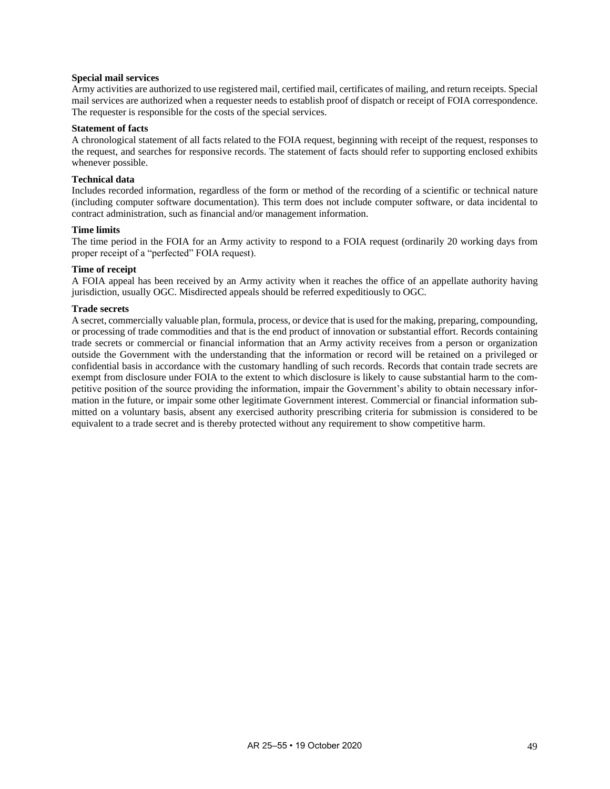#### **Special mail services**

Army activities are authorized to use registered mail, certified mail, certificates of mailing, and return receipts. Special mail services are authorized when a requester needs to establish proof of dispatch or receipt of FOIA correspondence. The requester is responsible for the costs of the special services.

#### **Statement of facts**

A chronological statement of all facts related to the FOIA request, beginning with receipt of the request, responses to the request, and searches for responsive records. The statement of facts should refer to supporting enclosed exhibits whenever possible.

### **Technical data**

Includes recorded information, regardless of the form or method of the recording of a scientific or technical nature (including computer software documentation). This term does not include computer software, or data incidental to contract administration, such as financial and/or management information.

#### **Time limits**

The time period in the FOIA for an Army activity to respond to a FOIA request (ordinarily 20 working days from proper receipt of a "perfected" FOIA request).

# **Time of receipt**

A FOIA appeal has been received by an Army activity when it reaches the office of an appellate authority having jurisdiction, usually OGC. Misdirected appeals should be referred expeditiously to OGC.

#### **Trade secrets**

A secret, commercially valuable plan, formula, process, or device that is used for the making, preparing, compounding, or processing of trade commodities and that is the end product of innovation or substantial effort. Records containing trade secrets or commercial or financial information that an Army activity receives from a person or organization outside the Government with the understanding that the information or record will be retained on a privileged or confidential basis in accordance with the customary handling of such records. Records that contain trade secrets are exempt from disclosure under FOIA to the extent to which disclosure is likely to cause substantial harm to the competitive position of the source providing the information, impair the Government's ability to obtain necessary information in the future, or impair some other legitimate Government interest. Commercial or financial information submitted on a voluntary basis, absent any exercised authority prescribing criteria for submission is considered to be equivalent to a trade secret and is thereby protected without any requirement to show competitive harm.